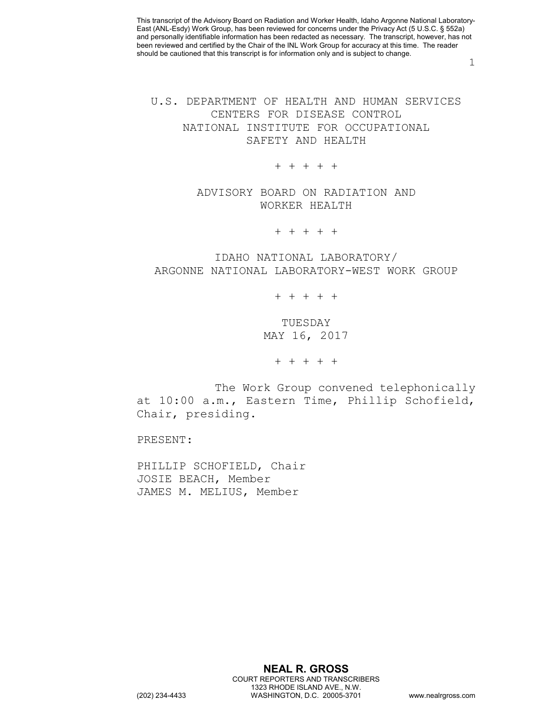1

## U.S. DEPARTMENT OF HEALTH AND HUMAN SERVICES CENTERS FOR DISEASE CONTROL NATIONAL INSTITUTE FOR OCCUPATIONAL SAFETY AND HEALTH

## + + + + +

ADVISORY BOARD ON RADIATION AND WORKER HEALTH

+ + + + +

## IDAHO NATIONAL LABORATORY/ ARGONNE NATIONAL LABORATORY-WEST WORK GROUP

+ + + + +

TUESDAY MAY 16, 2017

+ + + + +

The Work Group convened telephonically at 10:00 a.m., Eastern Time, Phillip Schofield, Chair, presiding.

PRESENT:

PHILLIP SCHOFIELD, Chair JOSIE BEACH, Member JAMES M. MELIUS, Member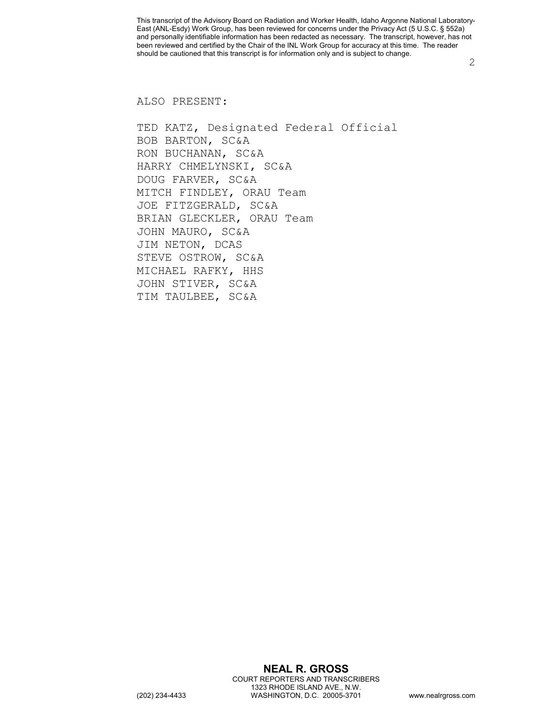2

ALSO PRESENT:

TED KATZ, Designated Federal Official BOB BARTON, SC&A RON BUCHANAN, SC&A HARRY CHMELYNSKI, SC&A DOUG FARVER, SC&A MITCH FINDLEY, ORAU Team JOE FITZGERALD, SC&A BRIAN GLECKLER, ORAU Team JOHN MAURO, SC&A JIM NETON, DCAS STEVE OSTROW, SC&A MICHAEL RAFKY, HHS JOHN STIVER, SC&A TIM TAULBEE, SC&A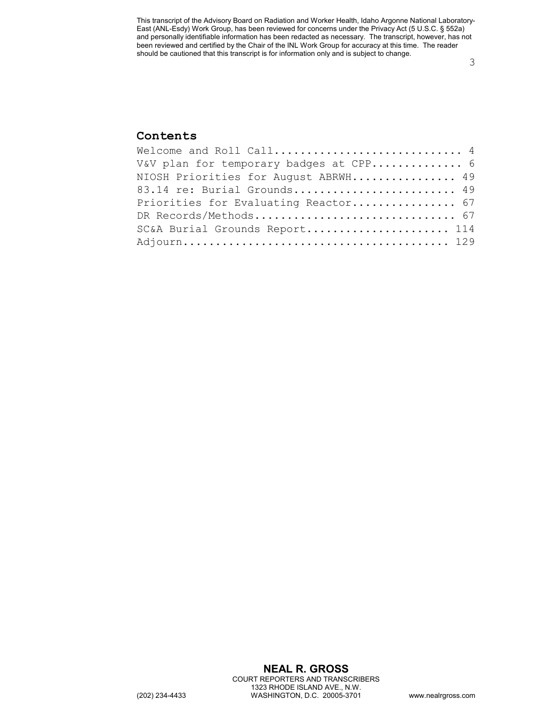3

## **Contents**

| Welcome and Roll Call 4                |  |
|----------------------------------------|--|
| V&V plan for temporary badges at CPP 6 |  |
| NIOSH Priorities for August ABRWH 49   |  |
| 83.14 re: Burial Grounds 49            |  |
| Priorities for Evaluating Reactor 67   |  |
|                                        |  |
| SC&A Burial Grounds Report 114         |  |
|                                        |  |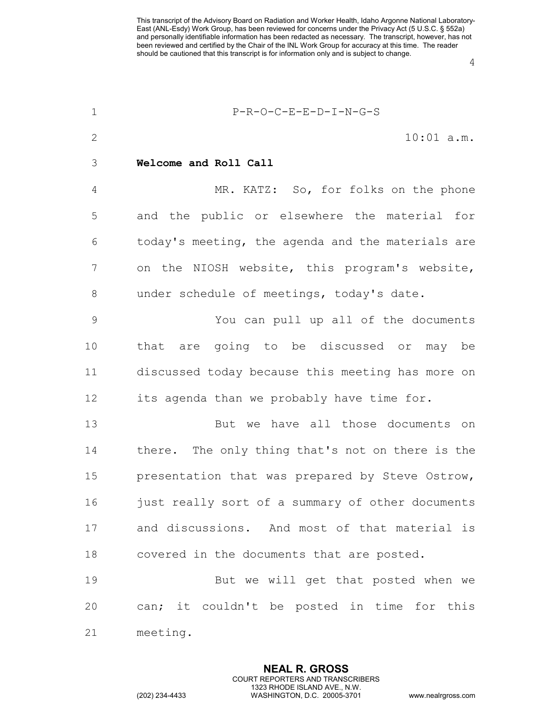4

<span id="page-3-0"></span>

| $\mathbf 1$    | P-R-O-C-E-E-D-I-N-G-S                             |
|----------------|---------------------------------------------------|
| 2              | $10:01$ a.m.                                      |
| 3              | Welcome and Roll Call                             |
| $\overline{4}$ | MR. KATZ: So, for folks on the phone              |
| 5              | and the public or elsewhere the material for      |
| 6              | today's meeting, the agenda and the materials are |
| 7              | on the NIOSH website, this program's website,     |
| $8\,$          | under schedule of meetings, today's date.         |
| $\mathcal{G}$  | You can pull up all of the documents              |
| 10             | that are going to be discussed or may be          |
| 11             | discussed today because this meeting has more on  |
| 12             | its agenda than we probably have time for.        |
| 13             | But we have all those documents on                |
| 14             | there. The only thing that's not on there is the  |
| 15             | presentation that was prepared by Steve Ostrow,   |
| 16             | just really sort of a summary of other documents  |
| 17             | and discussions. And most of that material is     |
| 18             | covered in the documents that are posted.         |
| 19             | But we will get that posted when we               |
| 20             | can; it couldn't be posted in time for this       |
| 21             | meeting.                                          |

**NEAL R. GROSS** COURT REPORTERS AND TRANSCRIBERS 1323 RHODE ISLAND AVE., N.W.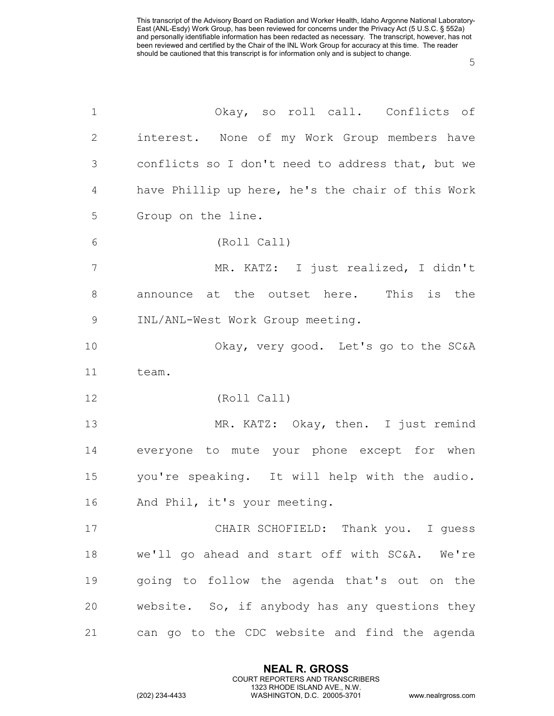| $\mathbf 1$    | Okay, so roll call. Conflicts of                  |
|----------------|---------------------------------------------------|
| 2              | interest. None of my Work Group members have      |
| 3              | conflicts so I don't need to address that, but we |
| $\overline{4}$ | have Phillip up here, he's the chair of this Work |
| 5              | Group on the line.                                |
| 6              | (Roll Call)                                       |
| 7              | MR. KATZ: I just realized, I didn't               |
| $8\,$          | announce at the outset here. This is the          |
| $\mathsf 9$    | INL/ANL-West Work Group meeting.                  |
| 10             | Okay, very good. Let's go to the SC&A             |
| 11             | team.                                             |
| 12             | (Roll Call)                                       |
| 13             | MR. KATZ: Okay, then. I just remind               |
| 14             | everyone to mute your phone except for when       |
| 15             | you're speaking. It will help with the audio.     |
| 16             | And Phil, it's your meeting.                      |
| 17             | CHAIR SCHOFIELD: Thank you. I quess               |
| 18             | we'll go ahead and start off with SC&A. We're     |
| 19             | going to follow the agenda that's out on the      |
| 20             | website. So, if anybody has any questions they    |
| 21             | can go to the CDC website and find the agenda     |

**NEAL R. GROSS** COURT REPORTERS AND TRANSCRIBERS 1323 RHODE ISLAND AVE., N.W.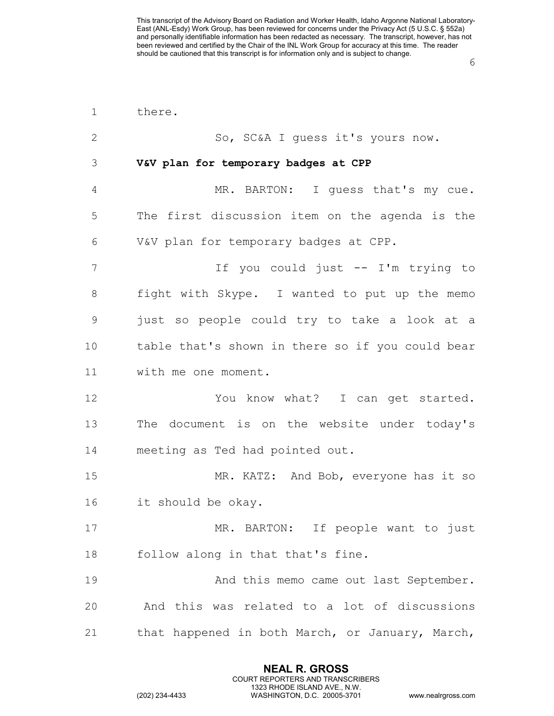<span id="page-5-0"></span>

| $\mathbf 1$    | there.                                           |
|----------------|--------------------------------------------------|
| $\mathbf{2}$   | So, SC&A I guess it's yours now.                 |
| 3              | V&V plan for temporary badges at CPP             |
| $\overline{4}$ | MR. BARTON: I guess that's my cue.               |
| 5              | The first discussion item on the agenda is the   |
| 6              | V&V plan for temporary badges at CPP.            |
| 7              | If you could just -- I'm trying to               |
| 8              | fight with Skype. I wanted to put up the memo    |
| $\mathcal{G}$  | just so people could try to take a look at a     |
| 10             | table that's shown in there so if you could bear |
| 11             | with me one moment.                              |
| 12             | You know what? I can get started.                |
| 13             | The document is on the website under today's     |
| 14             | meeting as Ted had pointed out.                  |
| 15             | MR. KATZ: And Bob, everyone has it so            |
| 16             | it should be okay.                               |
| 17             | MR. BARTON: If people want to just               |
| 18             | follow along in that that's fine.                |
| 19             | And this memo came out last September.           |
| 20             | And this was related to a lot of discussions     |
| 21             | that happened in both March, or January, March,  |

**NEAL R. GROSS** COURT REPORTERS AND TRANSCRIBERS 1323 RHODE ISLAND AVE., N.W.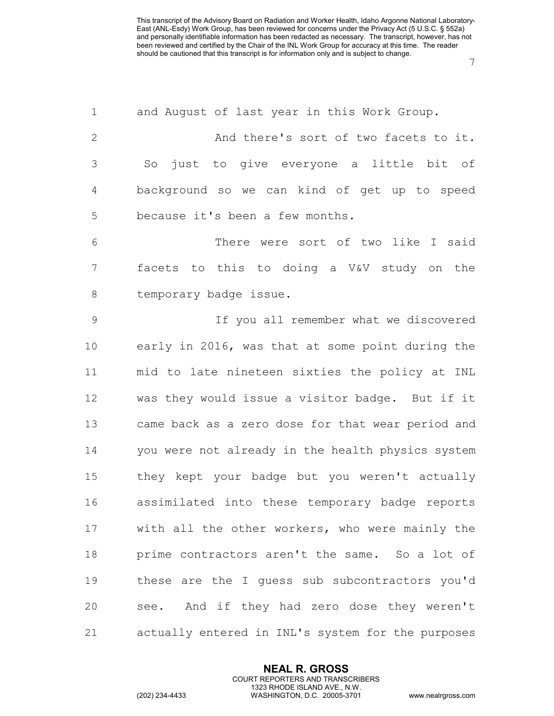| $\mathbf 1$     | and August of last year in this Work Group.       |
|-----------------|---------------------------------------------------|
| $\mathbf{2}$    | And there's sort of two facets to it.             |
| 3               | just to give everyone a little bit of<br>So       |
| 4               | background so we can kind of get up to speed      |
| 5               | because it's been a few months.                   |
| 6               | There were sort of two like I said                |
| $7\phantom{.0}$ | facets to this to doing a V&V study on the        |
| 8               | temporary badge issue.                            |
| $\mathsf 9$     | If you all remember what we discovered            |
| 10              | early in 2016, was that at some point during the  |
| 11              | mid to late nineteen sixties the policy at INL    |
| 12              | was they would issue a visitor badge. But if it   |
| 13              | came back as a zero dose for that wear period and |
| 14              | you were not already in the health physics system |
| 15              | they kept your badge but you weren't actually     |
| 16              | assimilated into these temporary badge reports    |
| 17              | with all the other workers, who were mainly the   |
| 18              | prime contractors aren't the same. So a lot of    |
| 19              | these are the I quess sub subcontractors you'd    |
| 20              | see. And if they had zero dose they weren't       |
| 21              | actually entered in INL's system for the purposes |

**NEAL R. GROSS** COURT REPORTERS AND TRANSCRIBERS 1323 RHODE ISLAND AVE., N.W.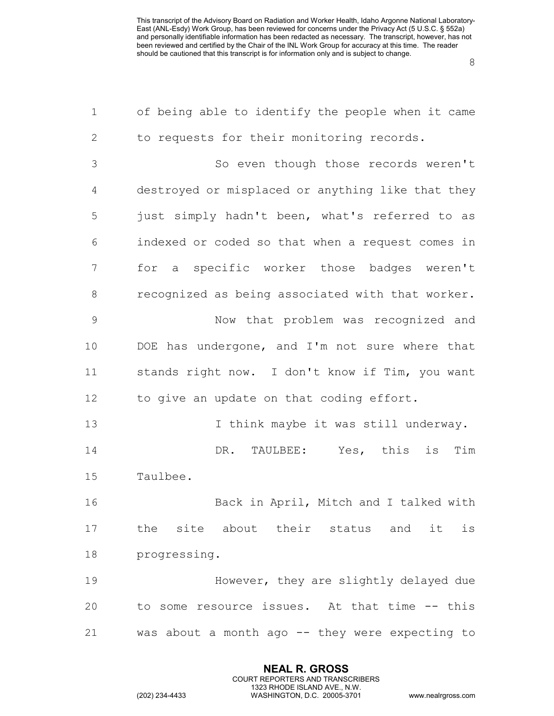| $\mathbf 1$  | of being able to identify the people when it came |
|--------------|---------------------------------------------------|
| $\mathbf{2}$ | to requests for their monitoring records.         |
| 3            | So even though those records weren't              |
| 4            | destroyed or misplaced or anything like that they |
| 5            | just simply hadn't been, what's referred to as    |
| 6            | indexed or coded so that when a request comes in  |
| 7            | for a specific worker those badges weren't        |
| 8            | recognized as being associated with that worker.  |
| 9            | Now that problem was recognized and               |
| 10           | DOE has undergone, and I'm not sure where that    |
| 11           | stands right now. I don't know if Tim, you want   |
| 12           | to give an update on that coding effort.          |
| 13           | I think maybe it was still underway.              |
| 14           | DR. TAULBEE: Yes, this is<br>Tim                  |
| 15           | Taulbee.                                          |
| 16           | Back in April, Mitch and I talked with            |
| 17           | the site about their status and it is             |
| 18           | progressing.                                      |
| 19           | However, they are slightly delayed due            |
| 20           | to some resource issues. At that time -- this     |
| 21           | was about a month ago -- they were expecting to   |

**NEAL R. GROSS** COURT REPORTERS AND TRANSCRIBERS 1323 RHODE ISLAND AVE., N.W.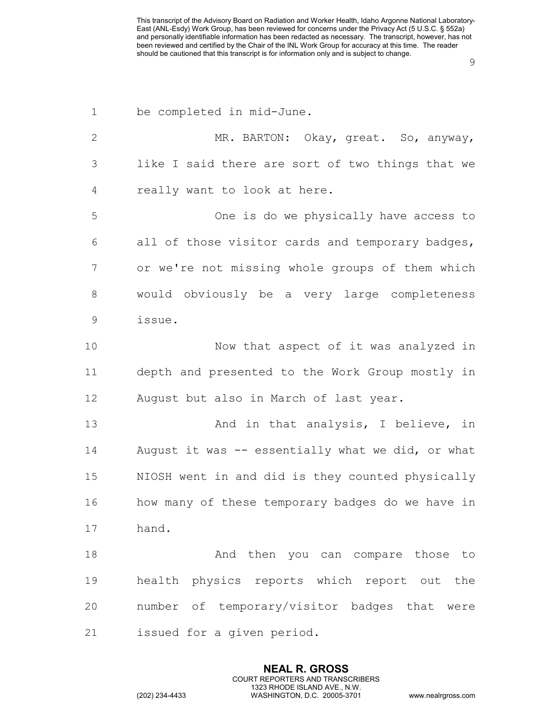| $\mathbf 1$  | be completed in mid-June.                         |
|--------------|---------------------------------------------------|
| $\mathbf{2}$ | MR. BARTON: Okay, great. So, anyway,              |
| 3            | like I said there are sort of two things that we  |
| 4            | really want to look at here.                      |
| 5            | One is do we physically have access to            |
| 6            | all of those visitor cards and temporary badges,  |
| 7            | or we're not missing whole groups of them which   |
| $\,8\,$      | would obviously be a very large completeness      |
| $\mathsf 9$  | issue.                                            |
| 10           | Now that aspect of it was analyzed in             |
| 11           | depth and presented to the Work Group mostly in   |
| 12           | August but also in March of last year.            |
| 13           | And in that analysis, I believe, in               |
| 14           | August it was -- essentially what we did, or what |
| 15           | NIOSH went in and did is they counted physically  |
| 16           | how many of these temporary badges do we have in  |
| 17           | hand.                                             |
| 18           | And then you can compare those to                 |
| 19           | health physics reports which report out the       |
| 20           | number of temporary/visitor badges that were      |
| 21           | issued for a given period.                        |

**NEAL R. GROSS** COURT REPORTERS AND TRANSCRIBERS 1323 RHODE ISLAND AVE., N.W.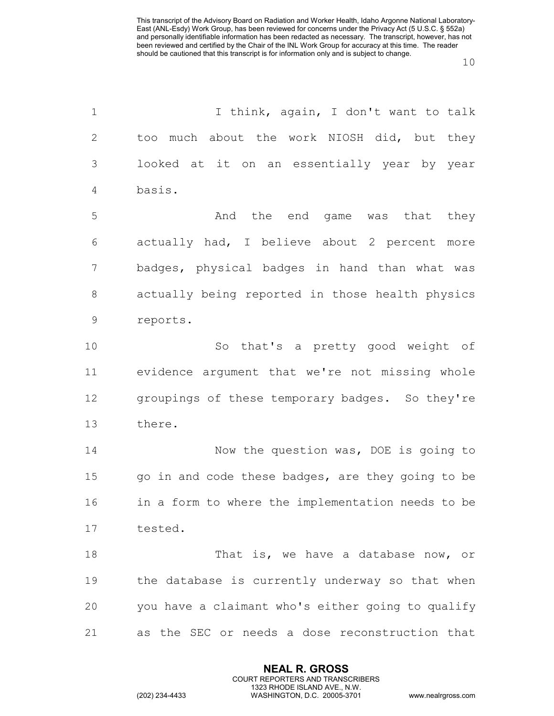| $\mathbf 1$    | I think, again, I don't want to talk              |
|----------------|---------------------------------------------------|
| $\mathbf{2}$   | too much about the work NIOSH did, but they       |
| $\mathfrak{Z}$ | looked at it on an essentially year by year       |
| $\overline{4}$ | basis.                                            |
| 5              | the end game was that<br>And<br>they              |
| 6              | actually had, I believe about 2 percent more      |
| 7              | badges, physical badges in hand than what was     |
| 8              | actually being reported in those health physics   |
| $\mathcal{G}$  | reports.                                          |
| 10             | So that's a pretty good weight of                 |
| 11             | evidence argument that we're not missing whole    |
| 12             | groupings of these temporary badges. So they're   |
| 13             | there.                                            |
| 14             | Now the question was, DOE is going to             |
| 15             | go in and code these badges, are they going to be |
| 16             | in a form to where the implementation needs to be |
| 17             | tested.                                           |
| 18             | That is, we have a database now, or               |
| 19             | the database is currently underway so that when   |
| 20             | you have a claimant who's either going to qualify |
| 21             | as the SEC or needs a dose reconstruction that    |

**NEAL R. GROSS** COURT REPORTERS AND TRANSCRIBERS 1323 RHODE ISLAND AVE., N.W.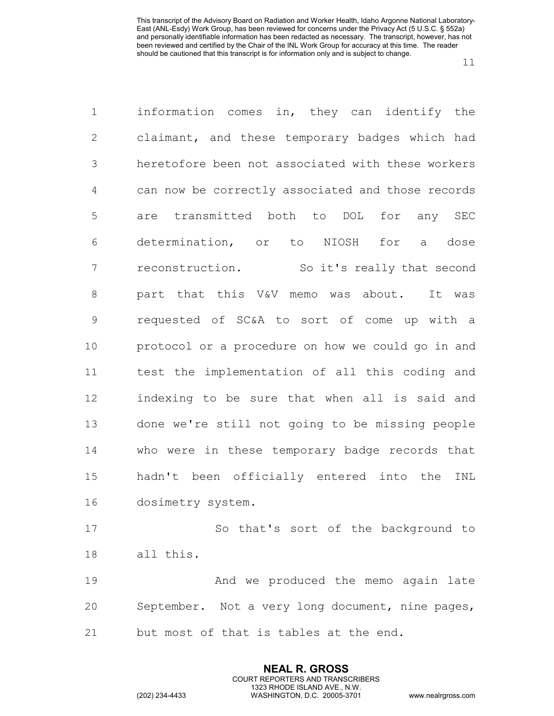| $\mathbf 1$      | information comes in, they can identify the       |
|------------------|---------------------------------------------------|
| $\mathbf{2}$     | claimant, and these temporary badges which had    |
| $\mathcal{S}$    | heretofore been not associated with these workers |
| $\overline{4}$   | can now be correctly associated and those records |
| 5                | are transmitted both to DOL for any SEC           |
| 6                | determination, or to NIOSH for a dose             |
| $\boldsymbol{7}$ | reconstruction. So it's really that second        |
| $\,8\,$          | part that this V&V memo was about. It was         |
| $\mathcal{G}$    | requested of SC&A to sort of come up with a       |
| 10               | protocol or a procedure on how we could go in and |
| 11               | test the implementation of all this coding and    |
| 12               | indexing to be sure that when all is said and     |
| 13               | done we're still not going to be missing people   |
| 14               | who were in these temporary badge records that    |
| 15               | hadn't been officially entered into the<br>INL    |
| 16               | dosimetry system.                                 |
| 17               | So that's sort of the background to               |
| 18               | all this.                                         |
| 1 Q              | And we produced the memo again late               |

 And we produced the memo again late September. Not a very long document, nine pages, but most of that is tables at the end.

> **NEAL R. GROSS** COURT REPORTERS AND TRANSCRIBERS 1323 RHODE ISLAND AVE., N.W.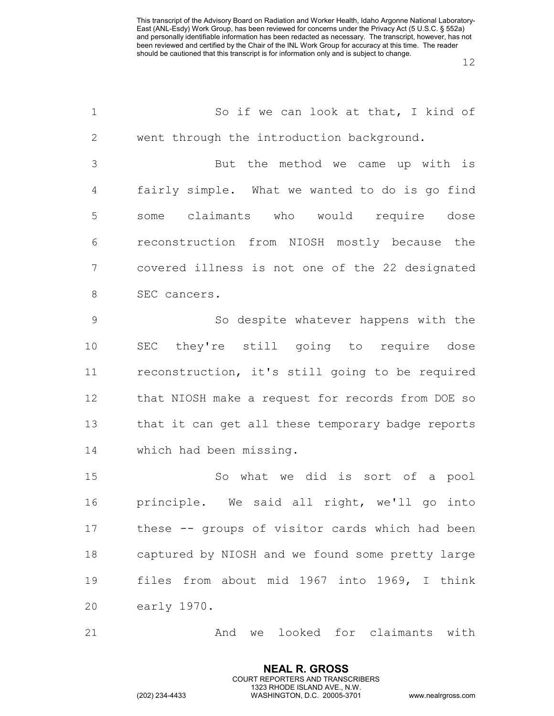| $1\,$          | So if we can look at that, I kind of              |
|----------------|---------------------------------------------------|
| $\mathbf{2}$   | went through the introduction background.         |
| 3              | But the method we came up with is                 |
| $\overline{4}$ | fairly simple. What we wanted to do is go find    |
| 5              | some claimants who would require dose             |
| 6              | reconstruction from NIOSH mostly because the      |
| 7              | covered illness is not one of the 22 designated   |
| $8\,$          | SEC cancers.                                      |
| $\mathsf 9$    | So despite whatever happens with the              |
| 10             | SEC they're still going to require dose           |
| 11             | reconstruction, it's still going to be required   |
| 12             | that NIOSH make a request for records from DOE so |
| 13             | that it can get all these temporary badge reports |
| 14             | which had been missing.                           |
| 15             | So what we did is sort of a pool                  |
| 16             | principle. We said all right, we'll go into       |
| 17             | these -- groups of visitor cards which had been   |
| 18             | captured by NIOSH and we found some pretty large  |
| 19             | files from about mid 1967 into 1969, I think      |
| 20             | early 1970.                                       |
| 21             | And we looked for claimants with                  |

**NEAL R. GROSS** COURT REPORTERS AND TRANSCRIBERS 1323 RHODE ISLAND AVE., N.W.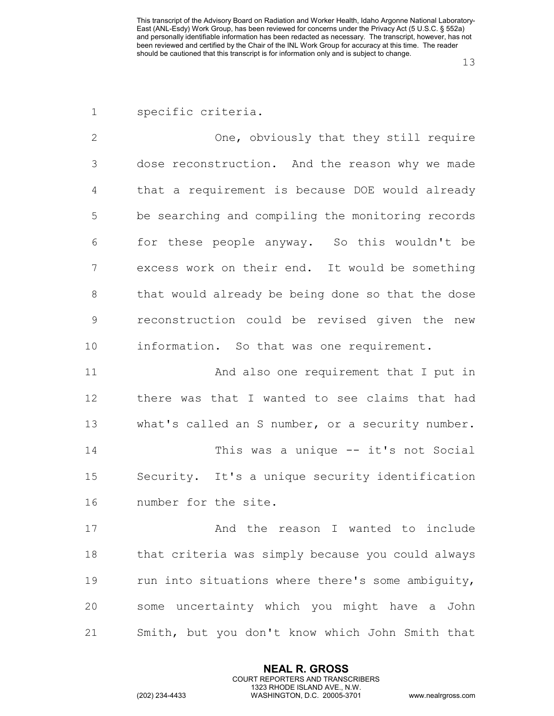One, obviously that they still require dose reconstruction. And the reason why we made that a requirement is because DOE would already be searching and compiling the monitoring records for these people anyway. So this wouldn't be excess work on their end. It would be something that would already be being done so that the dose reconstruction could be revised given the new information. So that was one requirement.

 And also one requirement that I put in there was that I wanted to see claims that had what's called an S number, or a security number. This was a unique -- it's not Social Security. It's a unique security identification number for the site.

17 and the reason I wanted to include that criteria was simply because you could always 19 run into situations where there's some ambiguity, some uncertainty which you might have a John Smith, but you don't know which John Smith that

> **NEAL R. GROSS** COURT REPORTERS AND TRANSCRIBERS 1323 RHODE ISLAND AVE., N.W.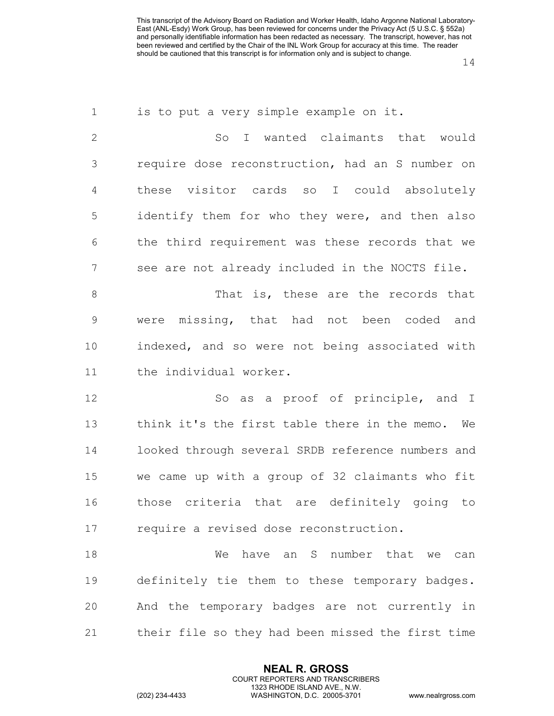| is to put a very simple example on it.            |
|---------------------------------------------------|
| I wanted claimants that would<br>So               |
| require dose reconstruction, had an S number on   |
| these visitor cards so I could absolutely         |
| identify them for who they were, and then also    |
| the third requirement was these records that we   |
| see are not already included in the NOCTS file.   |
| That is, these are the records that               |
| were missing, that had not been coded and         |
| indexed, and so were not being associated with    |
| the individual worker.                            |
| So as a proof of principle, and I                 |
| think it's the first table there in the memo. We  |
| looked through several SRDB reference numbers and |
| we came up with a group of 32 claimants who fit   |
| those criteria that are definitely going to       |
| require a revised dose reconstruction.            |
| have an S number that we<br>We<br>can             |
|                                                   |
| definitely tie them to these temporary badges.    |
| And the temporary badges are not currently in     |
|                                                   |

**NEAL R. GROSS** COURT REPORTERS AND TRANSCRIBERS 1323 RHODE ISLAND AVE., N.W.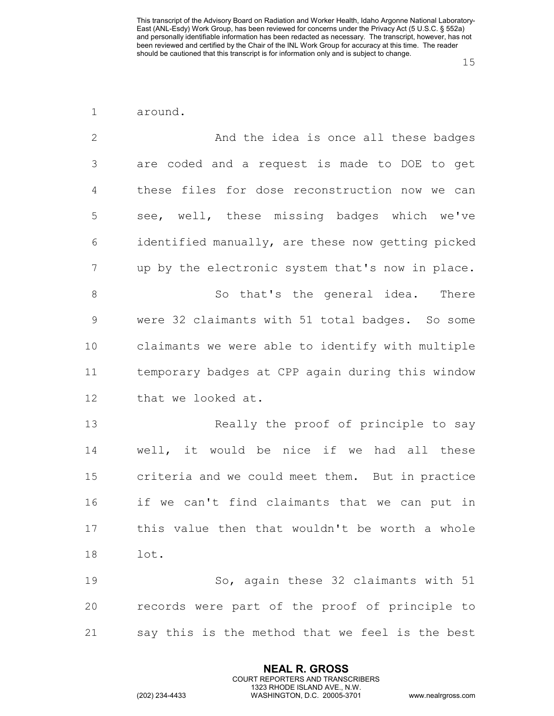| around. |
|---------|
|         |

| $\overline{2}$ | And the idea is once all these badges             |
|----------------|---------------------------------------------------|
| $\mathfrak{Z}$ | are coded and a request is made to DOE to get     |
| $\overline{4}$ | these files for dose reconstruction now we can    |
| 5              | see, well, these missing badges which we've       |
| 6              | identified manually, are these now getting picked |
| 7              | up by the electronic system that's now in place.  |
| $\,8\,$        | So that's the general idea. There                 |
| $\mathsf 9$    | were 32 claimants with 51 total badges. So some   |
| 10             | claimants we were able to identify with multiple  |
| 11             | temporary badges at CPP again during this window  |
| 12             | that we looked at.                                |
| 13             | Really the proof of principle to say              |
| 14             | well, it would be nice if we had all these        |
| 15             | criteria and we could meet them. But in practice  |
| 16             | if we can't find claimants that we can put in     |
| 17             | this value then that wouldn't be worth a whole    |
| 18             | lot.                                              |
| 19             | So, again these 32 claimants with 51              |
| 20             | records were part of the proof of principle to    |
| 21             | say this is the method that we feel is the best   |

**NEAL R. GROSS** COURT REPORTERS AND TRANSCRIBERS 1323 RHODE ISLAND AVE., N.W.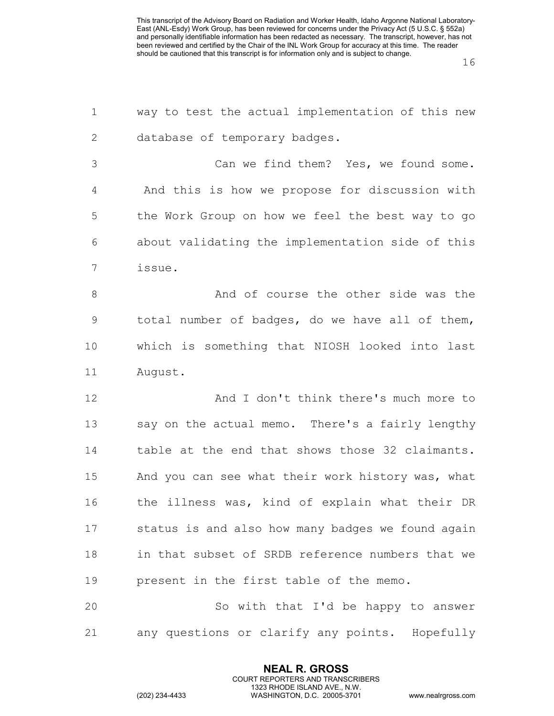| $\mathbf 1$    | way to test the actual implementation of this new |
|----------------|---------------------------------------------------|
| $\mathbf{2}$   | database of temporary badges.                     |
| 3              | Can we find them? Yes, we found some.             |
| $\overline{4}$ | And this is how we propose for discussion with    |
| 5              | the Work Group on how we feel the best way to go  |
| 6              | about validating the implementation side of this  |
| 7              | issue.                                            |
| $\,8\,$        | And of course the other side was the              |
| $\mathsf 9$    | total number of badges, do we have all of them,   |
| 10             | which is something that NIOSH looked into last    |
| 11             | August.                                           |
| 12             | And I don't think there's much more to            |
| 13             | say on the actual memo. There's a fairly lengthy  |
| 14             | table at the end that shows those 32 claimants.   |
| 15             | And you can see what their work history was, what |
| 16             | the illness was, kind of explain what their DR    |
| 17             | status is and also how many badges we found again |
| 18             | in that subset of SRDB reference numbers that we  |
| 19             | present in the first table of the memo.           |
| 20             | So with that I'd be happy to answer               |
| 21             | any questions or clarify any points. Hopefully    |

**NEAL R. GROSS** COURT REPORTERS AND TRANSCRIBERS 1323 RHODE ISLAND AVE., N.W.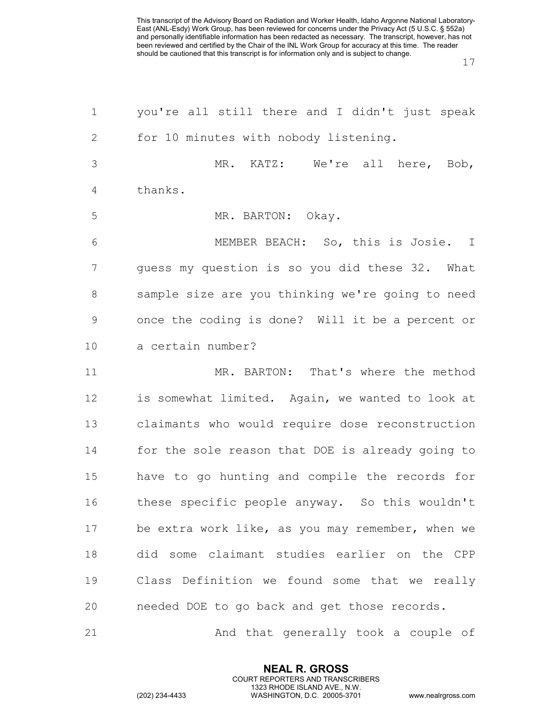| $\mathbf 1$    | you're all still there and I didn't just speak       |
|----------------|------------------------------------------------------|
| $\mathbf{2}$   | for 10 minutes with nobody listening.                |
| $\mathfrak{Z}$ | MR. KATZ: We're all here, Bob,                       |
| 4              | thanks.                                              |
| 5              | MR. BARTON: Okay.                                    |
| 6              | MEMBER BEACH: So, this is Josie. I                   |
| 7              | guess my question is so you did these 32. What       |
| 8              | sample size are you thinking we're going to need     |
| $\mathcal{G}$  | once the coding is done? Will it be a percent or     |
| 10             | a certain number?                                    |
| 11             | MR. BARTON: That's where the method                  |
| 12             | is somewhat limited. Again, we wanted to look at     |
| 13             | claimants who would require dose reconstruction      |
| 14             | for the sole reason that DOE is already going to     |
| 15             | have to go hunting and compile the records for       |
| 16             | these specific people anyway. So this wouldn't       |
| 17             | be extra work like, as you may remember, when we     |
| 18             | did some claimant studies earlier on the CPP         |
| 19             | Class Definition we found some that we really        |
| 20             | needed DOE to go back and get those records.         |
| $\bigcap$ 1    | $\lambda$ nd that $\alpha$ onorally took a gounlo of |

And that generally took a couple of

**NEAL R. GROSS** COURT REPORTERS AND TRANSCRIBERS 1323 RHODE ISLAND AVE., N.W.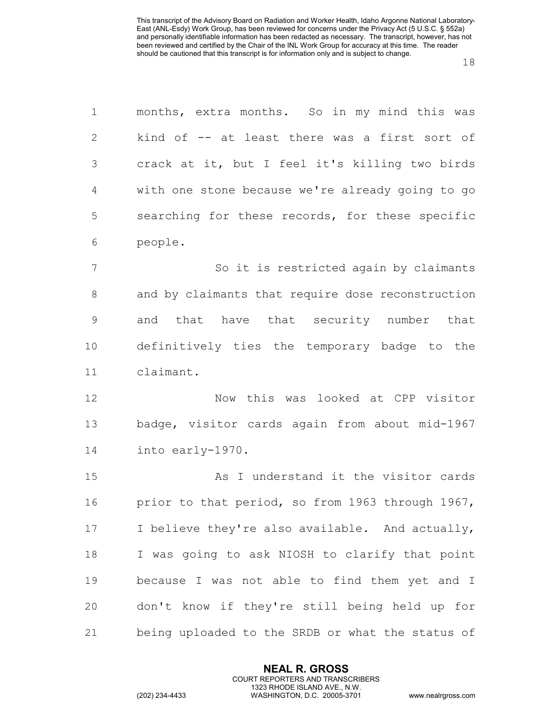| $\mathbf 1$    | months, extra months. So in my mind this was      |
|----------------|---------------------------------------------------|
| $\mathbf{2}$   | kind of -- at least there was a first sort of     |
| 3              | crack at it, but I feel it's killing two birds    |
| $\overline{4}$ | with one stone because we're already going to go  |
| 5              | searching for these records, for these specific   |
| 6              | people.                                           |
| 7              | So it is restricted again by claimants            |
| 8              | and by claimants that require dose reconstruction |
| $\mathsf 9$    | and that have that security number that           |
| 10             | definitively ties the temporary badge to the      |
| 11             | claimant.                                         |
| 12             | Now this was looked at CPP visitor                |
| 13             | badge, visitor cards again from about mid-1967    |
| 14             | into early-1970.                                  |
| 15             | As I understand it the visitor cards              |
| 16             | prior to that period, so from 1963 through 1967,  |
| 17             | I believe they're also available. And actually,   |
| 18             | I was going to ask NIOSH to clarify that point    |
| 19             | because I was not able to find them yet and I     |
| 20             | don't know if they're still being held up for     |
| 21             | being uploaded to the SRDB or what the status of  |

**NEAL R. GROSS** COURT REPORTERS AND TRANSCRIBERS 1323 RHODE ISLAND AVE., N.W.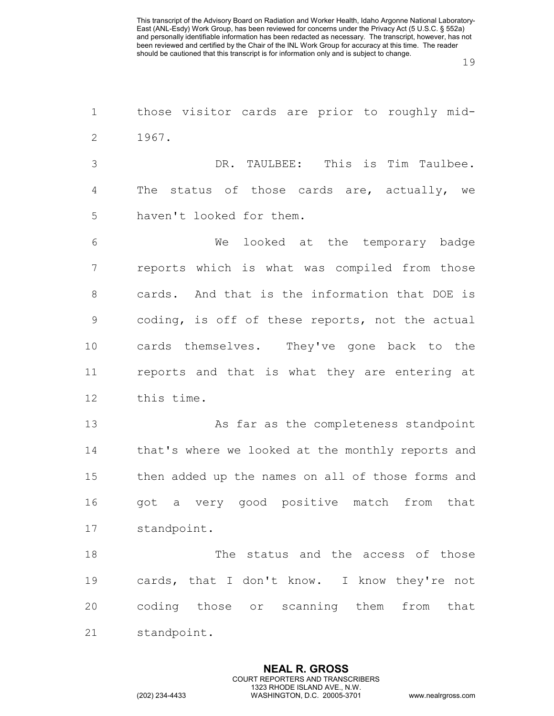those visitor cards are prior to roughly mid- 1967. DR. TAULBEE: This is Tim Taulbee. The status of those cards are, actually, we haven't looked for them. We looked at the temporary badge reports which is what was compiled from those cards. And that is the information that DOE is coding, is off of these reports, not the actual cards themselves. They've gone back to the reports and that is what they are entering at this time. 13 As far as the completeness standpoint 14 that's where we looked at the monthly reports and then added up the names on all of those forms and got a very good positive match from that standpoint.

 The status and the access of those cards, that I don't know. I know they're not coding those or scanning them from that standpoint.

> **NEAL R. GROSS** COURT REPORTERS AND TRANSCRIBERS 1323 RHODE ISLAND AVE., N.W.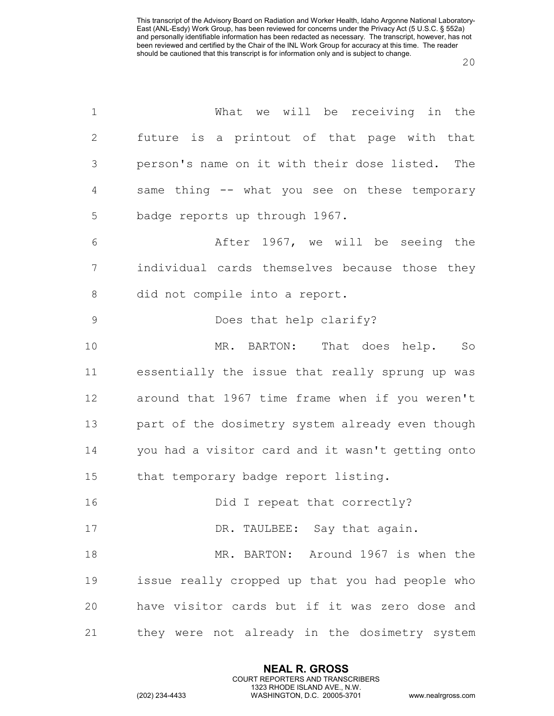| $\mathbf 1$   | What we will be receiving in the                  |
|---------------|---------------------------------------------------|
| $\mathbf{2}$  | future is a printout of that page with that       |
| 3             | person's name on it with their dose listed. The   |
| 4             | same thing -- what you see on these temporary     |
| 5             | badge reports up through 1967.                    |
| 6             | After 1967, we will be seeing the                 |
| 7             | individual cards themselves because those they    |
| 8             | did not compile into a report.                    |
| $\mathcal{G}$ | Does that help clarify?                           |
| 10            | MR. BARTON: That does help.<br>So                 |
| 11            | essentially the issue that really sprung up was   |
| 12            | around that 1967 time frame when if you weren't   |
| 13            | part of the dosimetry system already even though  |
| 14            | you had a visitor card and it wasn't getting onto |
| 15            | that temporary badge report listing.              |
| 16            | Did I repeat that correctly?                      |
| 17            | DR. TAULBEE: Say that again.                      |
| 18            | MR. BARTON: Around 1967 is when the               |
| 19            | issue really cropped up that you had people who   |
| 20            | have visitor cards but if it was zero dose and    |
| 21            | they were not already in the dosimetry system     |

**NEAL R. GROSS** COURT REPORTERS AND TRANSCRIBERS 1323 RHODE ISLAND AVE., N.W.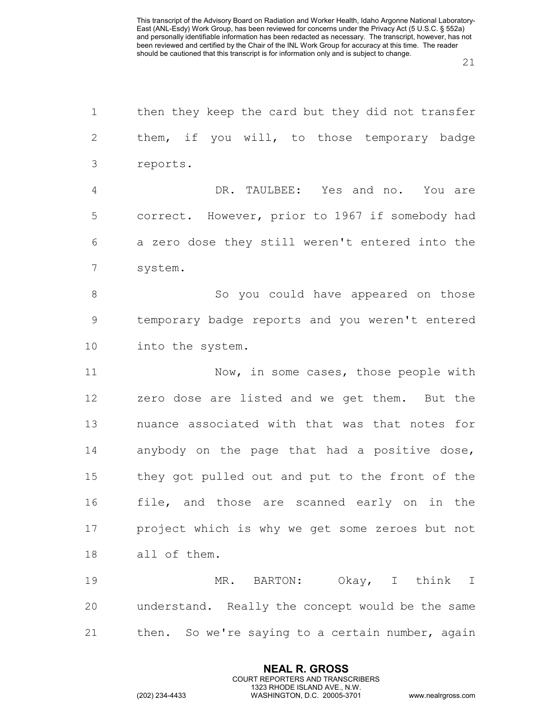| $\mathbf 1$    | then they keep the card but they did not transfer |
|----------------|---------------------------------------------------|
| $\mathbf{2}$   | them, if you will, to those temporary badge       |
| 3              | reports.                                          |
| $\overline{4}$ | DR. TAULBEE: Yes and no. You are                  |
| 5              | correct. However, prior to 1967 if somebody had   |
| 6              | a zero dose they still weren't entered into the   |
| 7              | system.                                           |
| 8              | So you could have appeared on those               |
| $\mathcal{G}$  | temporary badge reports and you weren't entered   |
| 10             | into the system.                                  |
| 11             | Now, in some cases, those people with             |
| 12             | zero dose are listed and we get them. But the     |
| 13             | nuance associated with that was that notes for    |
| 14             | anybody on the page that had a positive dose,     |
| 15             | they got pulled out and put to the front of the   |
| 16             | file, and those are scanned early on in the       |
| 17             | project which is why we get some zeroes but not   |
| 18             | all of them.                                      |
| 19             | MR. BARTON: Okay, I think I                       |
| 20             | understand. Really the concept would be the same  |
| 21             | then. So we're saying to a certain number, again  |

**NEAL R. GROSS** COURT REPORTERS AND TRANSCRIBERS 1323 RHODE ISLAND AVE., N.W.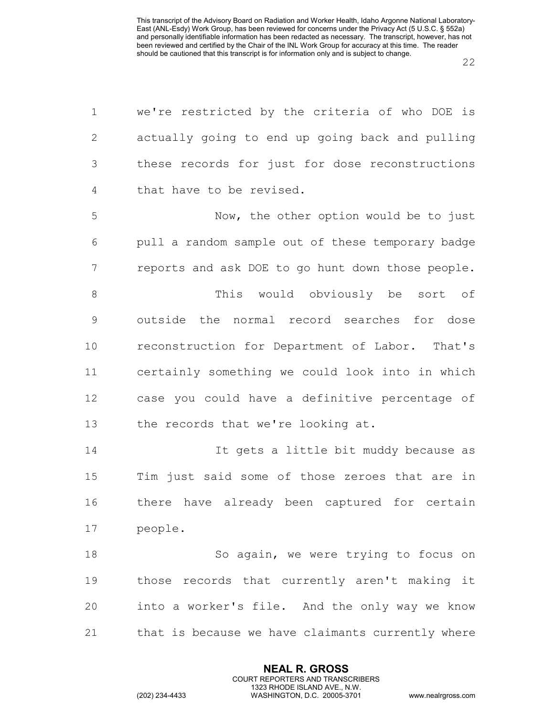| $\mathbf 1$    | we're restricted by the criteria of who DOE is    |
|----------------|---------------------------------------------------|
| $\mathbf{2}$   | actually going to end up going back and pulling   |
| 3              | these records for just for dose reconstructions   |
| 4              | that have to be revised.                          |
| 5              | Now, the other option would be to just            |
| 6              | pull a random sample out of these temporary badge |
| $\overline{7}$ | reports and ask DOE to go hunt down those people. |
| 8              | This would obviously be sort of                   |
| $\mathsf 9$    | outside the normal record searches for dose       |
| 10             | reconstruction for Department of Labor. That's    |
| 11             | certainly something we could look into in which   |
| 12             | case you could have a definitive percentage of    |
| 13             | the records that we're looking at.                |
| 14             | It gets a little bit muddy because as             |
| 15             | Tim just said some of those zeroes that are in    |
| 16             | there have already been captured for certain      |
| 17             | people.                                           |
| 18             | So again, we were trying to focus on              |
| 19             | those records that currently aren't making it     |
| 20             | into a worker's file. And the only way we know    |
| 21             | that is because we have claimants currently where |

**NEAL R. GROSS** COURT REPORTERS AND TRANSCRIBERS 1323 RHODE ISLAND AVE., N.W.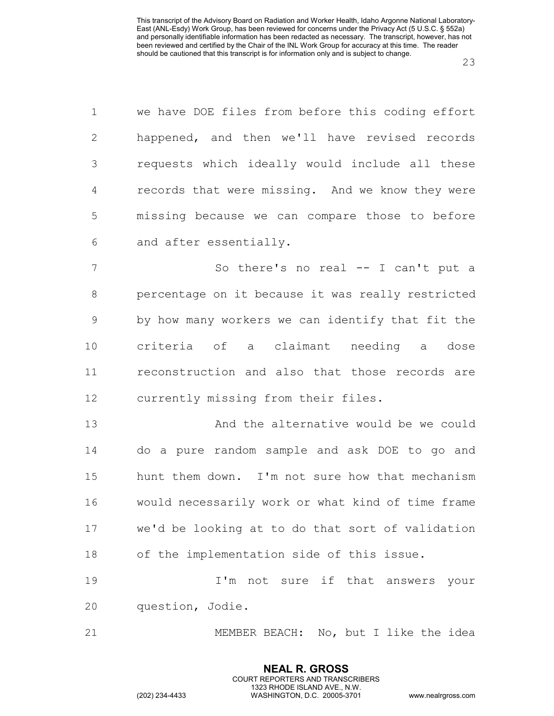| $\mathbf 1$    | we have DOE files from before this coding effort  |
|----------------|---------------------------------------------------|
| $\overline{2}$ | happened, and then we'll have revised records     |
| 3              | requests which ideally would include all these    |
| 4              | records that were missing. And we know they were  |
| 5              | missing because we can compare those to before    |
| 6              | and after essentially.                            |
| 7              | So there's no real -- I can't put a               |
| 8              | percentage on it because it was really restricted |
| $\mathcal{G}$  | by how many workers we can identify that fit the  |
| 10             | criteria of a claimant needing a dose             |
| 11             | reconstruction and also that those records are    |
| 12             | currently missing from their files.               |
| 13             | And the alternative would be we could             |
| 14             | do a pure random sample and ask DOE to go and     |
| 15             | hunt them down. I'm not sure how that mechanism   |
| 16             | would necessarily work or what kind of time frame |
| 17             | we'd be looking at to do that sort of validation  |
| 18             | of the implementation side of this issue.         |
| 19             | I'm not sure if that answers your                 |
| 20             | question, Jodie.                                  |
| 21             | MEMBER BEACH: No, but I like the idea             |

**NEAL R. GROSS** COURT REPORTERS AND TRANSCRIBERS 1323 RHODE ISLAND AVE., N.W.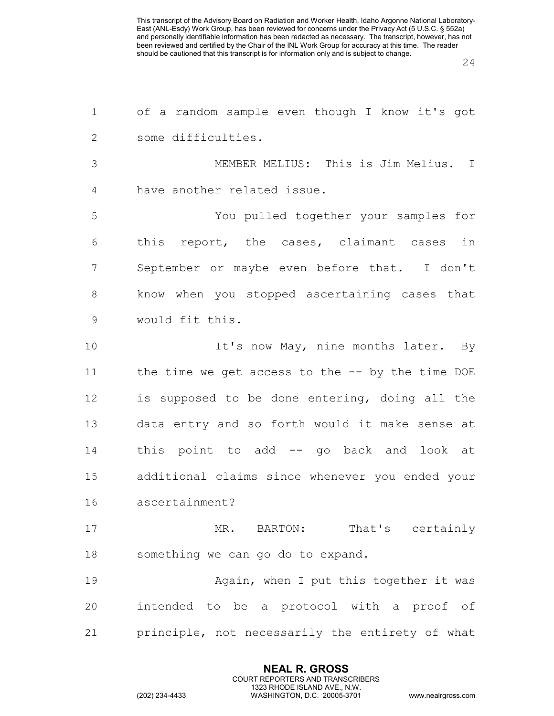| of a random sample even though I know it's got    |
|---------------------------------------------------|
| some difficulties.                                |
| MEMBER MELIUS: This is Jim Melius. I              |
| have another related issue.                       |
| You pulled together your samples for              |
| this report, the cases, claimant cases in         |
| September or maybe even before that. I don't      |
| know when you stopped ascertaining cases that     |
| would fit this.                                   |
| It's now May, nine months later. By               |
| the time we get access to the $-$ by the time DOE |
| is supposed to be done entering, doing all the    |
| data entry and so forth would it make sense at    |
| this point to add -- go back and look at          |
| additional claims since whenever you ended your   |
| ascertainment?                                    |
| MR. BARTON: That's certainly                      |
| something we can go do to expand.                 |
| Again, when I put this together it was            |
| intended to be a protocol with a proof of         |
| principle, not necessarily the entirety of what   |
|                                                   |

**NEAL R. GROSS** COURT REPORTERS AND TRANSCRIBERS 1323 RHODE ISLAND AVE., N.W.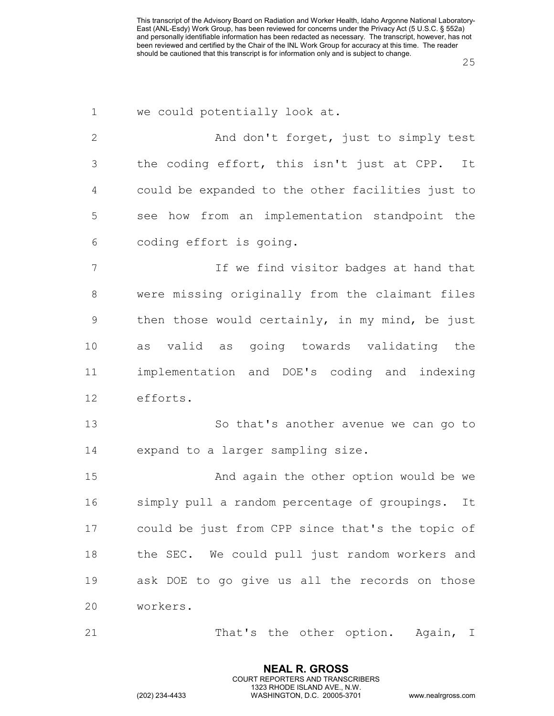| $\mathbf 1$     | we could potentially look at.                       |
|-----------------|-----------------------------------------------------|
| $\mathbf{2}$    | And don't forget, just to simply test               |
| 3               | the coding effort, this isn't just at CPP.<br>It    |
| 4               | could be expanded to the other facilities just to   |
| 5               | see how from an implementation standpoint the       |
| 6               | coding effort is going.                             |
| $7\phantom{.0}$ | If we find visitor badges at hand that              |
| $\,8\,$         | were missing originally from the claimant files     |
| 9               | then those would certainly, in my mind, be just     |
| 10              | as valid as going towards validating the            |
| 11              | implementation and DOE's coding and indexing        |
| 12              | efforts.                                            |
| 13              | So that's another avenue we can go to               |
| 14              | expand to a larger sampling size.                   |
| 15              | And again the other option would be we              |
| 16              | simply pull a random percentage of groupings.<br>It |
| 17              | could be just from CPP since that's the topic of    |
| 18              | the SEC. We could pull just random workers and      |
| 19              | ask DOE to go give us all the records on those      |
| 20              | workers.                                            |
| 21              | That's the other option. Again, I                   |

**NEAL R. GROSS** COURT REPORTERS AND TRANSCRIBERS 1323 RHODE ISLAND AVE., N.W.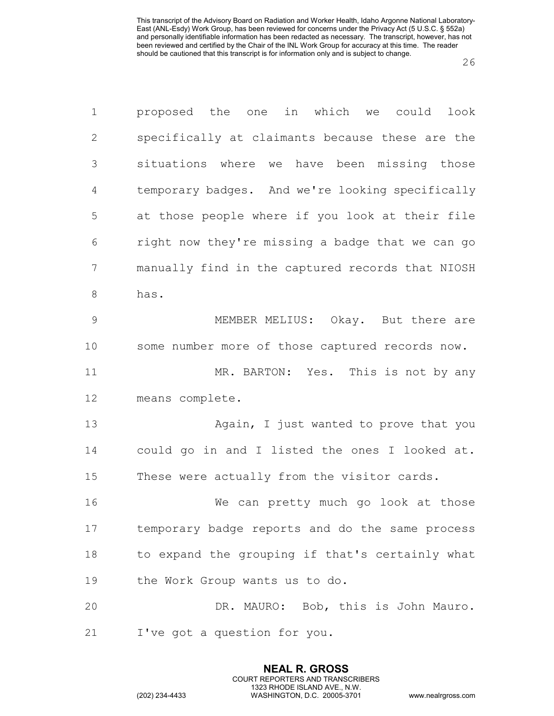| $\mathbf 1$   | proposed the one in which we could look          |
|---------------|--------------------------------------------------|
| $\mathbf{2}$  | specifically at claimants because these are the  |
| 3             | situations where we have been missing those      |
| 4             | temporary badges. And we're looking specifically |
| 5             | at those people where if you look at their file  |
| 6             | right now they're missing a badge that we can go |
| 7             | manually find in the captured records that NIOSH |
| 8             | has.                                             |
| $\mathcal{G}$ | MEMBER MELIUS: Okay. But there are               |
| 10            | some number more of those captured records now.  |
| 11            | MR. BARTON: Yes. This is not by any              |
| 12            | means complete.                                  |
| 13            | Again, I just wanted to prove that you           |
| 14            | could go in and I listed the ones I looked at.   |
| 15            | These were actually from the visitor cards.      |
| 16            | We can pretty much go look at those              |
| 17            | temporary badge reports and do the same process  |
| 18            | to expand the grouping if that's certainly what  |
| 19            | the Work Group wants us to do.                   |
| 20            | DR. MAURO: Bob, this is John Mauro.              |
| 21            | I've got a question for you.                     |

**NEAL R. GROSS** COURT REPORTERS AND TRANSCRIBERS 1323 RHODE ISLAND AVE., N.W.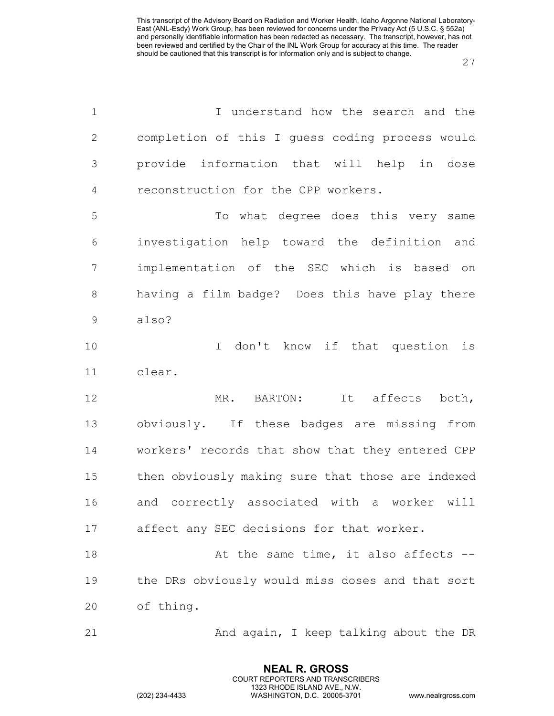| $\mathbf 1$  | I understand how the search and the               |
|--------------|---------------------------------------------------|
| $\mathbf{2}$ | completion of this I guess coding process would   |
| 3            | provide information that will help in dose        |
| 4            | reconstruction for the CPP workers.               |
| 5            | To what degree does this very same                |
| 6            | investigation help toward the definition and      |
| 7            | implementation of the SEC which is based on       |
| 8            | having a film badge? Does this have play there    |
| $\mathsf 9$  | also?                                             |
| 10           | I don't know if that question is                  |
| 11           | clear.                                            |
| 12           | MR. BARTON: It affects both,                      |
| 13           | obviously. If these badges are missing from       |
| 14           | workers' records that show that they entered CPP  |
| 15           | then obviously making sure that those are indexed |
| 16           | and correctly associated with a worker<br>will    |
| 17           | affect any SEC decisions for that worker.         |
| 18           | At the same time, it also affects --              |
| 19           | the DRs obviously would miss doses and that sort  |
| 20           | of thing.                                         |
| 21           | And again, I keep talking about the DR            |

**NEAL R. GROSS** COURT REPORTERS AND TRANSCRIBERS 1323 RHODE ISLAND AVE., N.W.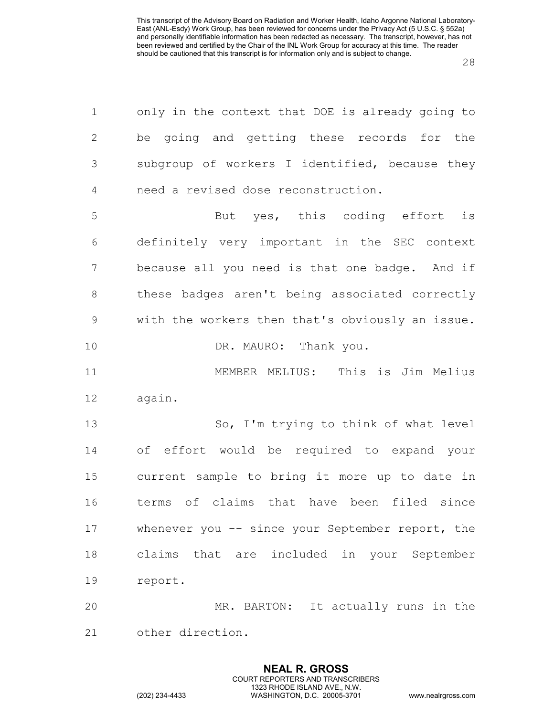| 1              | only in the context that DOE is already going to    |
|----------------|-----------------------------------------------------|
| $\mathbf{2}$   | be going and getting these records for the          |
| $\mathfrak{Z}$ | subgroup of workers I identified, because they      |
| $\overline{4}$ | need a revised dose reconstruction.                 |
| 5              | But yes, this coding effort is                      |
| 6              | definitely very important in the SEC context        |
| 7              | because all you need is that one badge. And if      |
| 8              | these badges aren't being associated correctly      |
| $\mathcal{G}$  | with the workers then that's obviously an issue.    |
| 10             | DR. MAURO: Thank you.                               |
| 11             | MEMBER MELIUS: This is Jim Melius                   |
| 12             | again.                                              |
| 13             | So, I'm trying to think of what level               |
| 14             | of effort would be required to expand your          |
| 15             | current sample to bring it more up to date in       |
| 16             | terms of claims that have been filed since          |
| 17             | whenever you $-$ - since your September report, the |
| 18             | claims that are included in your September          |
| 19             | report.                                             |
| 20             | MR. BARTON: It actually runs in the                 |
| 21             | other direction.                                    |

**NEAL R. GROSS** COURT REPORTERS AND TRANSCRIBERS 1323 RHODE ISLAND AVE., N.W.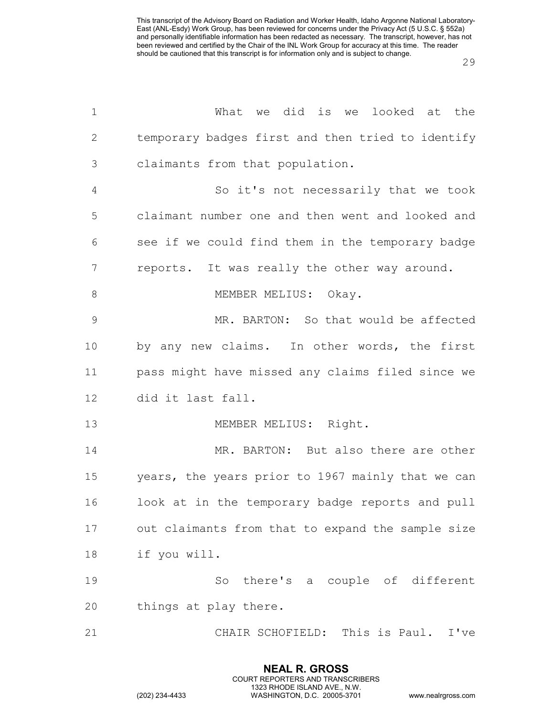| $\mathbf 1$  | What we did is we looked at the                   |
|--------------|---------------------------------------------------|
| $\mathbf{2}$ | temporary badges first and then tried to identify |
| 3            | claimants from that population.                   |
| 4            | So it's not necessarily that we took              |
| 5            | claimant number one and then went and looked and  |
| 6            | see if we could find them in the temporary badge  |
| 7            | reports. It was really the other way around.      |
| $\,8\,$      | MEMBER MELIUS: Okay.                              |
| 9            | MR. BARTON: So that would be affected             |
| 10           | by any new claims. In other words, the first      |
| 11           | pass might have missed any claims filed since we  |
| 12           | did it last fall.                                 |
| 13           | MEMBER MELIUS: Right.                             |
| 14           | MR. BARTON: But also there are other              |
| 15           | years, the years prior to 1967 mainly that we can |
| 16           | look at in the temporary badge reports and pull   |
| 17           | out claimants from that to expand the sample size |
| 18           | if you will.                                      |
| 19           | So there's a couple of different                  |
| 20           | things at play there.                             |
| 21           | CHAIR SCHOFIELD: This is Paul. I've               |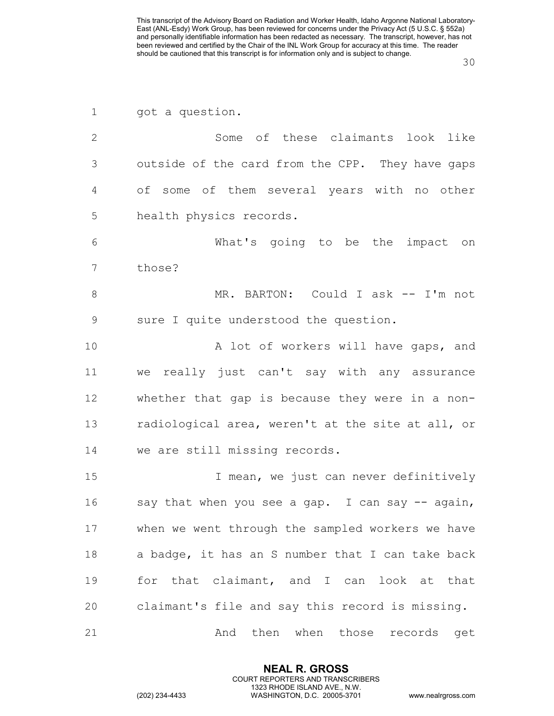| $\mathbf 1$   | got a question.                                   |
|---------------|---------------------------------------------------|
| $\mathbf{2}$  | Some of these claimants look like                 |
| 3             | outside of the card from the CPP. They have gaps  |
| 4             | of some of them several years with no other       |
| 5             | health physics records.                           |
| 6             | What's going to be the impact on                  |
| 7             | those?                                            |
| $8\,$         | MR. BARTON: Could I ask -- I'm not                |
| $\mathcal{G}$ | sure I quite understood the question.             |
| 10            | A lot of workers will have gaps, and              |
| 11            | we really just can't say with any assurance       |
| 12            | whether that gap is because they were in a non-   |
| 13            | radiological area, weren't at the site at all, or |
| 14            | we are still missing records.                     |
| 15            | I mean, we just can never definitively            |
| 16            | say that when you see a gap. I can say -- again,  |
| 17            | when we went through the sampled workers we have  |
| 18            | a badge, it has an S number that I can take back  |
| 19            | for that claimant, and I can look at that         |
| 20            | claimant's file and say this record is missing.   |
| 21            | then when those records<br>And<br>get             |

**NEAL R. GROSS** COURT REPORTERS AND TRANSCRIBERS 1323 RHODE ISLAND AVE., N.W.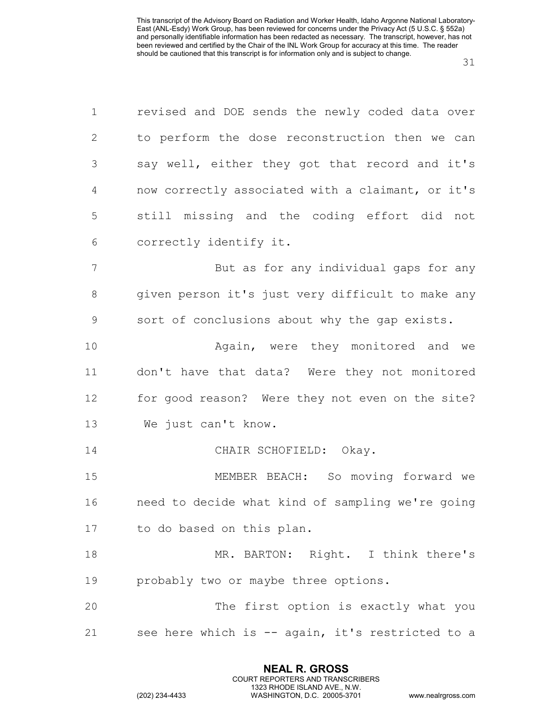| $\mathbf 1$    | revised and DOE sends the newly coded data over   |
|----------------|---------------------------------------------------|
| $\overline{2}$ | to perform the dose reconstruction then we can    |
| 3              | say well, either they got that record and it's    |
| 4              | now correctly associated with a claimant, or it's |
| 5              | still missing and the coding effort did not       |
| 6              | correctly identify it.                            |
| $\overline{7}$ | But as for any individual gaps for any            |
| 8              | given person it's just very difficult to make any |
| $\mathcal{G}$  | sort of conclusions about why the gap exists.     |
| 10             | Again, were they monitored and we                 |
| 11             | don't have that data? Were they not monitored     |
| 12             | for good reason? Were they not even on the site?  |
| 13             | We just can't know.                               |
| 14             | CHAIR SCHOFIELD: Okay.                            |
| 15             | MEMBER BEACH: So moving forward we                |
| 16             | need to decide what kind of sampling we're going  |
| 17             | to do based on this plan.                         |
| 18             | MR. BARTON: Right. I think there's                |
| 19             | probably two or maybe three options.              |
| 20             | The first option is exactly what you              |
| 21             | see here which is -- again, it's restricted to a  |

**NEAL R. GROSS** COURT REPORTERS AND TRANSCRIBERS 1323 RHODE ISLAND AVE., N.W.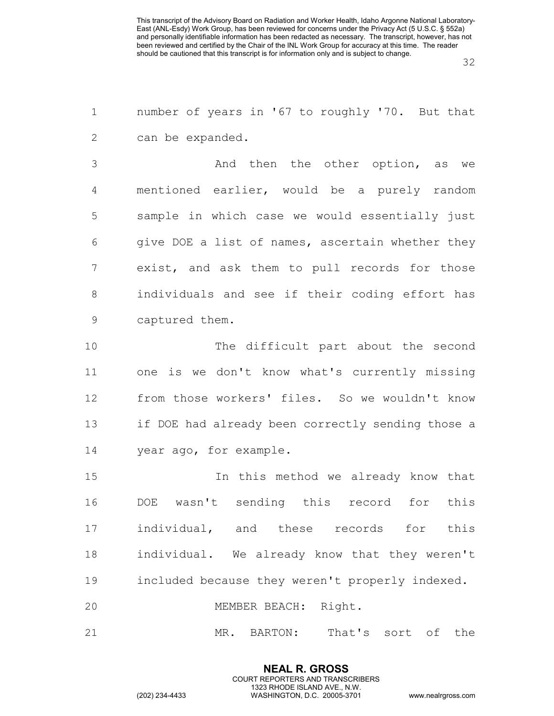number of years in '67 to roughly '70. But that can be expanded.

 And then the other option, as we mentioned earlier, would be a purely random sample in which case we would essentially just give DOE a list of names, ascertain whether they exist, and ask them to pull records for those individuals and see if their coding effort has captured them.

 The difficult part about the second one is we don't know what's currently missing from those workers' files. So we wouldn't know if DOE had already been correctly sending those a year ago, for example.

 In this method we already know that DOE wasn't sending this record for this individual, and these records for this individual. We already know that they weren't included because they weren't properly indexed.

MEMBER BEACH: Right.

MR. BARTON: That's sort of the

**NEAL R. GROSS** COURT REPORTERS AND TRANSCRIBERS 1323 RHODE ISLAND AVE., N.W.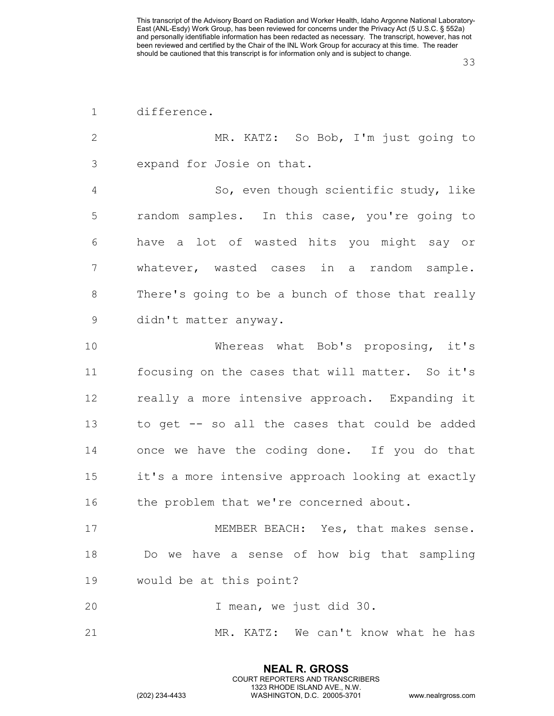| difference. |
|-------------|
|             |

 MR. KATZ: So Bob, I'm just going to expand for Josie on that. So, even though scientific study, like random samples. In this case, you're going to have a lot of wasted hits you might say or whatever, wasted cases in a random sample. There's going to be a bunch of those that really didn't matter anyway. Whereas what Bob's proposing, it's focusing on the cases that will matter. So it's really a more intensive approach. Expanding it to get -- so all the cases that could be added once we have the coding done. If you do that it's a more intensive approach looking at exactly 16 the problem that we're concerned about. MEMBER BEACH: Yes, that makes sense. Do we have a sense of how big that sampling would be at this point?

I mean, we just did 30.

MR. KATZ: We can't know what he has

**NEAL R. GROSS** COURT REPORTERS AND TRANSCRIBERS 1323 RHODE ISLAND AVE., N.W.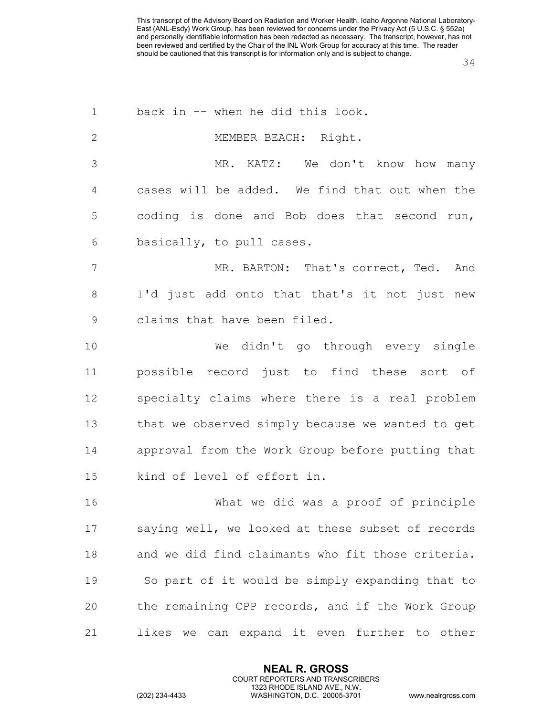| $\mathbf 1$     | back in -- when he did this look.                 |
|-----------------|---------------------------------------------------|
| $\mathbf{2}$    | MEMBER BEACH: Right.                              |
| 3               | MR. KATZ: We don't know how many                  |
| 4               | cases will be added. We find that out when the    |
| 5               | coding is done and Bob does that second run,      |
| 6               | basically, to pull cases.                         |
| $7\phantom{.0}$ | MR. BARTON: That's correct, Ted. And              |
| 8               | I'd just add onto that that's it not just new     |
| $\mathsf 9$     | claims that have been filed.                      |
| 10              | We didn't go through every single                 |
| 11              | possible record just to find these sort of        |
| 12              | specialty claims where there is a real problem    |
| 13              | that we observed simply because we wanted to get  |
| 14              | approval from the Work Group before putting that  |
| 15              | kind of level of effort in.                       |
| 16              | What we did was a proof of principle              |
| 17              | saying well, we looked at these subset of records |
| 18              | and we did find claimants who fit those criteria. |
| 19              | So part of it would be simply expanding that to   |
| 20              | the remaining CPP records, and if the Work Group  |
| 21              | likes we can expand it even further to other      |

**NEAL R. GROSS** COURT REPORTERS AND TRANSCRIBERS 1323 RHODE ISLAND AVE., N.W.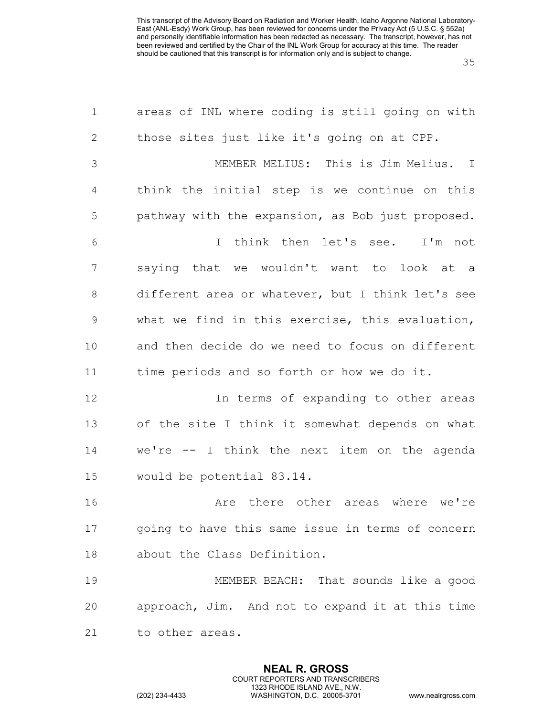| $\mathbf 1$    | areas of INL where coding is still going on with  |
|----------------|---------------------------------------------------|
| $\mathbf{2}$   | those sites just like it's going on at CPP.       |
| 3              | MEMBER MELIUS: This is Jim Melius. I              |
| $\overline{4}$ | think the initial step is we continue on this     |
| 5              | pathway with the expansion, as Bob just proposed. |
| 6              | I think then let's see. I'm not                   |
| 7              | saying that we wouldn't want to look at a         |
| $8\,$          | different area or whatever, but I think let's see |
| $\mathsf 9$    | what we find in this exercise, this evaluation,   |
| 10             | and then decide do we need to focus on different  |
| 11             | time periods and so forth or how we do it.        |
| 12             | In terms of expanding to other areas              |
| 13             | of the site I think it somewhat depends on what   |
| 14             | we're -- I think the next item on the agenda      |
| 15             | would be potential 83.14.                         |
| 16             | Are there other areas where we're                 |
| 17             | going to have this same issue in terms of concern |
| 18             | about the Class Definition.                       |
| 19             | MEMBER BEACH: That sounds like a good             |
| 20             | approach, Jim. And not to expand it at this time  |
| 21             | to other areas.                                   |

**NEAL R. GROSS** COURT REPORTERS AND TRANSCRIBERS 1323 RHODE ISLAND AVE., N.W.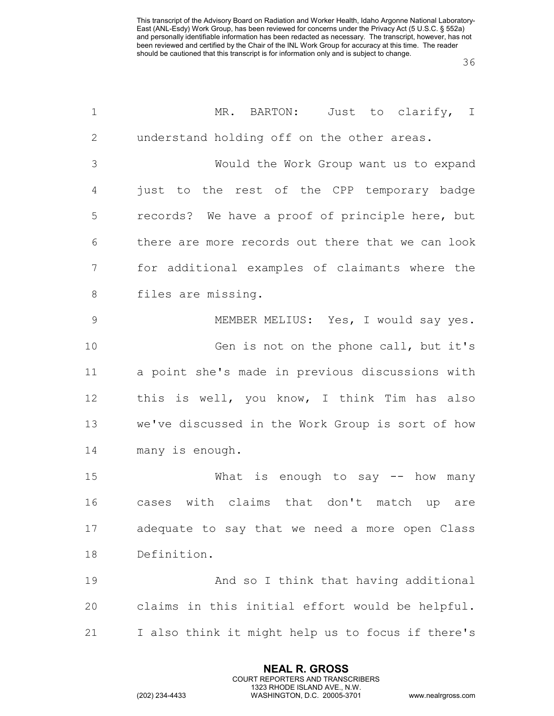| $\mathbf 1$  | MR. BARTON:<br>Just to clarify, I                 |
|--------------|---------------------------------------------------|
| $\mathbf{2}$ | understand holding off on the other areas.        |
| 3            | Would the Work Group want us to expand            |
| 4            | just to the rest of the CPP temporary badge       |
| 5            | records? We have a proof of principle here, but   |
| 6            | there are more records out there that we can look |
| 7            | for additional examples of claimants where the    |
| $8\,$        | files are missing.                                |
| $\mathsf 9$  | MEMBER MELIUS: Yes, I would say yes.              |
| 10           | Gen is not on the phone call, but it's            |
| 11           | a point she's made in previous discussions with   |
| 12           | this is well, you know, I think Tim has also      |
| 13           | we've discussed in the Work Group is sort of how  |
| 14           | many is enough.                                   |
| 15           | What is enough to say $-$ how many                |
| 16           | with claims that don't match up<br>cases<br>are   |
| 17           | adequate to say that we need a more open Class    |
| 18           | Definition.                                       |
| 19           | And so I think that having additional             |
| 20           | claims in this initial effort would be helpful.   |
| 21           | I also think it might help us to focus if there's |

**NEAL R. GROSS** COURT REPORTERS AND TRANSCRIBERS 1323 RHODE ISLAND AVE., N.W.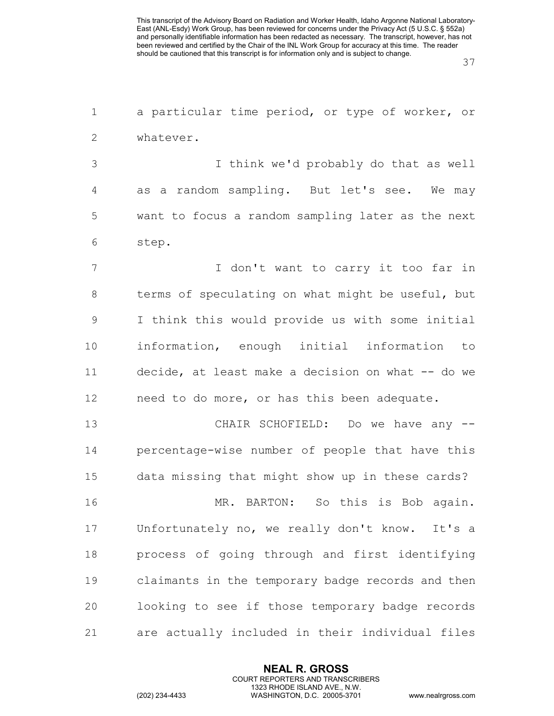a particular time period, or type of worker, or whatever.

 I think we'd probably do that as well as a random sampling. But let's see. We may want to focus a random sampling later as the next step.

7 I don't want to carry it too far in terms of speculating on what might be useful, but I think this would provide us with some initial information, enough initial information to decide, at least make a decision on what -- do we need to do more, or has this been adequate.

 CHAIR SCHOFIELD: Do we have any -- percentage-wise number of people that have this data missing that might show up in these cards?

 MR. BARTON: So this is Bob again. Unfortunately no, we really don't know. It's a process of going through and first identifying claimants in the temporary badge records and then looking to see if those temporary badge records are actually included in their individual files

> **NEAL R. GROSS** COURT REPORTERS AND TRANSCRIBERS 1323 RHODE ISLAND AVE., N.W.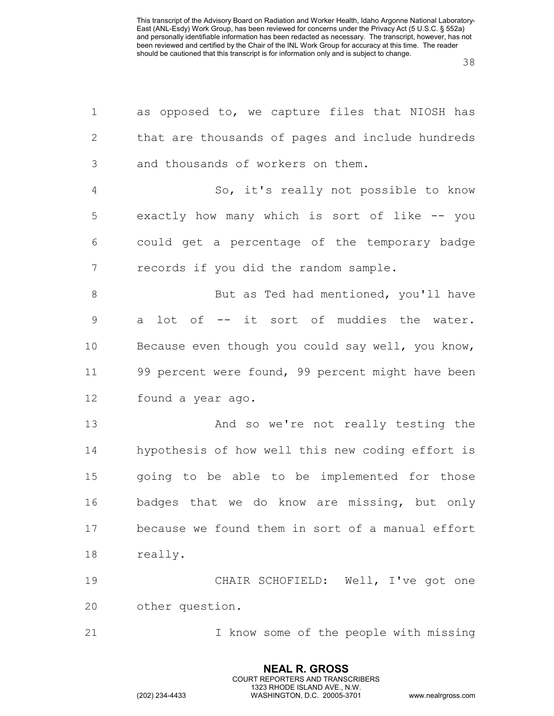| $\mathbf 1$    | as opposed to, we capture files that NIOSH has    |
|----------------|---------------------------------------------------|
| $\mathbf{2}$   | that are thousands of pages and include hundreds  |
| 3              | and thousands of workers on them.                 |
| $\overline{4}$ | So, it's really not possible to know              |
| 5              | exactly how many which is sort of like -- you     |
| 6              | could get a percentage of the temporary badge     |
| $7\phantom{.}$ | records if you did the random sample.             |
| $\,8\,$        | But as Ted had mentioned, you'll have             |
| $\mathsf 9$    | a lot of -- it sort of muddies the water.         |
| 10             | Because even though you could say well, you know, |
| 11             | 99 percent were found, 99 percent might have been |
| 12             | found a year ago.                                 |
| 13             | And so we're not really testing the               |
| 14             | hypothesis of how well this new coding effort is  |
| 15             | going to be able to be implemented for those      |
| 16             | badges that we do know are missing, but only      |
| 17             | because we found them in sort of a manual effort  |
| 18             | really.                                           |
| 19             | CHAIR SCHOFIELD: Well, I've got one               |
| 20             | other question.                                   |
| 21             | I know some of the people with missing            |
|                |                                                   |

**NEAL R. GROSS** COURT REPORTERS AND TRANSCRIBERS 1323 RHODE ISLAND AVE., N.W.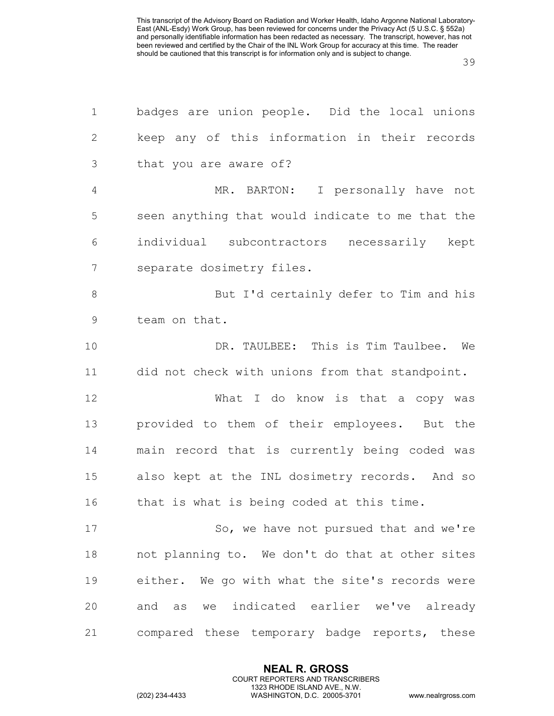| $\mathbf 1$   | badges are union people. Did the local unions    |
|---------------|--------------------------------------------------|
| $\mathbf{2}$  | keep any of this information in their records    |
| 3             | that you are aware of?                           |
| 4             | MR. BARTON: I personally have not                |
| 5             | seen anything that would indicate to me that the |
| 6             | individual subcontractors necessarily kept       |
| 7             | separate dosimetry files.                        |
| $8\,$         | But I'd certainly defer to Tim and his           |
| $\mathcal{G}$ | team on that.                                    |
| 10            | DR. TAULBEE: This is Tim Taulbee. We             |
| 11            | did not check with unions from that standpoint.  |
| 12            | What I do know is that a copy was                |
| 13            | provided to them of their employees. But the     |
| 14            | main record that is currently being coded was    |
| 15            | also kept at the INL dosimetry records. And so   |
| 16            | that is what is being coded at this time.        |
| 17            | So, we have not pursued that and we're           |
| 18            | not planning to. We don't do that at other sites |
| 19            | either. We go with what the site's records were  |
| 20            | and as we indicated earlier we've already        |
| 21            | compared these temporary badge reports, these    |

**NEAL R. GROSS** COURT REPORTERS AND TRANSCRIBERS 1323 RHODE ISLAND AVE., N.W.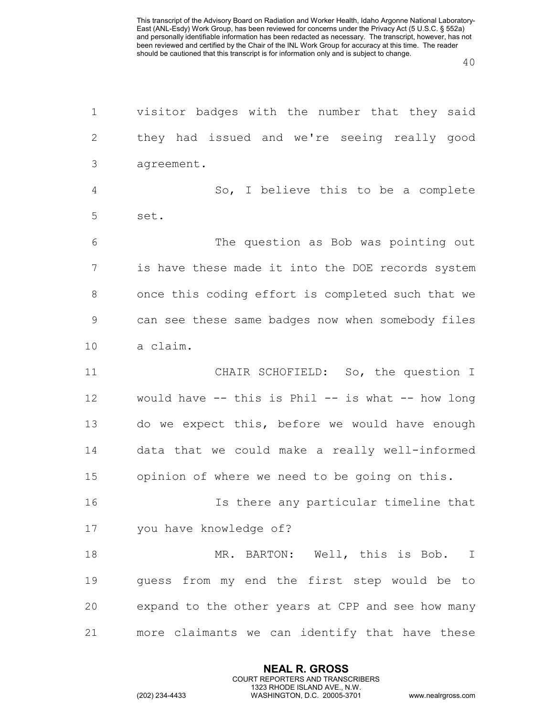| $\mathbf 1$    | visitor badges with the number that they said     |
|----------------|---------------------------------------------------|
| $\mathbf{2}$   | they had issued and we're seeing really good      |
| 3              | agreement.                                        |
| $\overline{4}$ | So, I believe this to be a complete               |
| 5              | set.                                              |
| 6              | The question as Bob was pointing out              |
| 7              | is have these made it into the DOE records system |
| 8              | once this coding effort is completed such that we |
| 9              | can see these same badges now when somebody files |
| 10             | a claim.                                          |
| 11             | CHAIR SCHOFIELD: So, the question I               |
| 12             | would have -- this is Phil -- is what -- how long |
| 13             | do we expect this, before we would have enough    |
| 14             | data that we could make a really well-informed    |
| 15             | opinion of where we need to be going on this.     |
| 16             | Is there any particular timeline that             |
| 17             | you have knowledge of?                            |
| 18             | MR. BARTON: Well, this is Bob. I                  |
| 19             | guess from my end the first step would be to      |
| 20             | expand to the other years at CPP and see how many |
| 21             | more claimants we can identify that have these    |
|                |                                                   |

**NEAL R. GROSS** COURT REPORTERS AND TRANSCRIBERS 1323 RHODE ISLAND AVE., N.W.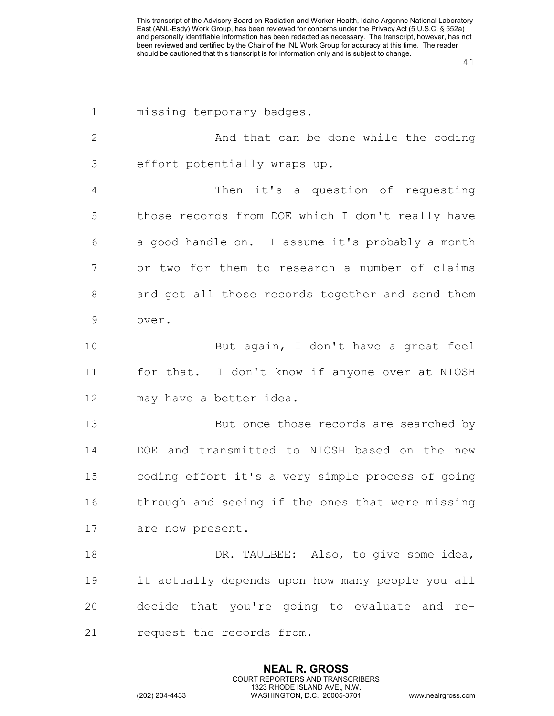| $\mathbf 1$    | missing temporary badges.                         |
|----------------|---------------------------------------------------|
| $\mathbf{2}$   | And that can be done while the coding             |
| 3              | effort potentially wraps up.                      |
| $\overline{4}$ | Then it's a question of requesting                |
| 5              | those records from DOE which I don't really have  |
| 6              | a good handle on. I assume it's probably a month  |
| 7              | or two for them to research a number of claims    |
| 8              | and get all those records together and send them  |
| $\mathsf 9$    | over.                                             |
| 10             | But again, I don't have a great feel              |
| 11             | for that. I don't know if anyone over at NIOSH    |
| 12             | may have a better idea.                           |
| 13             | But once those records are searched by            |
| 14             | DOE and transmitted to NIOSH based on the new     |
| 15             | coding effort it's a very simple process of going |
| 16             | through and seeing if the ones that were missing  |
| 17             | are now present.                                  |
| 18             | DR. TAULBEE: Also, to give some idea,             |
| 19             | it actually depends upon how many people you all  |
| 20             | decide that you're going to evaluate and re-      |
| 21             | request the records from.                         |

**NEAL R. GROSS** COURT REPORTERS AND TRANSCRIBERS 1323 RHODE ISLAND AVE., N.W.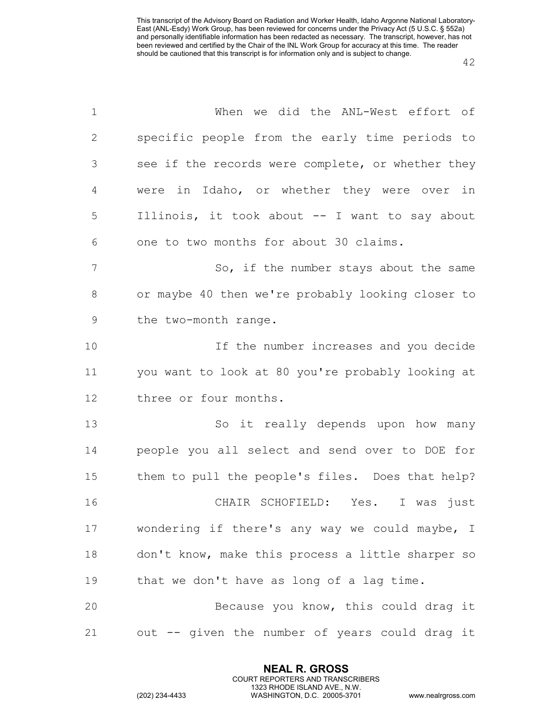| $\mathbf 1$  | When we did the ANL-West effort of                |
|--------------|---------------------------------------------------|
| $\mathbf{2}$ | specific people from the early time periods to    |
| 3            | see if the records were complete, or whether they |
| 4            | were in Idaho, or whether they were over in       |
| 5            | Illinois, it took about -- I want to say about    |
| 6            | one to two months for about 30 claims.            |
| 7            | So, if the number stays about the same            |
| 8            | or maybe 40 then we're probably looking closer to |
| 9            | the two-month range.                              |
| 10           | If the number increases and you decide            |
| 11           | you want to look at 80 you're probably looking at |
| 12           | three or four months.                             |
| 13           | So it really depends upon how many                |
| 14           | people you all select and send over to DOE for    |
| 15           | them to pull the people's files. Does that help?  |
| 16           | CHAIR SCHOFIELD: Yes. I was just                  |
| 17           | wondering if there's any way we could maybe, I    |
| 18           | don't know, make this process a little sharper so |
| 19           | that we don't have as long of a lag time.         |
| 20           | Because you know, this could drag it              |
| 21           | out -- given the number of years could drag it    |

**NEAL R. GROSS** COURT REPORTERS AND TRANSCRIBERS 1323 RHODE ISLAND AVE., N.W.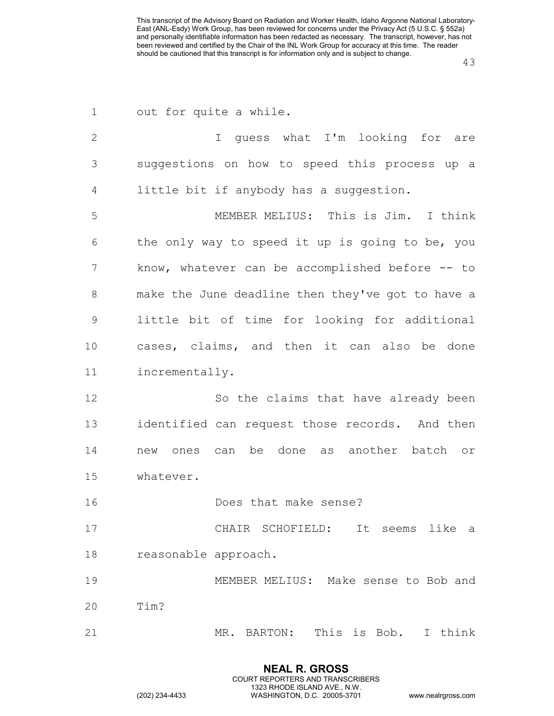| 1              | out for quite a while.                             |
|----------------|----------------------------------------------------|
| $\mathbf{2}$   | I guess what I'm looking for are                   |
| 3              | suggestions on how to speed this process up a      |
| $\overline{4}$ | little bit if anybody has a suggestion.            |
| 5              | MEMBER MELIUS: This is Jim. I think                |
| 6              | the only way to speed it up is going to be, you    |
| 7              | know, whatever can be accomplished before $-$ - to |
| 8              | make the June deadline then they've got to have a  |
| $\mathsf 9$    | little bit of time for looking for additional      |
| 10             | cases, claims, and then it can also be done        |
| 11             | incrementally.                                     |
| 12             | So the claims that have already been               |
| 13             | identified can request those records. And then     |
| 14             | ones can be done as another batch or<br>new        |
| 15             | whatever.                                          |
| 16             | Does that make sense?                              |
| 17             | CHAIR SCHOFIELD: It seems like a                   |
| 18             | reasonable approach.                               |
| 19             | MEMBER MELIUS: Make sense to Bob and               |
| 20             | Tim?                                               |
| 21             | MR. BARTON: This is Bob. I think                   |

**NEAL R. GROSS** COURT REPORTERS AND TRANSCRIBERS 1323 RHODE ISLAND AVE., N.W.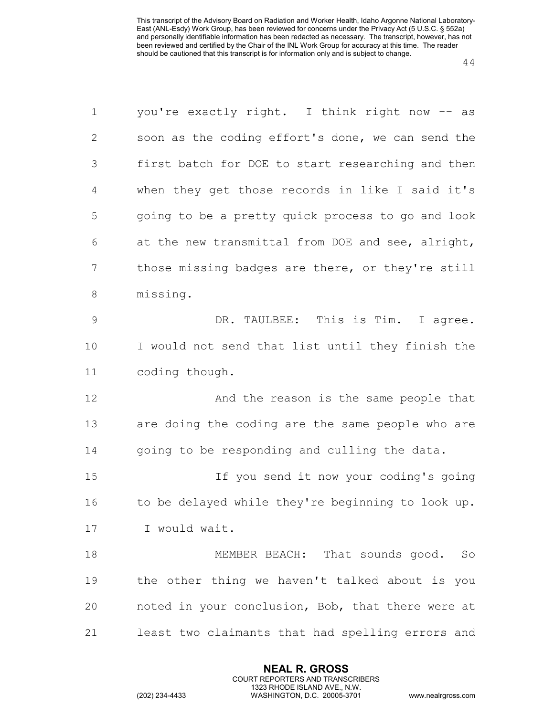| $\mathbf 1$    | you're exactly right. I think right now -- as     |
|----------------|---------------------------------------------------|
| 2              | soon as the coding effort's done, we can send the |
| 3              | first batch for DOE to start researching and then |
| $\overline{4}$ | when they get those records in like I said it's   |
| 5              | going to be a pretty quick process to go and look |
| 6              | at the new transmittal from DOE and see, alright, |
| 7              | those missing badges are there, or they're still  |
| 8              | missing.                                          |
| $\mathsf 9$    | DR. TAULBEE: This is Tim. I agree.                |
| 10             | I would not send that list until they finish the  |
| 11             | coding though.                                    |
| 12             | And the reason is the same people that            |
| 13             | are doing the coding are the same people who are  |
| 14             | going to be responding and culling the data.      |
| 15             | If you send it now your coding's going            |
| 16             | to be delayed while they're beginning to look up. |
| 17             | I would wait.                                     |
| 18             | MEMBER BEACH: That sounds good. So                |
| 19             | the other thing we haven't talked about is you    |
| 20             | noted in your conclusion, Bob, that there were at |
| 21             | least two claimants that had spelling errors and  |

**NEAL R. GROSS** COURT REPORTERS AND TRANSCRIBERS 1323 RHODE ISLAND AVE., N.W.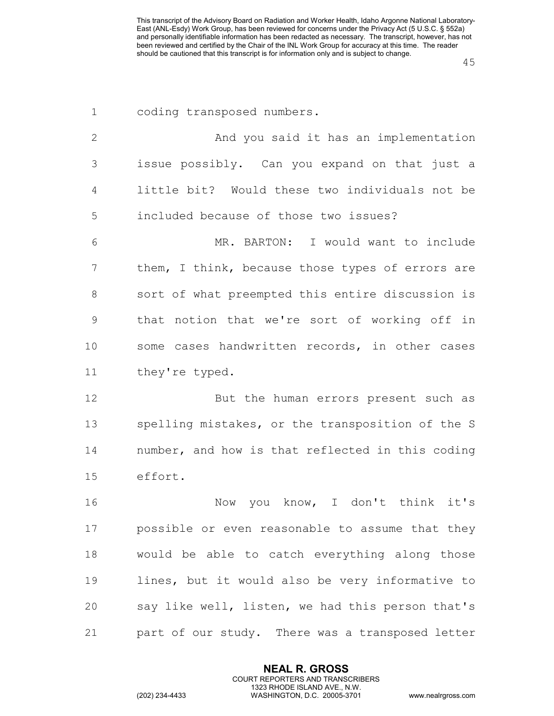| $\mathbf 1$  | coding transposed numbers.                       |
|--------------|--------------------------------------------------|
| $\mathbf{2}$ | And you said it has an implementation            |
| 3            | issue possibly. Can you expand on that just a    |
| 4            | little bit? Would these two individuals not be   |
| 5            | included because of those two issues?            |
| 6            | MR. BARTON: I would want to include              |
| 7            | them, I think, because those types of errors are |
| 8            | sort of what preempted this entire discussion is |
| $\mathsf 9$  | that notion that we're sort of working off in    |
| 10           | some cases handwritten records, in other cases   |
| 11           | they're typed.                                   |
| 12           | But the human errors present such as             |
| 13           | spelling mistakes, or the transposition of the S |
| 14           | number, and how is that reflected in this coding |
| 15           | effort.                                          |
| 16           | you know, I don't think it's<br>Now              |
| 17           | possible or even reasonable to assume that they  |
| 18           | would be able to catch everything along those    |
| 19           | lines, but it would also be very informative to  |
| 20           | say like well, listen, we had this person that's |
| 21           | part of our study. There was a transposed letter |

**NEAL R. GROSS** COURT REPORTERS AND TRANSCRIBERS 1323 RHODE ISLAND AVE., N.W.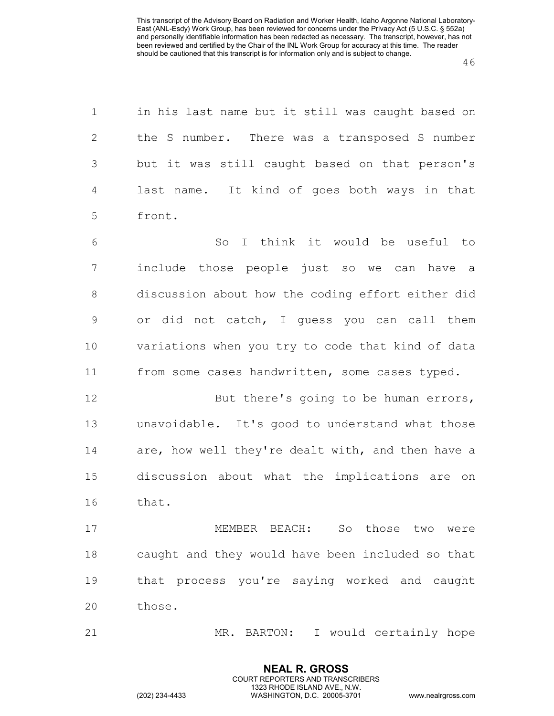| $\mathbf 1$     | in his last name but it still was caught based on |
|-----------------|---------------------------------------------------|
| $\mathbf{2}$    | the S number. There was a transposed S number     |
| $\mathfrak{Z}$  | but it was still caught based on that person's    |
| 4               | last name. It kind of goes both ways in that      |
| 5               | front.                                            |
| 6               | So I think it would be useful to                  |
| $7\phantom{.0}$ | include those people just so we can have a        |
| $\,8\,$         | discussion about how the coding effort either did |
| $\mathsf 9$     | or did not catch, I guess you can call them       |
| 10              | variations when you try to code that kind of data |
| 11              | from some cases handwritten, some cases typed.    |
| 12              | But there's going to be human errors,             |
| 13              | unavoidable. It's good to understand what those   |
| 14              | are, how well they're dealt with, and then have a |
| 15              | discussion about what the implications are on     |
| 16              | that.                                             |
| 17              | MEMBER BEACH: So those two were                   |
| 18              | caught and they would have been included so that  |
| 19              | that process you're saying worked and caught      |
| 20              | those.                                            |
| 21              | MR. BARTON: I would certainly hope                |

**NEAL R. GROSS** COURT REPORTERS AND TRANSCRIBERS 1323 RHODE ISLAND AVE., N.W.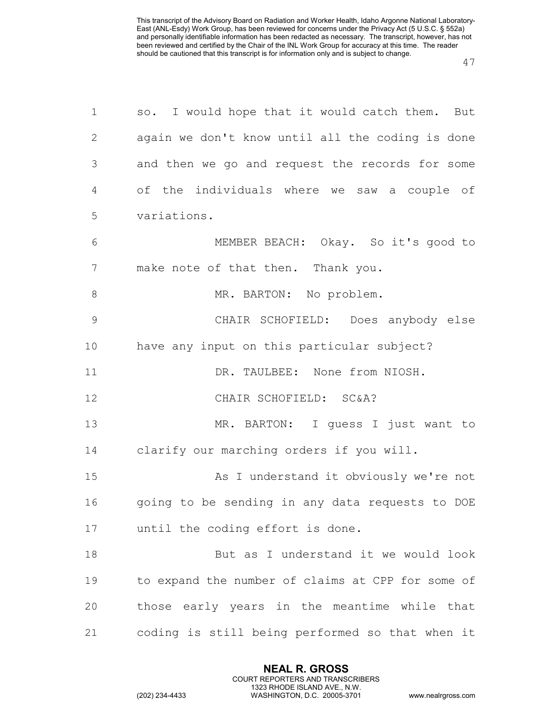| $\mathbf 1$   | so. I would hope that it would catch them. But    |
|---------------|---------------------------------------------------|
| $\mathbf{2}$  | again we don't know until all the coding is done  |
| 3             | and then we go and request the records for some   |
| 4             | of the individuals where we saw a couple of       |
| 5             | variations.                                       |
| 6             | MEMBER BEACH: Okay. So it's good to               |
| 7             | make note of that then. Thank you.                |
| $8\,$         | MR. BARTON: No problem.                           |
| $\mathcal{G}$ | CHAIR SCHOFIELD: Does anybody else                |
| 10            | have any input on this particular subject?        |
| 11            | DR. TAULBEE: None from NIOSH.                     |
| 12            | CHAIR SCHOFIELD: SC&A?                            |
| 13            | MR. BARTON: I quess I just want to                |
| 14            | clarify our marching orders if you will.          |
| 15            | As I understand it obviously we're not            |
| 16            | going to be sending in any data requests to DOE   |
| 17            | until the coding effort is done.                  |
| 18            | But as I understand it we would look              |
| 19            | to expand the number of claims at CPP for some of |
| 20            | those early years in the meantime while that      |
| 21            | coding is still being performed so that when it   |

**NEAL R. GROSS** COURT REPORTERS AND TRANSCRIBERS 1323 RHODE ISLAND AVE., N.W.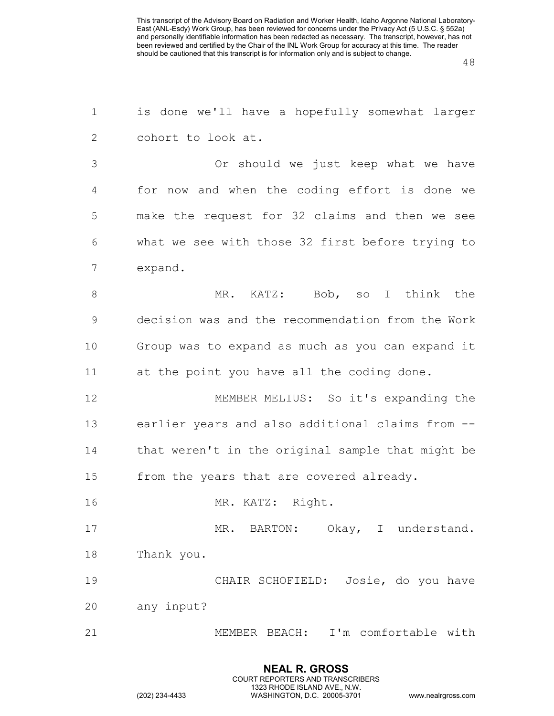| $\mathbf 1$ | is done we'll have a hopefully somewhat larger    |
|-------------|---------------------------------------------------|
| 2           | cohort to look at.                                |
| 3           | Or should we just keep what we have               |
| 4           | for now and when the coding effort is done we     |
| 5           | make the request for 32 claims and then we see    |
| 6           | what we see with those 32 first before trying to  |
| 7           | expand.                                           |
| $8\,$       | MR. KATZ: Bob, so I think the                     |
| 9           | decision was and the recommendation from the Work |
| 10          | Group was to expand as much as you can expand it  |
| 11          | at the point you have all the coding done.        |
| 12          | MEMBER MELIUS: So it's expanding the              |
| 13          | earlier years and also additional claims from --  |
| 14          | that weren't in the original sample that might be |
| 15          | from the years that are covered already.          |
| 16          | MR. KATZ: Right.                                  |
| 17          | MR. BARTON: Okay, I understand.                   |
| 18          | Thank you.                                        |
| 19          | CHAIR SCHOFIELD: Josie, do you have               |
| 20          | any input?                                        |
| 21          | MEMBER BEACH: I'm comfortable with                |
|             |                                                   |

**NEAL R. GROSS** COURT REPORTERS AND TRANSCRIBERS 1323 RHODE ISLAND AVE., N.W.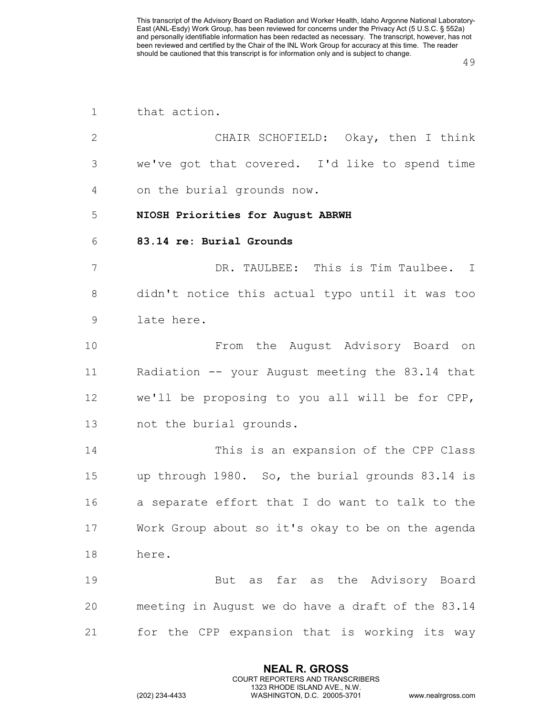| 1              | that action.                                      |
|----------------|---------------------------------------------------|
| $\mathbf{2}$   | CHAIR SCHOFIELD: Okay, then I think               |
| 3              | we've got that covered. I'd like to spend time    |
| $\overline{4}$ | on the burial grounds now.                        |
| 5              | NIOSH Priorities for August ABRWH                 |
| 6              | 83.14 re: Burial Grounds                          |
| 7              | DR. TAULBEE: This is Tim Taulbee. I               |
| 8              | didn't notice this actual typo until it was too   |
| $\mathsf 9$    | late here.                                        |
| 10             | From the August Advisory Board on                 |
| 11             | Radiation -- your August meeting the 83.14 that   |
| 12             | we'll be proposing to you all will be for CPP,    |
| 13             | not the burial grounds.                           |
| 14             | This is an expansion of the CPP Class             |
| 15             | up through 1980. So, the burial grounds 83.14 is  |
| 16             | a separate effort that I do want to talk to the   |
| 17             | Work Group about so it's okay to be on the agenda |
| 18             | here.                                             |
| 19             | But as far as the Advisory Board                  |
| 20             | meeting in August we do have a draft of the 83.14 |
| 21             | for the CPP expansion that is working its way     |

**NEAL R. GROSS** COURT REPORTERS AND TRANSCRIBERS 1323 RHODE ISLAND AVE., N.W.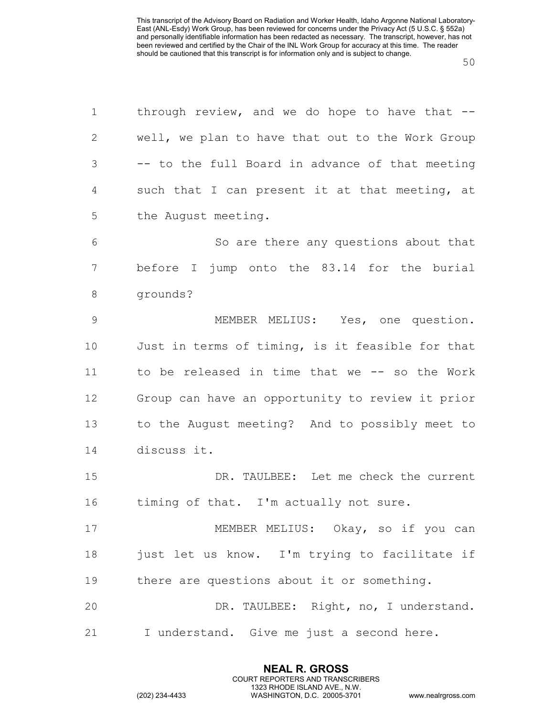| $\mathbf 1$    | through review, and we do hope to have that $-$ - |
|----------------|---------------------------------------------------|
| $\mathbf{2}$   | well, we plan to have that out to the Work Group  |
| $\mathcal{S}$  | -- to the full Board in advance of that meeting   |
| 4              | such that I can present it at that meeting, at    |
| 5              | the August meeting.                               |
| 6              | So are there any questions about that             |
| $\overline{7}$ | before I jump onto the 83.14 for the burial       |
| 8              | grounds?                                          |
| $\mathcal{G}$  | MEMBER MELIUS: Yes, one question.                 |
| 10             | Just in terms of timing, is it feasible for that  |
| 11             | to be released in time that we -- so the Work     |
| 12             | Group can have an opportunity to review it prior  |
| 13             | to the August meeting? And to possibly meet to    |
| 14             | discuss it.                                       |
| 15             | DR. TAULBEE: Let me check the current             |
| 16             | timing of that. I'm actually not sure.            |
| 17             | MEMBER MELIUS: Okay, so if you can                |
| 18             | just let us know. I'm trying to facilitate if     |
| 19             | there are questions about it or something.        |
| 20             | DR. TAULBEE: Right, no, I understand.             |
| 21             | I understand. Give me just a second here.         |

**NEAL R. GROSS** COURT REPORTERS AND TRANSCRIBERS 1323 RHODE ISLAND AVE., N.W.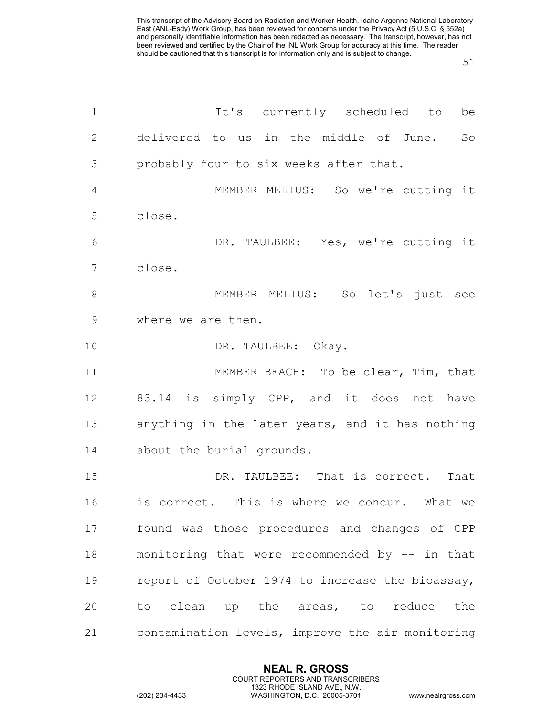| $\mathbf 1$    | It's currently scheduled to<br>be                |
|----------------|--------------------------------------------------|
| $\mathbf{2}$   | delivered to us in the middle of June.<br>So     |
| 3              | probably four to six weeks after that.           |
| $\overline{4}$ | MEMBER MELIUS: So we're cutting it               |
| 5              | close.                                           |
| 6              | DR. TAULBEE: Yes, we're cutting it               |
| 7              | close.                                           |
| $8\,$          | MEMBER MELIUS: So let's just see                 |
| $\mathsf 9$    | where we are then.                               |
| 10             | DR. TAULBEE: Okay.                               |
| 11             | MEMBER BEACH: To be clear, Tim, that             |
| 12             | 83.14 is simply CPP, and it does not have        |
| 13             | anything in the later years, and it has nothing  |
| 14             | about the burial grounds.                        |
| 15             | DR. TAULBEE: That is correct. That               |
| 16             | is correct. This is where we concur. What we     |
| 17             | found was those procedures and changes of CPP    |
| 18             | monitoring that were recommended by -- in that   |
| 19             | report of October 1974 to increase the bioassay, |
| 20             | to clean up the areas, to reduce the             |
| 21             | contamination levels, improve the air monitoring |
|                |                                                  |

**NEAL R. GROSS** COURT REPORTERS AND TRANSCRIBERS 1323 RHODE ISLAND AVE., N.W.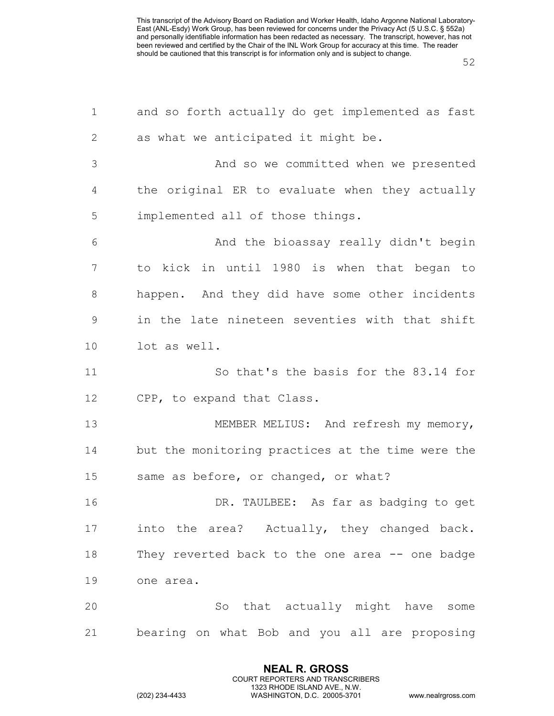| $\mathbf 1$  | and so forth actually do get implemented as fast  |
|--------------|---------------------------------------------------|
| $\mathbf{2}$ | as what we anticipated it might be.               |
| 3            | And so we committed when we presented             |
| 4            | the original ER to evaluate when they actually    |
| 5            | implemented all of those things.                  |
| 6            | And the bioassay really didn't begin              |
| 7            | to kick in until 1980 is when that began to       |
| 8            | happen. And they did have some other incidents    |
| $\mathsf 9$  | in the late nineteen seventies with that shift    |
| 10           | lot as well.                                      |
| 11           | So that's the basis for the 83.14 for             |
| 12           | CPP, to expand that Class.                        |
| 13           | MEMBER MELIUS: And refresh my memory,             |
| 14           | but the monitoring practices at the time were the |
| 15           | same as before, or changed, or what?              |
| 16           | DR. TAULBEE: As far as badging to get             |
| 17           | into the area? Actually, they changed back.       |
| 18           | They reverted back to the one area -- one badge   |
| 19           | one area.                                         |
| 20           | So that actually might have some                  |
| 21           | bearing on what Bob and you all are proposing     |

**NEAL R. GROSS** COURT REPORTERS AND TRANSCRIBERS 1323 RHODE ISLAND AVE., N.W.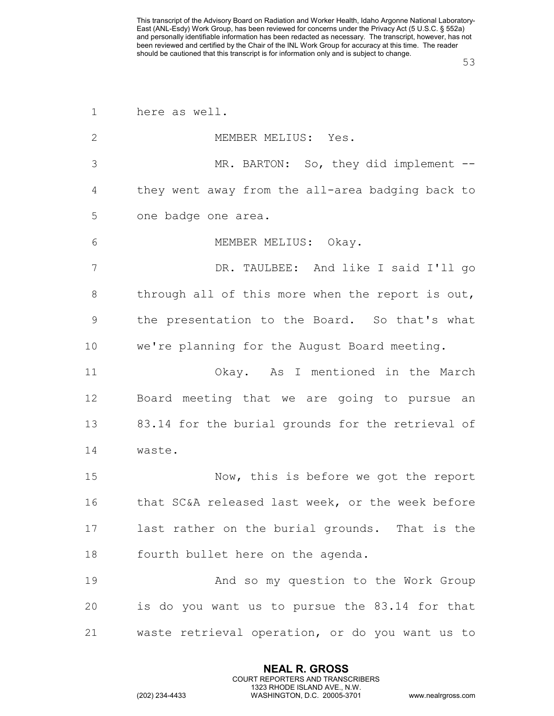| $\mathbf 1$   | here as well.                                     |
|---------------|---------------------------------------------------|
| $\mathbf{2}$  | MEMBER MELIUS: Yes.                               |
| 3             | MR. BARTON: So, they did implement --             |
| 4             | they went away from the all-area badging back to  |
| 5             | one badge one area.                               |
| 6             | MEMBER MELIUS: Okay.                              |
| 7             | DR. TAULBEE: And like I said I'll go              |
| 8             | through all of this more when the report is out,  |
| $\mathcal{G}$ | the presentation to the Board. So that's what     |
| 10            | we're planning for the August Board meeting.      |
| 11            | Okay. As I mentioned in the March                 |
| 12            | Board meeting that we are going to pursue an      |
| 13            | 83.14 for the burial grounds for the retrieval of |
| 14            | waste.                                            |
| 15            | Now, this is before we got the report             |
| 16            | that SC&A released last week, or the week before  |
| 17            | last rather on the burial grounds. That is the    |
| 18            | fourth bullet here on the agenda.                 |
| 19            | And so my question to the Work Group              |
| 20            | is do you want us to pursue the 83.14 for that    |
| 21            | waste retrieval operation, or do you want us to   |

**NEAL R. GROSS** COURT REPORTERS AND TRANSCRIBERS 1323 RHODE ISLAND AVE., N.W.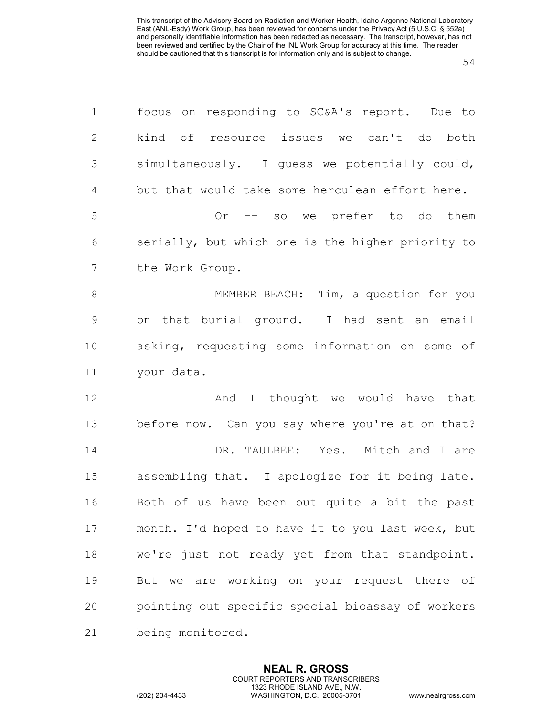| $\mathbf 1$   | focus on responding to SC&A's report. Due to      |
|---------------|---------------------------------------------------|
| $\mathbf{2}$  | kind of resource issues we can't do both          |
| 3             | simultaneously. I guess we potentially could,     |
| 4             | but that would take some herculean effort here.   |
| 5             | -- so we prefer to do them<br>Or                  |
| 6             | serially, but which one is the higher priority to |
| 7             | the Work Group.                                   |
| $\,8\,$       | MEMBER BEACH: Tim, a question for you             |
| $\mathcal{G}$ | on that burial ground. I had sent an email        |
| 10            | asking, requesting some information on some of    |
| 11            | your data.                                        |
| 12            | And I thought we would have that                  |
| 13            | before now. Can you say where you're at on that?  |
| 14            | DR. TAULBEE: Yes. Mitch and I are                 |
| 15            | assembling that. I apologize for it being late.   |
| 16            | Both of us have been out quite a bit the past     |
| 17            | month. I'd hoped to have it to you last week, but |
| 18            | we're just not ready yet from that standpoint.    |
| 19            | But we are working on your request there of       |
| 20            | pointing out specific special bioassay of workers |
| 21            | being monitored.                                  |

**NEAL R. GROSS** COURT REPORTERS AND TRANSCRIBERS 1323 RHODE ISLAND AVE., N.W.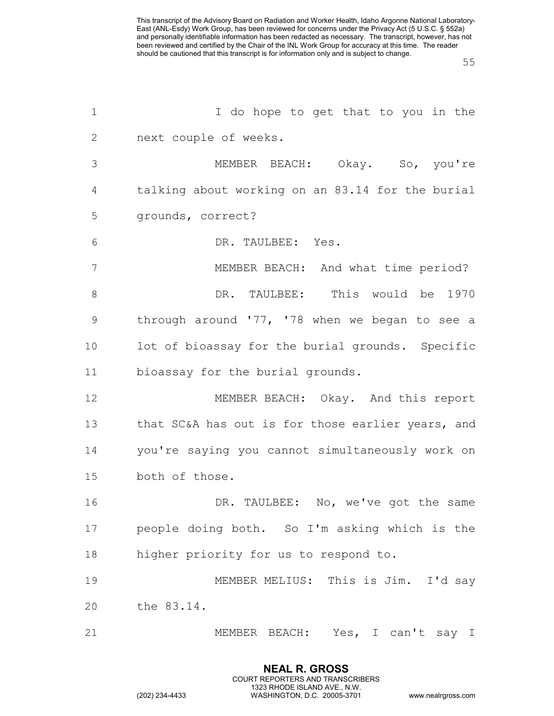| $\mathbf 1$     | I do hope to get that to you in the               |
|-----------------|---------------------------------------------------|
| 2               | next couple of weeks.                             |
| 3               | MEMBER BEACH: Okay. So, you're                    |
| 4               | talking about working on an 83.14 for the burial  |
| 5               | grounds, correct?                                 |
| 6               | DR. TAULBEE: Yes.                                 |
| $7\phantom{.0}$ | MEMBER BEACH: And what time period?               |
| $8\,$           | DR. TAULBEE: This would be 1970                   |
| $\mathsf 9$     | through around '77, '78 when we began to see a    |
| 10              | lot of bioassay for the burial grounds. Specific  |
| 11              | bioassay for the burial grounds.                  |
| 12              | MEMBER BEACH: Okay. And this report               |
| 13              | that SC&A has out is for those earlier years, and |
| 14              | you're saying you cannot simultaneously work on   |
| 15              | both of those.                                    |
| 16              | DR. TAULBEE: No, we've got the same               |
| 17              | people doing both. So I'm asking which is the     |
| 18              | higher priority for us to respond to.             |
| 19              | MEMBER MELIUS: This is Jim. I'd say               |
| 20              | the 83.14.                                        |
| 21              | MEMBER BEACH: Yes, I can't say I                  |

**NEAL R. GROSS** COURT REPORTERS AND TRANSCRIBERS 1323 RHODE ISLAND AVE., N.W.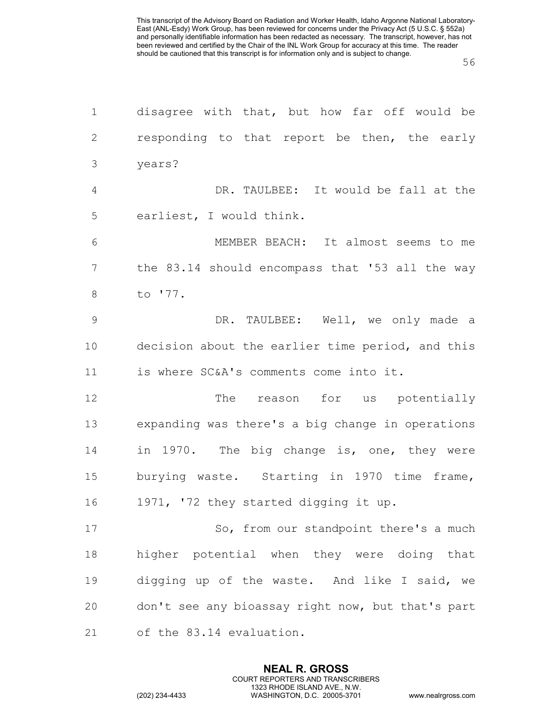| $\mathbf 1$    | disagree with that, but how far off would be      |
|----------------|---------------------------------------------------|
| $\overline{2}$ | responding to that report be then, the early      |
| $\mathfrak{Z}$ | years?                                            |
| 4              | DR. TAULBEE: It would be fall at the              |
| 5              | earliest, I would think.                          |
| 6              | MEMBER BEACH: It almost seems to me               |
| $\overline{7}$ | the 83.14 should encompass that '53 all the way   |
| 8              | to '77.                                           |
| $\mathcal{G}$  | DR. TAULBEE: Well, we only made a                 |
| 10             | decision about the earlier time period, and this  |
| 11             | is where SC&A's comments come into it.            |
| 12             | The reason for us potentially                     |
| 13             | expanding was there's a big change in operations  |
| 14             | in 1970. The big change is, one, they were        |
| 15             | burying waste. Starting in 1970 time frame,       |
| 16             | 1971, '72 they started digging it up.             |
| 17             | So, from our standpoint there's a much            |
| 18             | higher potential when they were doing that        |
| 19             | digging up of the waste. And like I said, we      |
| 20             | don't see any bioassay right now, but that's part |
| 21             | of the 83.14 evaluation.                          |

**NEAL R. GROSS** COURT REPORTERS AND TRANSCRIBERS 1323 RHODE ISLAND AVE., N.W.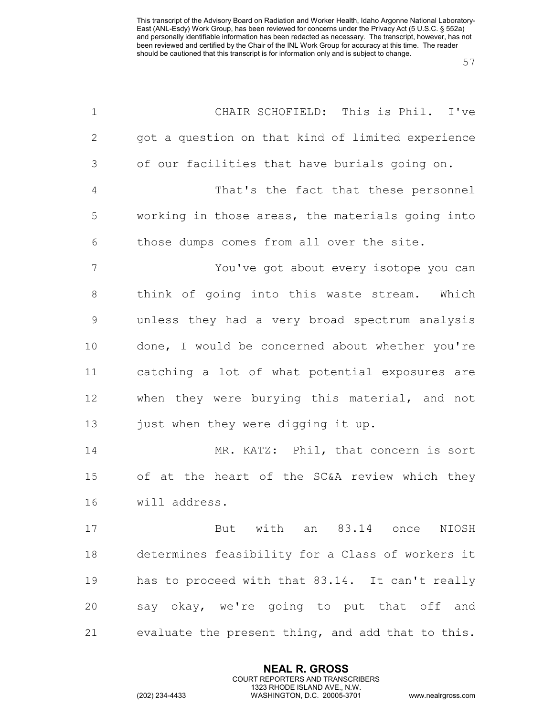| $\mathbf 1$    | CHAIR SCHOFIELD: This is Phil. I've               |
|----------------|---------------------------------------------------|
| $\mathbf{2}$   | got a question on that kind of limited experience |
| 3              | of our facilities that have burials going on.     |
| $\overline{4}$ | That's the fact that these personnel              |
| 5              | working in those areas, the materials going into  |
| 6              | those dumps comes from all over the site.         |
| 7              | You've got about every isotope you can            |
| $8\,$          | think of going into this waste stream. Which      |
| $\mathcal{G}$  | unless they had a very broad spectrum analysis    |
| 10             | done, I would be concerned about whether you're   |
| 11             | catching a lot of what potential exposures are    |
| 12             | when they were burying this material, and not     |
| 13             | just when they were digging it up.                |
| 14             | MR. KATZ: Phil, that concern is sort              |
| 15             | of at the heart of the SC&A review which they     |
| 16             | will address.                                     |
| 17             | But with an 83.14 once NIOSH                      |
| 18             | determines feasibility for a Class of workers it  |
| 19             | has to proceed with that 83.14. It can't really   |
| 20             | say okay, we're going to put that off and         |
| 21             | evaluate the present thing, and add that to this. |

**NEAL R. GROSS** COURT REPORTERS AND TRANSCRIBERS 1323 RHODE ISLAND AVE., N.W.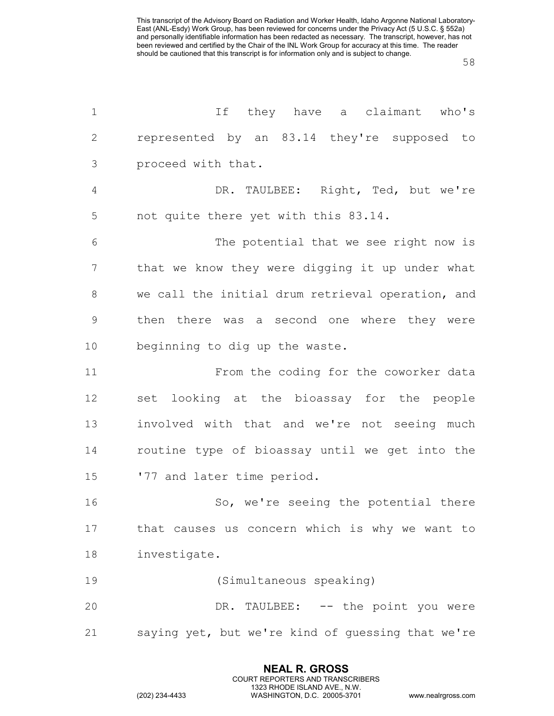| $\mathbf 1$    | If they have a claimant who's                     |
|----------------|---------------------------------------------------|
| 2              | represented by an 83.14 they're supposed to       |
| 3              | proceed with that.                                |
| $\overline{4}$ | DR. TAULBEE: Right, Ted, but we're                |
| 5              | not quite there yet with this 83.14.              |
| 6              | The potential that we see right now is            |
| 7              | that we know they were digging it up under what   |
| 8              | we call the initial drum retrieval operation, and |
| $\mathsf 9$    | then there was a second one where they were       |
| 10             | beginning to dig up the waste.                    |
| 11             | From the coding for the coworker data             |
| 12             | set looking at the bioassay for the people        |
| 13             | involved with that and we're not seeing much      |
| 14             | routine type of bioassay until we get into the    |
| 15             | '77 and later time period.                        |
| 16             | So, we're seeing the potential there              |
| 17             | that causes us concern which is why we want to    |
| 18             | investigate.                                      |
| 19             | (Simultaneous speaking)                           |
| 20             | DR. TAULBEE: -- the point you were                |
| 21             | saying yet, but we're kind of guessing that we're |

**NEAL R. GROSS** COURT REPORTERS AND TRANSCRIBERS 1323 RHODE ISLAND AVE., N.W.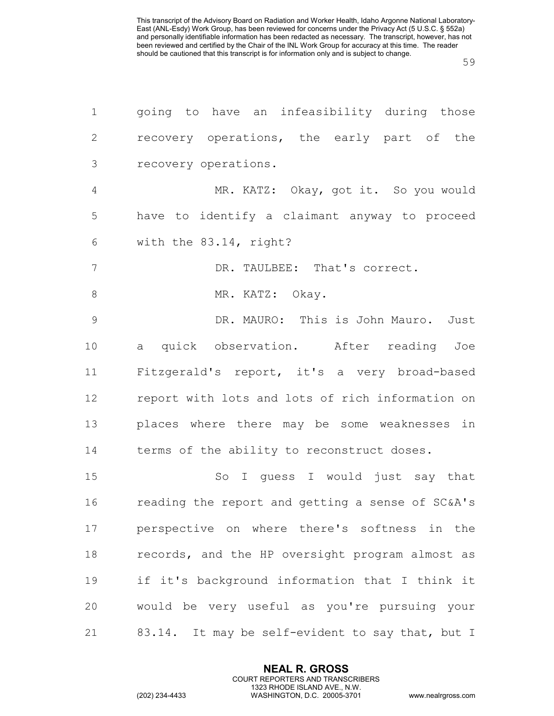| $\mathbf 1$    | going to have an infeasibility during those      |
|----------------|--------------------------------------------------|
| $\mathbf{2}$   | recovery operations, the early part of the       |
| $\mathcal{S}$  | recovery operations.                             |
| $\overline{4}$ | MR. KATZ: Okay, got it. So you would             |
| 5              | have to identify a claimant anyway to proceed    |
| 6              | with the 83.14, right?                           |
| 7              | DR. TAULBEE: That's correct.                     |
| $\,8\,$        | MR. KATZ: Okay.                                  |
| $\mathcal{G}$  | DR. MAURO: This is John Mauro. Just              |
| 10             | a quick observation. After reading Joe           |
| 11             | Fitzgerald's report, it's a very broad-based     |
| 12             | report with lots and lots of rich information on |
| 13             | places where there may be some weaknesses in     |
| 14             | terms of the ability to reconstruct doses.       |
| 15             | So I guess I would just say that                 |
| 16             | reading the report and getting a sense of SC&A's |
| 17             | perspective on where there's softness in the     |
| 18             | records, and the HP oversight program almost as  |
| 19             | if it's background information that I think it   |
| 20             | would be very useful as you're pursuing your     |
| 21             | 83.14. It may be self-evident to say that, but I |

**NEAL R. GROSS** COURT REPORTERS AND TRANSCRIBERS 1323 RHODE ISLAND AVE., N.W.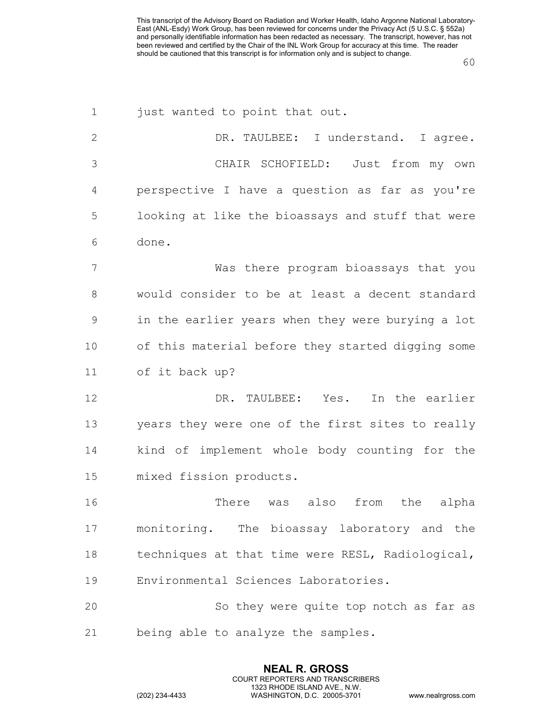| $\mathbf 1$  | just wanted to point that out.                    |
|--------------|---------------------------------------------------|
| $\mathbf{2}$ | DR. TAULBEE: I understand. I agree.               |
| 3            | CHAIR SCHOFIELD: Just from my own                 |
| 4            | perspective I have a question as far as you're    |
| 5            | looking at like the bioassays and stuff that were |
| 6            | done.                                             |
| 7            | Was there program bioassays that you              |
| 8            | would consider to be at least a decent standard   |
| 9            | in the earlier years when they were burying a lot |
| 10           | of this material before they started digging some |
| 11           | of it back up?                                    |
| 12           | DR. TAULBEE: Yes.<br>In the earlier               |
| 13           | years they were one of the first sites to really  |
| 14           | kind of implement whole body counting for the     |
| 15           | mixed fission products.                           |
| 16           | There was<br>also<br>from<br>the<br>alpha         |
| 17           | monitoring. The bioassay laboratory and the       |
| 18           | techniques at that time were RESL, Radiological,  |
| 19           | Environmental Sciences Laboratories.              |
| 20           | So they were quite top notch as far as            |
| 21           | being able to analyze the samples.                |

**NEAL R. GROSS** COURT REPORTERS AND TRANSCRIBERS 1323 RHODE ISLAND AVE., N.W.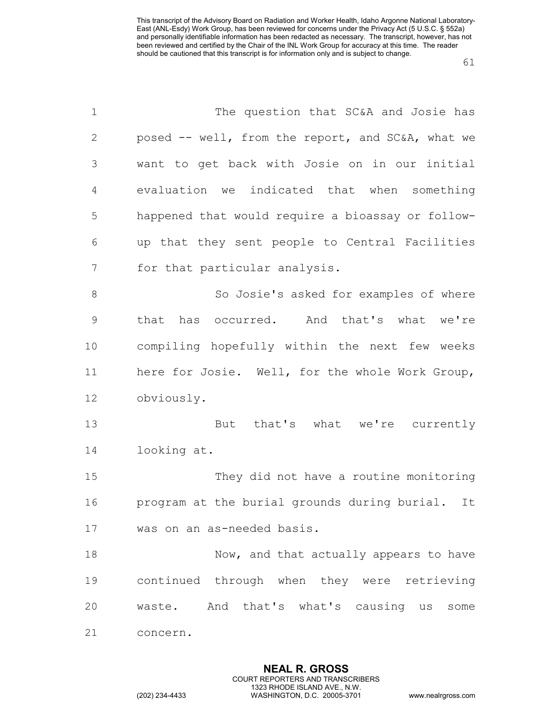| $\mathbf 1$   | The question that SC&A and Josie has               |
|---------------|----------------------------------------------------|
| 2             | posed -- well, from the report, and SC&A, what we  |
| 3             | want to get back with Josie on in our initial      |
| 4             | evaluation we indicated that when something        |
| 5             | happened that would require a bioassay or follow-  |
| 6             | up that they sent people to Central Facilities     |
| 7             | for that particular analysis.                      |
| 8             | So Josie's asked for examples of where             |
| $\mathcal{G}$ | has occurred. And that's what we're<br>that        |
| 10            | compiling hopefully within the next few weeks      |
| 11            | here for Josie. Well, for the whole Work Group,    |
| 12            | obviously.                                         |
| 13            | that's what we're currently<br>But                 |
| 14            | looking at.                                        |
| 15            | They did not have a routine monitoring             |
| 16            | program at the burial grounds during burial.<br>It |
| 17            | was on an as-needed basis.                         |
| 18            | Now, and that actually appears to have             |
| 19            | continued through when they were retrieving        |
| 20            | waste. And that's what's causing us some           |
| 21            | concern.                                           |

**NEAL R. GROSS** COURT REPORTERS AND TRANSCRIBERS 1323 RHODE ISLAND AVE., N.W.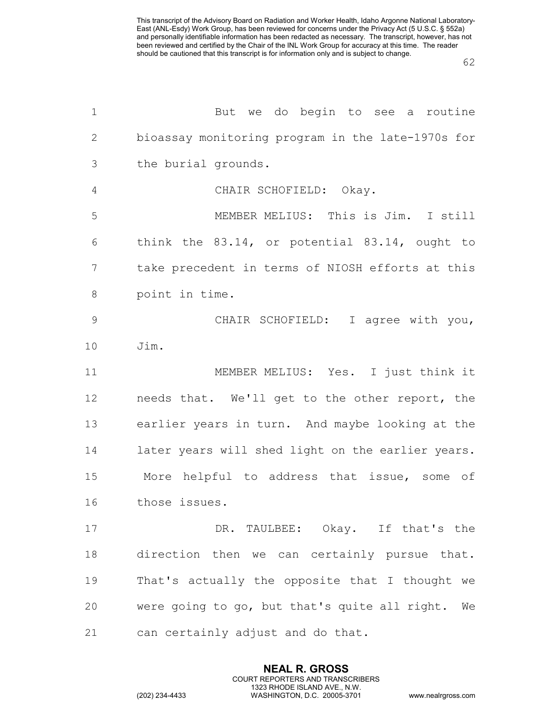| $\mathbf 1$    | But we do begin to see a routine                  |
|----------------|---------------------------------------------------|
| 2              | bioassay monitoring program in the late-1970s for |
| 3              | the burial grounds.                               |
| $\overline{4}$ | CHAIR SCHOFIELD: Okay.                            |
| 5              | MEMBER MELIUS: This is Jim. I still               |
| 6              | think the 83.14, or potential 83.14, ought to     |
| 7              | take precedent in terms of NIOSH efforts at this  |
| 8              | point in time.                                    |
| 9              | CHAIR SCHOFIELD: I agree with you,                |
| 10             | Jim.                                              |
| 11             | MEMBER MELIUS: Yes. I just think it               |
| 12             | needs that. We'll get to the other report, the    |
| 13             | earlier years in turn. And maybe looking at the   |
| 14             | later years will shed light on the earlier years. |
| 15             | More helpful to address that issue, some of       |
| 16             | those issues.                                     |
| 17             | DR. TAULBEE: Okay. If that's the                  |
| 18             | direction then we can certainly pursue that.      |
| 19             | That's actually the opposite that I thought we    |
| 20             | were going to go, but that's quite all right. We  |
| 21             | can certainly adjust and do that.                 |

**NEAL R. GROSS** COURT REPORTERS AND TRANSCRIBERS 1323 RHODE ISLAND AVE., N.W.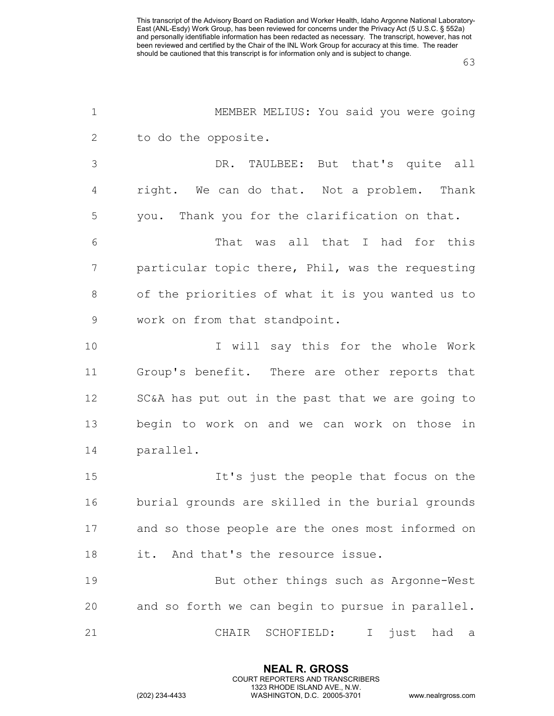| $\mathbf 1$    | MEMBER MELIUS: You said you were going            |
|----------------|---------------------------------------------------|
| 2              | to do the opposite.                               |
| 3              | DR. TAULBEE: But that's quite all                 |
| $\overline{4}$ | right. We can do that. Not a problem. Thank       |
| 5              | you. Thank you for the clarification on that.     |
| 6              | That was all that I had for this                  |
| 7              | particular topic there, Phil, was the requesting  |
| $8\,$          | of the priorities of what it is you wanted us to  |
| $\mathsf 9$    | work on from that standpoint.                     |
| 10             | I will say this for the whole Work                |
| 11             | Group's benefit. There are other reports that     |
| 12             | SC&A has put out in the past that we are going to |
| 13             | begin to work on and we can work on those in      |
| 14             | parallel.                                         |
| 15             | It's just the people that focus on the            |
| 16             | burial grounds are skilled in the burial grounds  |
| 17             | and so those people are the ones most informed on |
| 18             | it. And that's the resource issue.                |
| 19             | But other things such as Argonne-West             |
| 20             | and so forth we can begin to pursue in parallel.  |
| 21             | just had a<br>CHAIR SCHOFIELD: I                  |

**NEAL R. GROSS** COURT REPORTERS AND TRANSCRIBERS 1323 RHODE ISLAND AVE., N.W.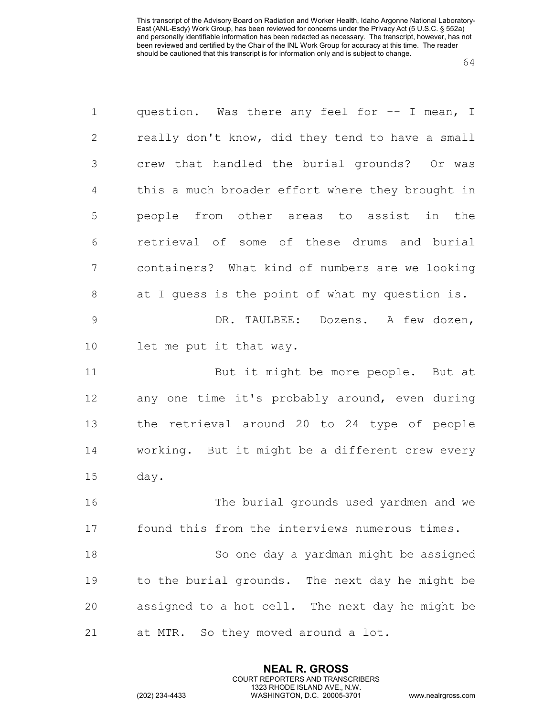| 1              | question. Was there any feel for -- I mean, I    |
|----------------|--------------------------------------------------|
| $\mathbf{2}$   | really don't know, did they tend to have a small |
| $\mathfrak{Z}$ | crew that handled the burial grounds? Or was     |
| $\overline{4}$ | this a much broader effort where they brought in |
| 5              | people from other areas to assist in the         |
| 6              | retrieval of some of these drums and burial      |
| 7              | containers? What kind of numbers are we looking  |
| 8              | at I guess is the point of what my question is.  |
| $\mathcal{G}$  | DR. TAULBEE: Dozens. A few dozen,                |
| 10             | let me put it that way.                          |
| 11             | But it might be more people. But at              |
| 12             | any one time it's probably around, even during   |
| 13             | the retrieval around 20 to 24 type of people     |
| 14             | working. But it might be a different crew every  |
| 15             | day.                                             |
| 16             | The burial grounds used yardmen and we           |
| 17             | found this from the interviews numerous times.   |
| 18             | So one day a yardman might be assigned           |
| 19             | to the burial grounds. The next day he might be  |
| 20             | assigned to a hot cell. The next day he might be |
| 21             | at MTR. So they moved around a lot.              |

**NEAL R. GROSS** COURT REPORTERS AND TRANSCRIBERS 1323 RHODE ISLAND AVE., N.W.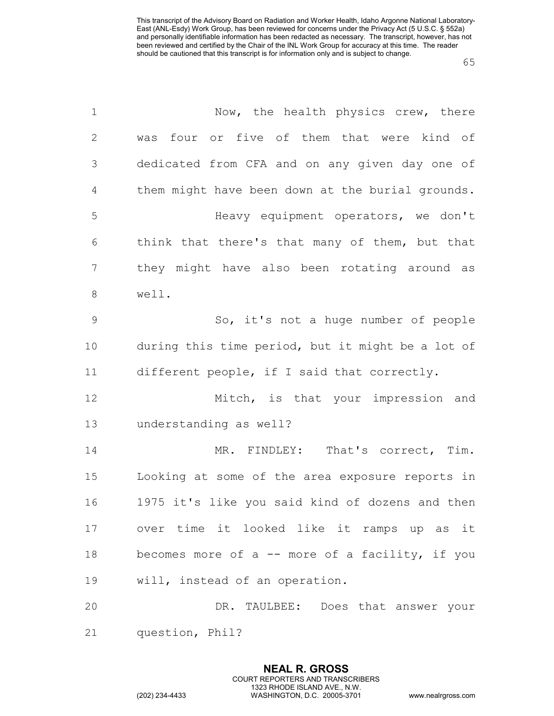| $\mathbf 1$    | Now, the health physics crew, there               |
|----------------|---------------------------------------------------|
| $\mathbf{2}$   | was four or five of them that were kind of        |
| 3              | dedicated from CFA and on any given day one of    |
| $\overline{4}$ | them might have been down at the burial grounds.  |
| 5              | Heavy equipment operators, we don't               |
| 6              | think that there's that many of them, but that    |
| 7              | they might have also been rotating around as      |
| $\,8\,$        | well.                                             |
| $\mathsf 9$    | So, it's not a huge number of people              |
| 10             | during this time period, but it might be a lot of |
| 11             | different people, if I said that correctly.       |
| 12             | Mitch, is that your impression and                |
| 13             | understanding as well?                            |
| 14             | MR. FINDLEY: That's correct, Tim.                 |
| 15             | Looking at some of the area exposure reports in   |
| 16             | 1975 it's like you said kind of dozens and then   |
| 17             | over time it looked like it ramps up as it        |
| 18             | becomes more of a -- more of a facility, if you   |
| 19             | will, instead of an operation.                    |
| 20             | DR. TAULBEE: Does that answer your                |
| 21             | question, Phil?                                   |

**NEAL R. GROSS** COURT REPORTERS AND TRANSCRIBERS 1323 RHODE ISLAND AVE., N.W.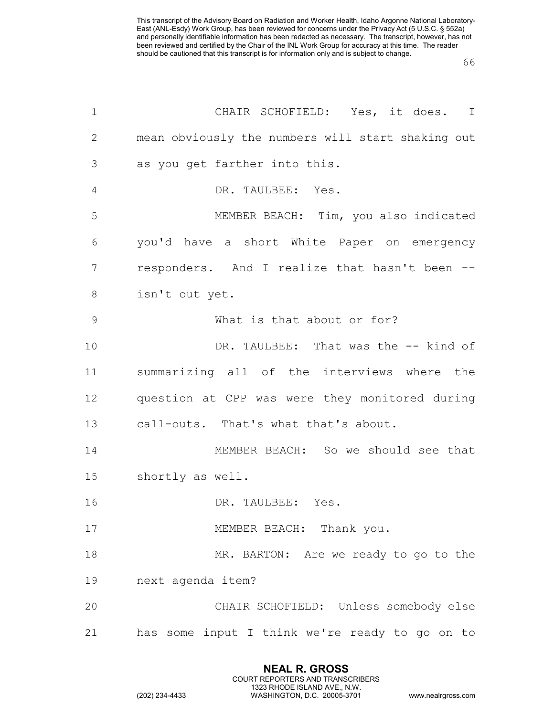| $\mathbf 1$   | CHAIR SCHOFIELD: Yes, it does. I                  |
|---------------|---------------------------------------------------|
| $\mathbf{2}$  | mean obviously the numbers will start shaking out |
| 3             | as you get farther into this.                     |
| 4             | DR. TAULBEE: Yes.                                 |
| 5             | MEMBER BEACH: Tim, you also indicated             |
| 6             | you'd have a short White Paper on emergency       |
| 7             | responders. And I realize that hasn't been --     |
| 8             | isn't out yet.                                    |
| $\mathcal{G}$ | What is that about or for?                        |
| 10            | DR. TAULBEE: That was the -- kind of              |
| 11            | summarizing all of the interviews where the       |
| 12            | question at CPP was were they monitored during    |
| 13            | call-outs. That's what that's about.              |
| 14            | MEMBER BEACH: So we should see that               |
| 15            | shortly as well.                                  |
| 16            | DR. TAULBEE: Yes.                                 |
| 17            | MEMBER BEACH: Thank you.                          |
| 18            | MR. BARTON: Are we ready to go to the             |
| 19            | next agenda item?                                 |
| 20            | CHAIR SCHOFIELD: Unless somebody else             |
| 21            | has some input I think we're ready to go on to    |

**NEAL R. GROSS** COURT REPORTERS AND TRANSCRIBERS 1323 RHODE ISLAND AVE., N.W.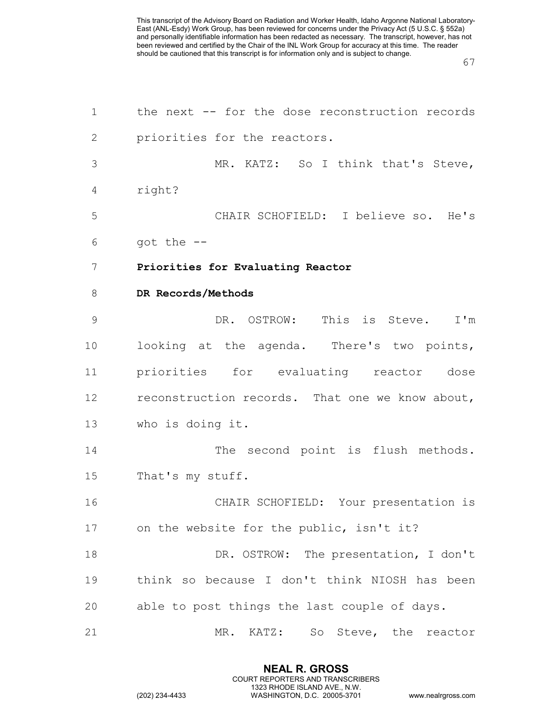| 1  | the next -- for the dose reconstruction records |
|----|-------------------------------------------------|
| 2  | priorities for the reactors.                    |
| 3  | MR. KATZ: So I think that's Steve,              |
| 4  | right?                                          |
| 5  | CHAIR SCHOFIELD: I believe so. He's             |
| 6  | got the $--$                                    |
| 7  | Priorities for Evaluating Reactor               |
| 8  | DR Records/Methods                              |
| 9  | DR. OSTROW: This is Steve.<br>$I'$ m            |
| 10 | looking at the agenda. There's two points,      |
| 11 | priorities for evaluating reactor dose          |
| 12 | reconstruction records. That one we know about, |
| 13 | who is doing it.                                |
| 14 | The second point is flush methods.              |
| 15 | That's my stuff.                                |
| 16 | CHAIR SCHOFIELD: Your presentation is           |
| 17 | on the website for the public, isn't it?        |
| 18 | DR. OSTROW: The presentation, I don't           |
| 19 | think so because I don't think NIOSH has been   |
| 20 | able to post things the last couple of days.    |
| 21 | So Steve, the reactor<br>MR.<br>KATZ:           |

**NEAL R. GROSS** COURT REPORTERS AND TRANSCRIBERS 1323 RHODE ISLAND AVE., N.W.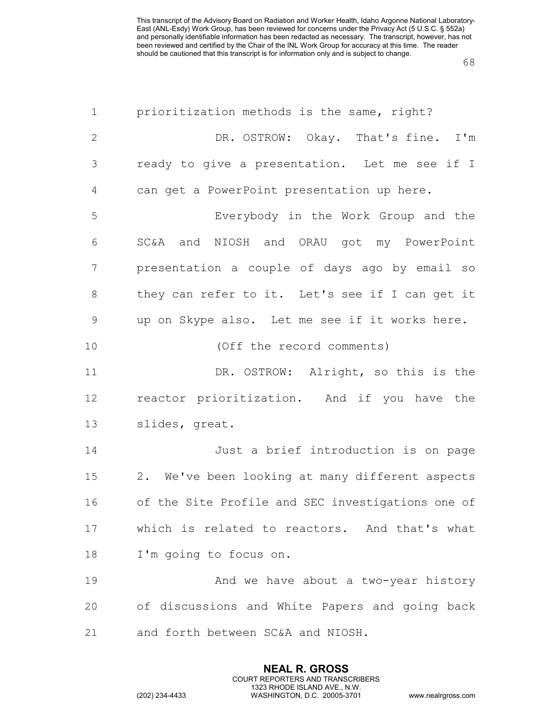| $\mathbf 1$    | prioritization methods is the same, right?        |
|----------------|---------------------------------------------------|
| $\mathbf{2}$   | DR. OSTROW: Okay. That's fine.<br>I'm             |
| 3              | ready to give a presentation. Let me see if I     |
| $\overline{4}$ | can get a PowerPoint presentation up here.        |
| 5              | Everybody in the Work Group and the               |
| 6              | SC&A and NIOSH and ORAU got my PowerPoint         |
| 7              | presentation a couple of days ago by email so     |
| $8\,$          | they can refer to it. Let's see if I can get it   |
| $\mathsf 9$    | up on Skype also. Let me see if it works here.    |
| 10             | (Off the record comments)                         |
| 11             | DR. OSTROW: Alright, so this is the               |
| 12             | reactor prioritization. And if you have the       |
| 13             | slides, great.                                    |
| 14             | Just a brief introduction is on page              |
| 15             | 2. We've been looking at many different aspects   |
| 16             | of the Site Profile and SEC investigations one of |
| 17             | which is related to reactors. And that's what     |
| 18             | I'm going to focus on.                            |
| 19             | And we have about a two-year history              |
| 20             | of discussions and White Papers and going back    |
| 21             | and forth between SC&A and NIOSH.                 |

**NEAL R. GROSS** COURT REPORTERS AND TRANSCRIBERS 1323 RHODE ISLAND AVE., N.W.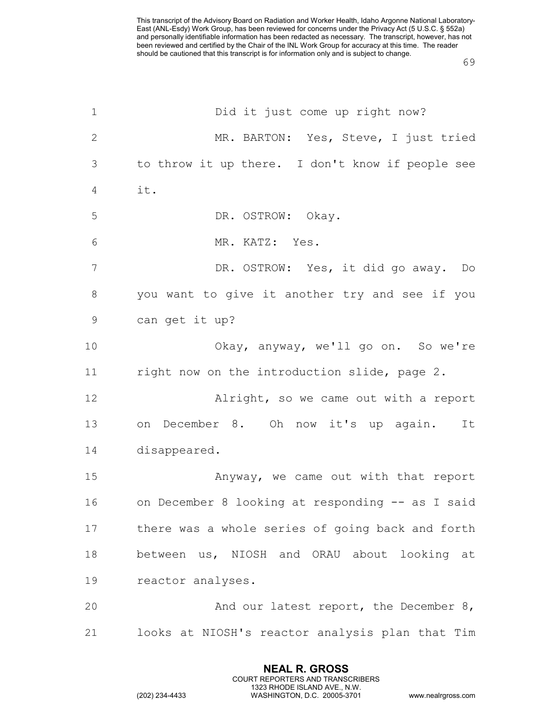| $\mathbf 1$     | Did it just come up right now?                   |
|-----------------|--------------------------------------------------|
| $\mathbf{2}$    | MR. BARTON: Yes, Steve, I just tried             |
| 3               | to throw it up there. I don't know if people see |
| 4               | it.                                              |
| 5               | DR. OSTROW: Okay.                                |
| 6               | MR. KATZ: Yes.                                   |
| $7\phantom{.0}$ | DR. OSTROW: Yes, it did go away. Do              |
| $\,8\,$         | you want to give it another try and see if you   |
| $\mathsf 9$     | can get it up?                                   |
| 10              | Okay, anyway, we'll go on. So we're              |
| 11              | right now on the introduction slide, page 2.     |
| 12              | Alright, so we came out with a report            |
| 13              | on December 8. Oh now it's up again.<br>It       |
| 14              | disappeared.                                     |
| 15              | Anyway, we came out with that report             |
| 16              | on December 8 looking at responding -- as I said |
| 17              | there was a whole series of going back and forth |
| 18              | between us, NIOSH and ORAU about looking at      |
| 19              | reactor analyses.                                |
| 20              | And our latest report, the December 8,           |
| 21              | looks at NIOSH's reactor analysis plan that Tim  |

**NEAL R. GROSS** COURT REPORTERS AND TRANSCRIBERS 1323 RHODE ISLAND AVE., N.W.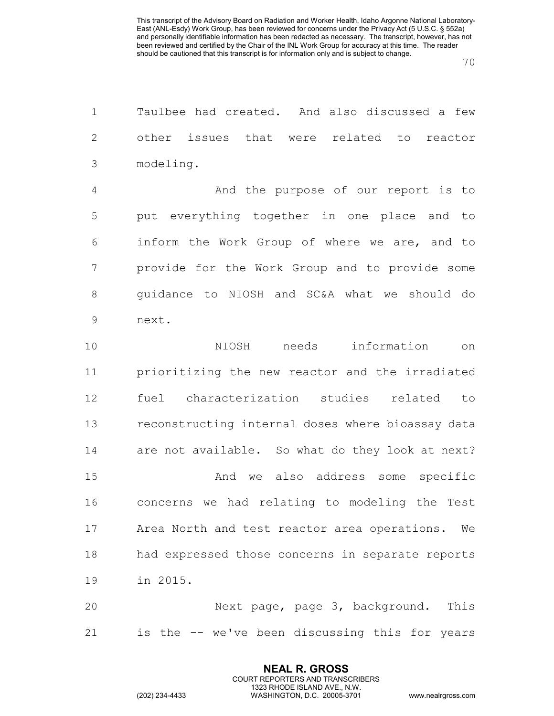Taulbee had created. And also discussed a few other issues that were related to reactor modeling. And the purpose of our report is to put everything together in one place and to inform the Work Group of where we are, and to provide for the Work Group and to provide some guidance to NIOSH and SC&A what we should do next. NIOSH needs information on prioritizing the new reactor and the irradiated fuel characterization studies related to reconstructing internal doses where bioassay data are not available. So what do they look at next?

 And we also address some specific concerns we had relating to modeling the Test Area North and test reactor area operations. We had expressed those concerns in separate reports in 2015.

 Next page, page 3, background. This is the -- we've been discussing this for years

> **NEAL R. GROSS** COURT REPORTERS AND TRANSCRIBERS 1323 RHODE ISLAND AVE., N.W.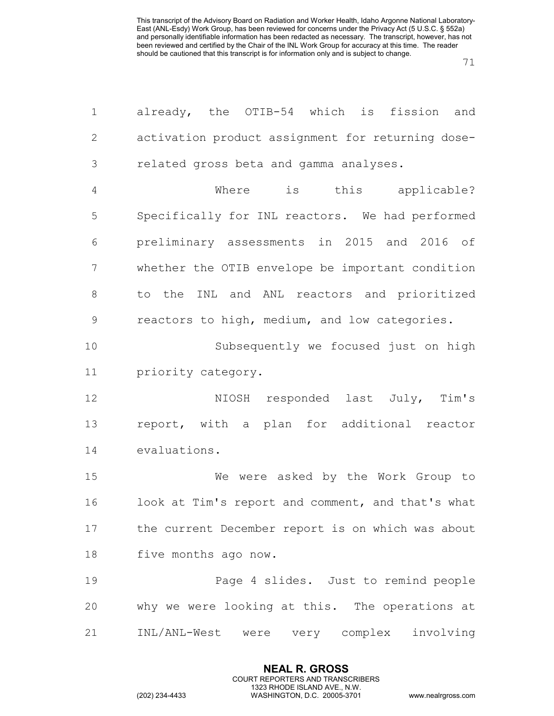| $\mathbf 1$   | already, the OTIB-54 which is<br>fission<br>and   |
|---------------|---------------------------------------------------|
| $\mathbf{2}$  | activation product assignment for returning dose- |
| 3             | related gross beta and gamma analyses.            |
| 4             | is this applicable?<br>Where                      |
| 5             | Specifically for INL reactors. We had performed   |
| 6             | preliminary assessments in 2015 and 2016 of       |
| 7             | whether the OTIB envelope be important condition  |
| 8             | to the INL and ANL reactors and prioritized       |
| $\mathcal{G}$ | reactors to high, medium, and low categories.     |
| 10            | Subsequently we focused just on high              |
| 11            | priority category.                                |
| 12            | NIOSH responded last July, Tim's                  |
| 13            | report, with a plan for additional reactor        |
| 14            | evaluations.                                      |
| 15            | We were asked by the Work Group to                |
| 16            | look at Tim's report and comment, and that's what |
| 17            | the current December report is on which was about |
| 18            | five months ago now.                              |
| 19            | Page 4 slides. Just to remind people              |
| 20            | why we were looking at this. The operations at    |
| 21            | INL/ANL-West<br>were very complex<br>involving    |

**NEAL R. GROSS** COURT REPORTERS AND TRANSCRIBERS 1323 RHODE ISLAND AVE., N.W.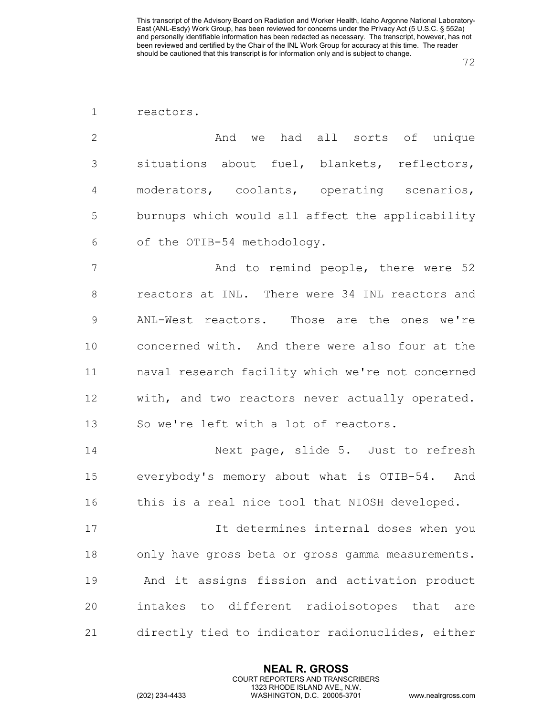| reactors. |
|-----------|
|           |

2 and we had all sorts of unique situations about fuel, blankets, reflectors, moderators, coolants, operating scenarios, burnups which would all affect the applicability of the OTIB-54 methodology.

7 And to remind people, there were 52 reactors at INL. There were 34 INL reactors and ANL-West reactors. Those are the ones we're concerned with. And there were also four at the naval research facility which we're not concerned with, and two reactors never actually operated. So we're left with a lot of reactors.

 Next page, slide 5. Just to refresh everybody's memory about what is OTIB-54. And this is a real nice tool that NIOSH developed.

 It determines internal doses when you only have gross beta or gross gamma measurements. And it assigns fission and activation product intakes to different radioisotopes that are directly tied to indicator radionuclides, either

> **NEAL R. GROSS** COURT REPORTERS AND TRANSCRIBERS 1323 RHODE ISLAND AVE., N.W.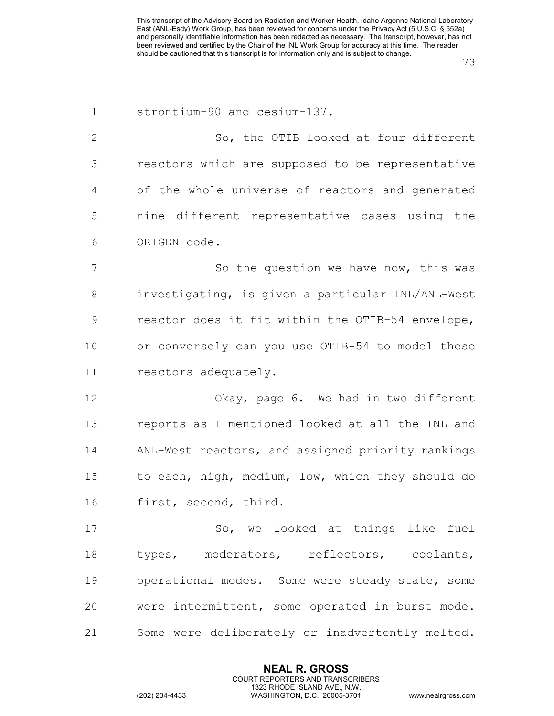| $\mathbf 1$  | strontium-90 and cesium-137.                      |
|--------------|---------------------------------------------------|
| $\mathbf{2}$ | So, the OTIB looked at four different             |
| 3            | reactors which are supposed to be representative  |
| 4            | of the whole universe of reactors and generated   |
| 5            | nine different representative cases using the     |
| 6            | ORIGEN code.                                      |
| 7            | So the question we have now, this was             |
| 8            | investigating, is given a particular INL/ANL-West |
| 9            | reactor does it fit within the OTIB-54 envelope,  |
| 10           | or conversely can you use OTIB-54 to model these  |
| 11           | reactors adequately.                              |
| 12           | Okay, page 6. We had in two different             |
| 13           | reports as I mentioned looked at all the INL and  |
| 14           | ANL-West reactors, and assigned priority rankings |
| 15           | to each, high, medium, low, which they should do  |
| 16           | first, second, third.                             |
| 17           | So, we looked at things like fuel                 |
| 18           | types, moderators, reflectors, coolants,          |
| 19           | operational modes. Some were steady state, some   |
| 20           | were intermittent, some operated in burst mode.   |
| 21           | Some were deliberately or inadvertently melted.   |

**NEAL R. GROSS** COURT REPORTERS AND TRANSCRIBERS 1323 RHODE ISLAND AVE., N.W.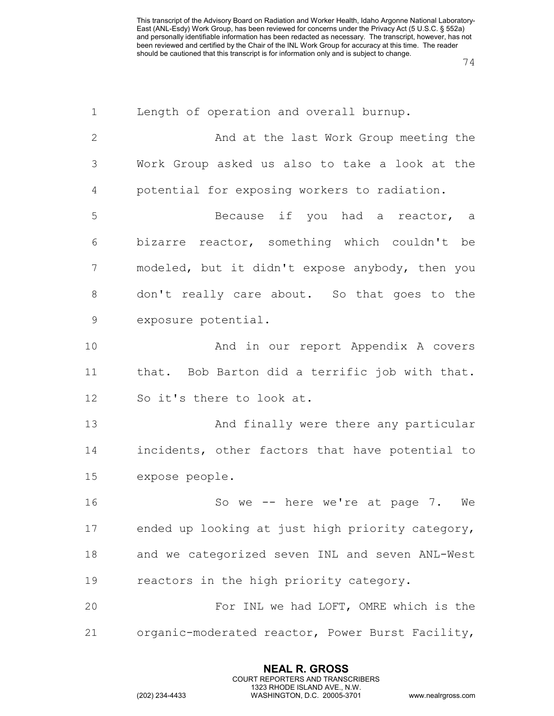| $\mathbf 1$  | Length of operation and overall burnup.          |
|--------------|--------------------------------------------------|
| $\mathbf{2}$ | And at the last Work Group meeting the           |
| 3            | Work Group asked us also to take a look at the   |
| 4            | potential for exposing workers to radiation.     |
| 5            | Because if you had a reactor, a                  |
| 6            | bizarre reactor, something which couldn't be     |
| 7            | modeled, but it didn't expose anybody, then you  |
| 8            | don't really care about. So that goes to the     |
| $\mathsf 9$  | exposure potential.                              |
| 10           | And in our report Appendix A covers              |
| 11           | that. Bob Barton did a terrific job with that.   |
| 12           | So it's there to look at.                        |
| 13           | And finally were there any particular            |
| 14           | incidents, other factors that have potential to  |
| 15           | expose people.                                   |
| 16           | So we -- here we're at page 7. We                |
| 17           | ended up looking at just high priority category, |
| 18           | and we categorized seven INL and seven ANL-West  |
| 19           | reactors in the high priority category.          |
| 20           | For INL we had LOFT, OMRE which is the           |
| 21           | organic-moderated reactor, Power Burst Facility, |

**NEAL R. GROSS** COURT REPORTERS AND TRANSCRIBERS 1323 RHODE ISLAND AVE., N.W.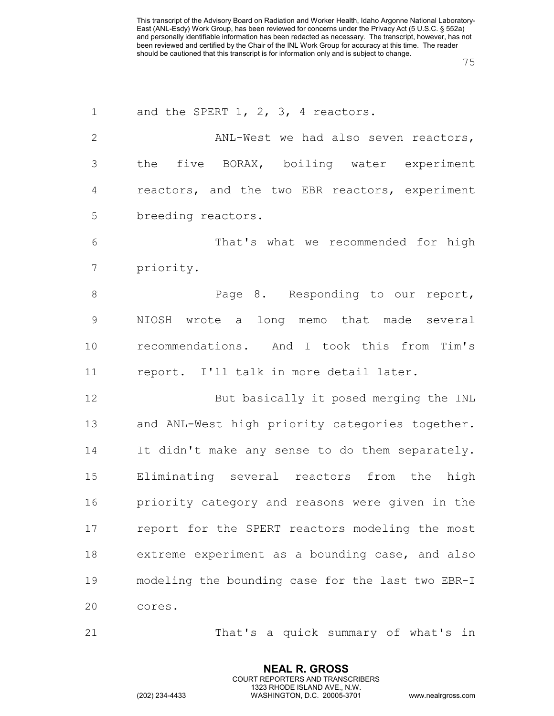| $\mathbf 1$    | and the SPERT 1, 2, 3, 4 reactors.                |
|----------------|---------------------------------------------------|
| $\overline{2}$ | ANL-West we had also seven reactors,              |
| 3              | the five BORAX, boiling water experiment          |
| 4              | reactors, and the two EBR reactors, experiment    |
| 5              | breeding reactors.                                |
| 6              | That's what we recommended for high               |
| 7              | priority.                                         |
| 8              | Page 8. Responding to our report,                 |
| $\mathcal{G}$  | NIOSH wrote a long memo that made several         |
| 10             | recommendations. And I took this from Tim's       |
| 11             | report. I'll talk in more detail later.           |
| 12             | But basically it posed merging the INL            |
| 13             | and ANL-West high priority categories together.   |
| 14             | It didn't make any sense to do them separately.   |
| 15             | Eliminating several reactors from the high        |
| 16             | priority category and reasons were given in the   |
| 17             | report for the SPERT reactors modeling the most   |
| 18             | extreme experiment as a bounding case, and also   |
| 19             | modeling the bounding case for the last two EBR-I |
| 20             | cores.                                            |
| 21             | That's a quick summary of what's in               |

**NEAL R. GROSS** COURT REPORTERS AND TRANSCRIBERS 1323 RHODE ISLAND AVE., N.W.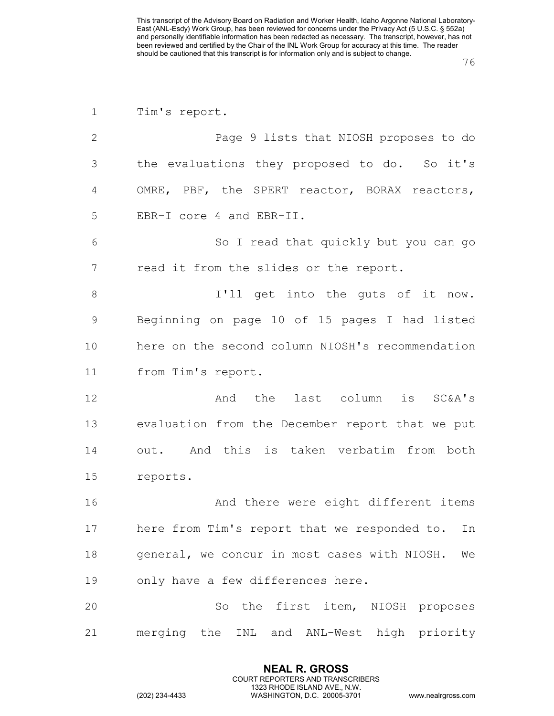| $\mathbf 1$    | Tim's report.                                      |
|----------------|----------------------------------------------------|
| $\mathbf{2}$   | Page 9 lists that NIOSH proposes to do             |
| 3              | the evaluations they proposed to do. So it's       |
| 4              | OMRE, PBF, the SPERT reactor, BORAX reactors,      |
| 5              | EBR-I core 4 and EBR-II.                           |
| 6              | So I read that quickly but you can go              |
| $7\phantom{.}$ | read it from the slides or the report.             |
| $8\,$          | I'll get into the guts of it now.                  |
| $\mathsf 9$    | Beginning on page 10 of 15 pages I had listed      |
| 10             | here on the second column NIOSH's recommendation   |
| 11             | from Tim's report.                                 |
| 12             | And the last column is SC&A's                      |
| 13             | evaluation from the December report that we put    |
| 14             | out. And this is taken verbatim from both          |
| 15             | reports.                                           |
| 16             | And there were eight different items               |
| 17             | here from Tim's report that we responded to.<br>In |
| 18             | general, we concur in most cases with NIOSH.<br>We |
| 19             | only have a few differences here.                  |
| 20             | So the first item, NIOSH proposes                  |
| 21             | merging the INL and ANL-West high priority         |

**NEAL R. GROSS** COURT REPORTERS AND TRANSCRIBERS 1323 RHODE ISLAND AVE., N.W.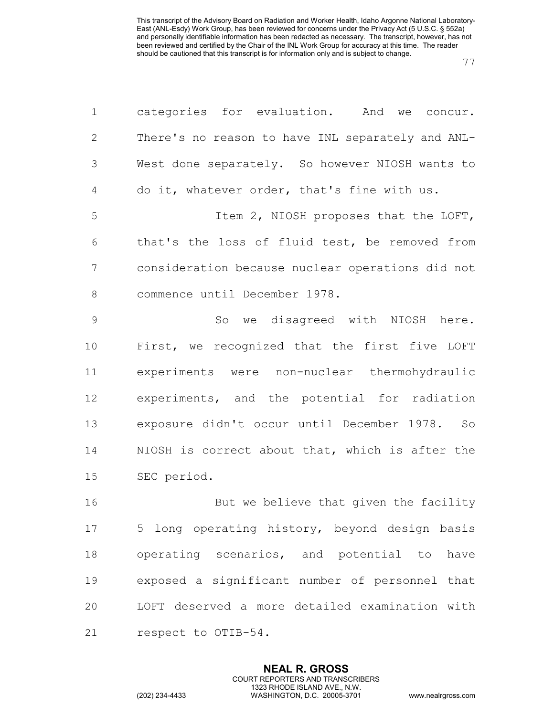| $\mathbf 1$    | categories for evaluation. And we concur.         |
|----------------|---------------------------------------------------|
| $\mathbf{2}$   | There's no reason to have INL separately and ANL- |
| $\mathcal{S}$  | West done separately. So however NIOSH wants to   |
| 4              | do it, whatever order, that's fine with us.       |
| 5              | Item 2, NIOSH proposes that the LOFT,             |
| 6              | that's the loss of fluid test, be removed from    |
| $\overline{7}$ | consideration because nuclear operations did not  |
| $\,8\,$        | commence until December 1978.                     |
| $\mathcal{G}$  | So we disagreed with NIOSH here.                  |
| 10             | First, we recognized that the first five LOFT     |
| 11             | experiments were non-nuclear thermohydraulic      |
| 12             | experiments, and the potential for radiation      |
| 13             | exposure didn't occur until December 1978. So     |
| 14             | NIOSH is correct about that, which is after the   |
| 15             | SEC period.                                       |
| 16             | But we believe that given the facility            |
| 17             | 5 long operating history, beyond design basis     |
| 18             | operating scenarios, and potential to have        |
| 19             | exposed a significant number of personnel that    |
| 20             | LOFT deserved a more detailed examination with    |
| 21             | respect to OTIB-54.                               |

**NEAL R. GROSS** COURT REPORTERS AND TRANSCRIBERS 1323 RHODE ISLAND AVE., N.W.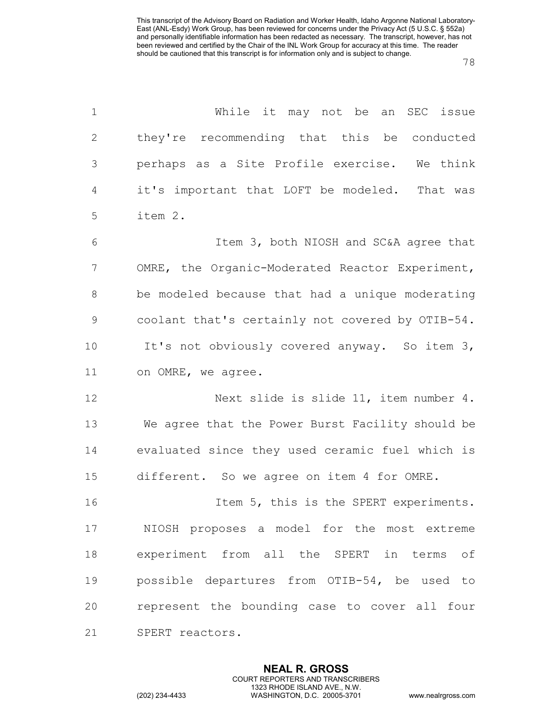| $\mathbf 1$    | While it may not be an SEC issue                 |
|----------------|--------------------------------------------------|
| $\mathbf{2}$   | they're recommending that this be conducted      |
| 3              | perhaps as a Site Profile exercise. We think     |
| $\overline{4}$ | it's important that LOFT be modeled. That was    |
| 5              | item 2.                                          |
| 6              | Item 3, both NIOSH and SC&A agree that           |
| 7              | OMRE, the Organic-Moderated Reactor Experiment,  |
| $8\,$          | be modeled because that had a unique moderating  |
| $\mathsf 9$    | coolant that's certainly not covered by OTIB-54. |
| 10             | It's not obviously covered anyway. So item 3,    |
| 11             | on OMRE, we agree.                               |
| 12             | Next slide is slide 11, item number 4.           |
| 13             | We agree that the Power Burst Facility should be |
| 14             | evaluated since they used ceramic fuel which is  |
| 15             | different. So we agree on item 4 for OMRE.       |
| 16             | Item 5, this is the SPERT experiments.           |
| 17             | NIOSH proposes a model for the most extreme      |
| 18             | experiment from all the SPERT in terms of        |
| 19             | possible departures from OTIB-54, be used to     |
| 20             | represent the bounding case to cover all four    |
| 21             | SPERT reactors.                                  |

**NEAL R. GROSS** COURT REPORTERS AND TRANSCRIBERS 1323 RHODE ISLAND AVE., N.W.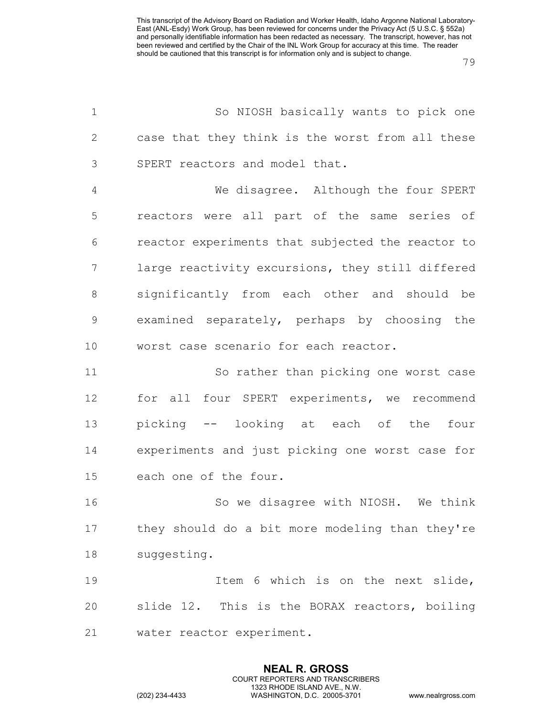| $\mathbf 1$    | So NIOSH basically wants to pick one              |
|----------------|---------------------------------------------------|
| $\mathbf{2}$   | case that they think is the worst from all these  |
| 3              | SPERT reactors and model that.                    |
| $\overline{4}$ | We disagree. Although the four SPERT              |
| 5              | reactors were all part of the same series of      |
| 6              | reactor experiments that subjected the reactor to |
| $7\phantom{.}$ | large reactivity excursions, they still differed  |
| $\,8\,$        | significantly from each other and should be       |
| $\mathsf 9$    | examined separately, perhaps by choosing the      |
| 10             | worst case scenario for each reactor.             |
| 11             | So rather than picking one worst case             |
| 12             | for all four SPERT experiments, we recommend      |
| 13             | picking -- looking at each of the<br>four         |
| 14             | experiments and just picking one worst case for   |
| 15             | each one of the four.                             |
| 16             | So we disagree with NIOSH. We think               |
| 17             | they should do a bit more modeling than they're   |
| 18             | suggesting.                                       |
| 19             | Item 6 which is on the next slide,                |
| 20             | slide 12. This is the BORAX reactors, boiling     |
| 21             | water reactor experiment.                         |

**NEAL R. GROSS** COURT REPORTERS AND TRANSCRIBERS 1323 RHODE ISLAND AVE., N.W.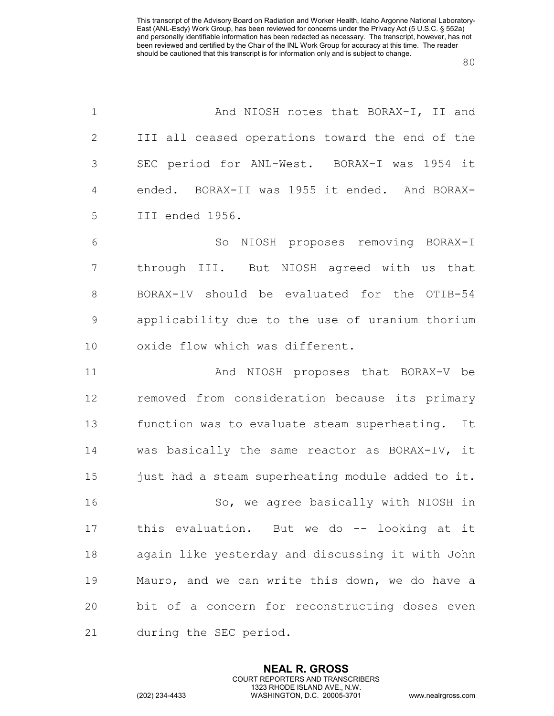| $\mathbf 1$    | And NIOSH notes that BORAX-I, II and              |
|----------------|---------------------------------------------------|
| 2              | III all ceased operations toward the end of the   |
| 3              | SEC period for ANL-West. BORAX-I was 1954 it      |
| $\overline{4}$ | ended. BORAX-II was 1955 it ended. And BORAX-     |
| 5              | III ended 1956.                                   |
| 6              | So NIOSH proposes removing BORAX-I                |
| 7              | through III. But NIOSH agreed with us that        |
| $8\,$          | BORAX-IV should be evaluated for the OTIB-54      |
| $\mathcal{G}$  | applicability due to the use of uranium thorium   |
| 10             | oxide flow which was different.                   |
| 11             | And NIOSH proposes that BORAX-V be                |
| 12             | removed from consideration because its primary    |
| 13             | function was to evaluate steam superheating. It   |
| 14             | was basically the same reactor as BORAX-IV, it    |
| 15             | just had a steam superheating module added to it. |
| 16             | So, we agree basically with NIOSH in              |
| 17             | this evaluation. But we do -- looking at it       |
| 18             | again like yesterday and discussing it with John  |
| 19             | Mauro, and we can write this down, we do have a   |
| 20             | bit of a concern for reconstructing doses even    |
| 21             | during the SEC period.                            |

**NEAL R. GROSS** COURT REPORTERS AND TRANSCRIBERS 1323 RHODE ISLAND AVE., N.W.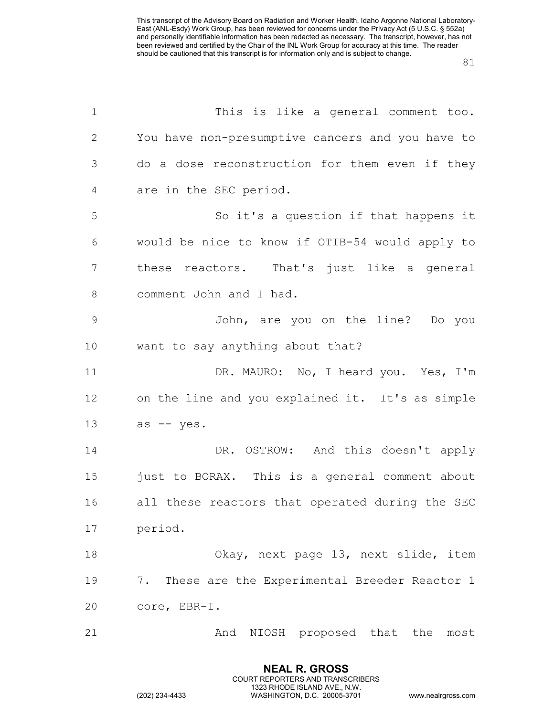| $\mathbf 1$  | This is like a general comment too.              |
|--------------|--------------------------------------------------|
| $\mathbf{2}$ | You have non-presumptive cancers and you have to |
| 3            | do a dose reconstruction for them even if they   |
| 4            | are in the SEC period.                           |
| 5            | So it's a question if that happens it            |
| 6            | would be nice to know if OTIB-54 would apply to  |
| 7            | these reactors. That's just like a general       |
| $8\,$        | comment John and I had.                          |
| $\mathsf 9$  | John, are you on the line? Do you                |
| 10           | want to say anything about that?                 |
| 11           | DR. MAURO: No, I heard you. Yes, I'm             |
| 12           | on the line and you explained it. It's as simple |
| 13           | as -- yes.                                       |
| 14           | DR. OSTROW: And this doesn't apply               |
| 15           | just to BORAX. This is a general comment about   |
| 16           | all these reactors that operated during the SEC  |
| 17           | period.                                          |
| 18           | Okay, next page 13, next slide, item             |
| 19           | 7. These are the Experimental Breeder Reactor 1  |
| 20           | core, EBR-I.                                     |
| 21           | NIOSH proposed that the<br>And<br>most           |

**NEAL R. GROSS** COURT REPORTERS AND TRANSCRIBERS 1323 RHODE ISLAND AVE., N.W.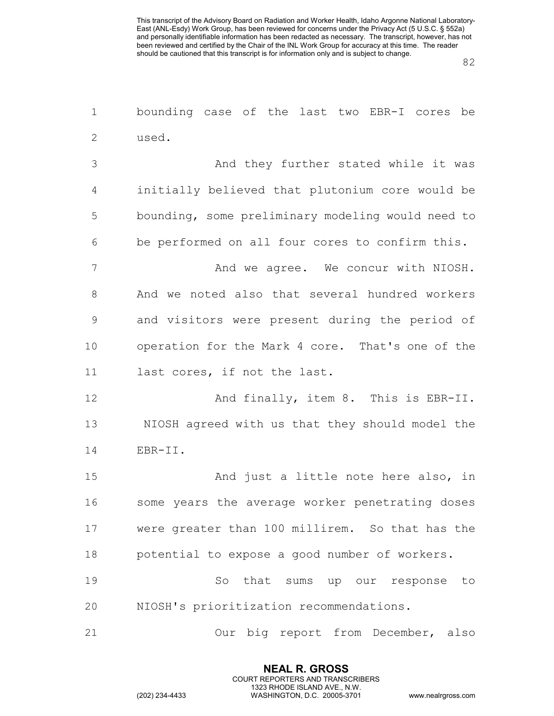82

1 bounding case of the last two EBR-I cores be 2 used.

 And they further stated while it was initially believed that plutonium core would be bounding, some preliminary modeling would need to be performed on all four cores to confirm this.

7 And we agree. We concur with NIOSH. 8 And we noted also that several hundred workers 9 and visitors were present during the period of 10 operation for the Mark 4 core. That's one of the 11 last cores, if not the last.

12 And finally, item 8. This is EBR-II. 13 NIOSH agreed with us that they should model the 14 EBR-II.

15 And just a little note here also, in some years the average worker penetrating doses were greater than 100 millirem. So that has the potential to expose a good number of workers.

19 So that sums up our response to 20 NIOSH's prioritization recommendations.

21 Our big report from December, also

**NEAL R. GROSS** COURT REPORTERS AND TRANSCRIBERS 1323 RHODE ISLAND AVE., N.W.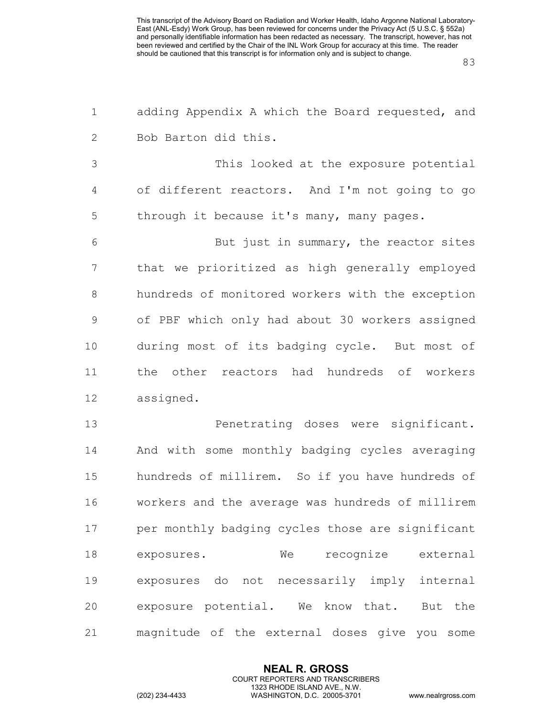| $\mathbf 1$    | adding Appendix A which the Board requested, and |
|----------------|--------------------------------------------------|
| $\mathbf{2}$   | Bob Barton did this.                             |
| $\mathfrak{Z}$ | This looked at the exposure potential            |
| 4              | of different reactors. And I'm not going to go   |
| 5              | through it because it's many, many pages.        |
| 6              | But just in summary, the reactor sites           |
| $\overline{7}$ | that we prioritized as high generally employed   |
| 8              | hundreds of monitored workers with the exception |
| $\mathcal{G}$  | of PBF which only had about 30 workers assigned  |
| 10             | during most of its badging cycle. But most of    |
| 11             | the other reactors had hundreds of workers       |
| 12             | assigned.                                        |
| 13             | Penetrating doses were significant.              |
| 14             | And with some monthly badging cycles averaging   |
| 15             | hundreds of millirem. So if you have hundreds of |
| 16             | workers and the average was hundreds of millirem |
| 17             | per monthly badging cycles those are significant |
| 18             | recognize external<br>We<br>exposures.           |
| 19             | exposures do not necessarily imply internal      |
| 20             | exposure potential. We know that. But the        |
| 21             | magnitude of the external doses give you some    |

**NEAL R. GROSS** COURT REPORTERS AND TRANSCRIBERS 1323 RHODE ISLAND AVE., N.W.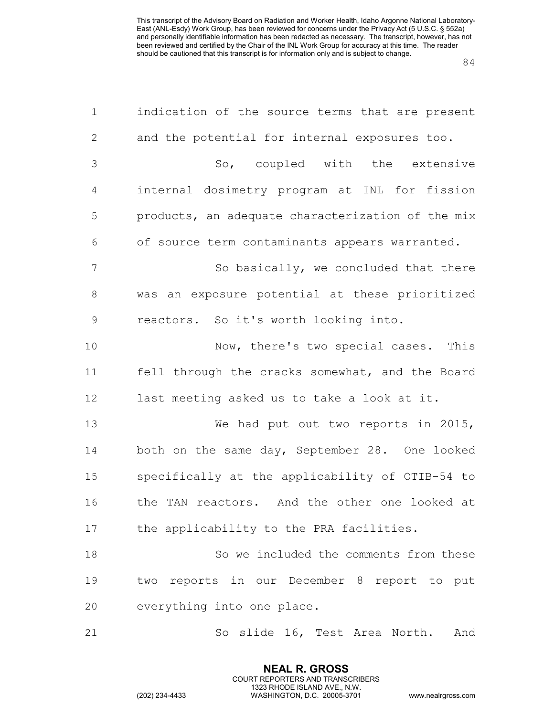| $\mathbf 1$      | indication of the source terms that are present   |
|------------------|---------------------------------------------------|
| $\mathbf{2}$     | and the potential for internal exposures too.     |
| 3                | So, coupled with the extensive                    |
| 4                | internal dosimetry program at INL for fission     |
| 5                | products, an adequate characterization of the mix |
| 6                | of source term contaminants appears warranted.    |
| $\boldsymbol{7}$ | So basically, we concluded that there             |
| $8\,$            | was an exposure potential at these prioritized    |
| $\mathsf 9$      | reactors. So it's worth looking into.             |
| 10               | Now, there's two special cases. This              |
| 11               | fell through the cracks somewhat, and the Board   |
| 12               | last meeting asked us to take a look at it.       |
| 13               | We had put out two reports in 2015,               |
| 14               | both on the same day, September 28. One looked    |
| 15               | specifically at the applicability of OTIB-54 to   |
| 16               | the TAN reactors. And the other one looked at     |
| 17               | the applicability to the PRA facilities.          |
| 18               | So we included the comments from these            |
| 19               | two reports in our December 8 report to put       |
| 20               | everything into one place.                        |
| 21               | So slide 16, Test Area North. And                 |

**NEAL R. GROSS** COURT REPORTERS AND TRANSCRIBERS 1323 RHODE ISLAND AVE., N.W.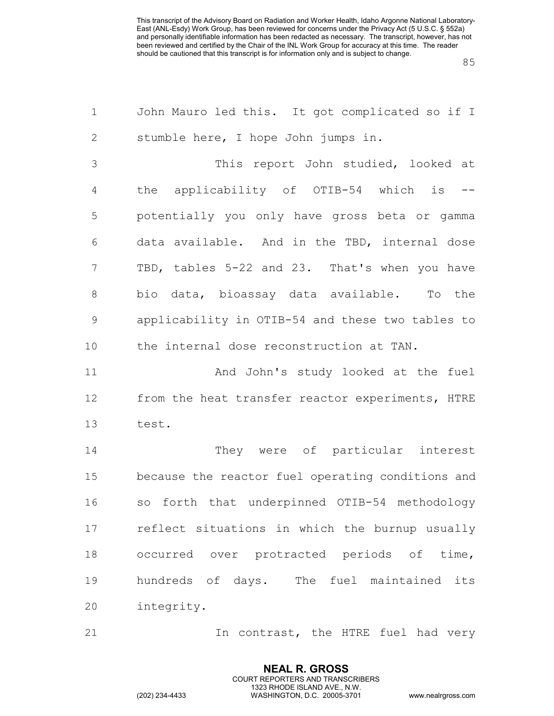| $\mathbf 1$    | John Mauro led this. It got complicated so if I   |
|----------------|---------------------------------------------------|
| $\mathbf{2}$   | stumble here, I hope John jumps in.               |
| $\mathfrak{Z}$ | This report John studied, looked at               |
| 4              | the applicability of OTIB-54 which is             |
| 5              | potentially you only have gross beta or gamma     |
| 6              | data available. And in the TBD, internal dose     |
| $7\phantom{.}$ | TBD, tables 5-22 and 23. That's when you have     |
| 8              | bio data, bioassay data available. To the         |
| 9              | applicability in OTIB-54 and these two tables to  |
| 10             | the internal dose reconstruction at TAN.          |
| 11             | And John's study looked at the fuel               |
| 12             | from the heat transfer reactor experiments, HTRE  |
| 13             | test.                                             |
| 14             | They were of particular interest                  |
| 15             | because the reactor fuel operating conditions and |
| 16             | so forth that underpinned OTIB-54 methodology     |
| 17             | reflect situations in which the burnup usually    |
| 18             | occurred over protracted periods of time,         |
| 19             | hundreds of days. The fuel maintained its         |
| 20             | integrity.                                        |

21 10 In contrast, the HTRE fuel had very

**NEAL R. GROSS** COURT REPORTERS AND TRANSCRIBERS 1323 RHODE ISLAND AVE., N.W.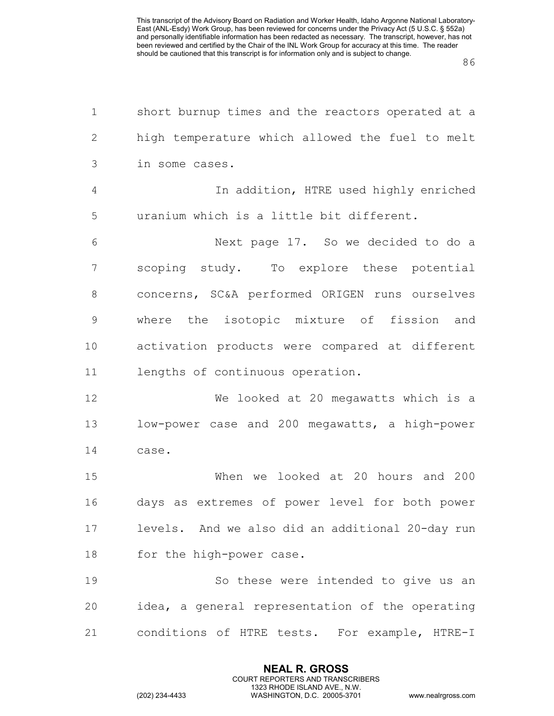| $\mathbf 1$    | short burnup times and the reactors operated at a |
|----------------|---------------------------------------------------|
| $\mathbf{2}$   | high temperature which allowed the fuel to melt   |
| $\mathfrak{Z}$ | in some cases.                                    |
| $\overline{4}$ | In addition, HTRE used highly enriched            |
| 5              | uranium which is a little bit different.          |
| 6              | Next page 17. So we decided to do a               |
| 7              | scoping study. To explore these potential         |
| 8              | concerns, SC&A performed ORIGEN runs ourselves    |
| $\mathcal{G}$  | where the isotopic mixture of fission and         |
| 10             | activation products were compared at different    |
| 11             | lengths of continuous operation.                  |
| 12             | We looked at 20 megawatts which is a              |
| 13             | low-power case and 200 megawatts, a high-power    |
| 14             | case.                                             |
| 15             | When we looked at 20 hours and 200                |
| 16             | days as extremes of power level for both power    |
| 17             | levels. And we also did an additional 20-day run  |
| 18             | for the high-power case.                          |
| 19             | So these were intended to give us an              |
| 20             | idea, a general representation of the operating   |
| 21             | conditions of HTRE tests. For example, HTRE-I     |

**NEAL R. GROSS** COURT REPORTERS AND TRANSCRIBERS 1323 RHODE ISLAND AVE., N.W.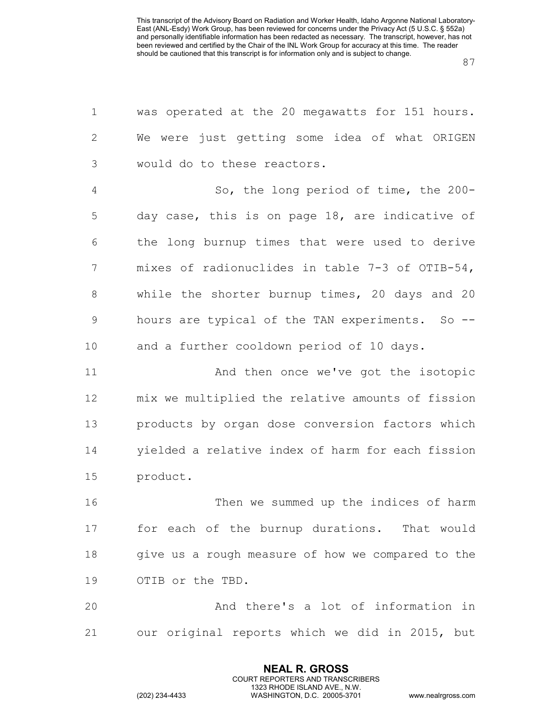| $\mathbf 1$    | was operated at the 20 megawatts for 151 hours.   |
|----------------|---------------------------------------------------|
| $\mathbf{2}$   | We were just getting some idea of what ORIGEN     |
| 3              | would do to these reactors.                       |
| $\overline{4}$ | So, the long period of time, the 200-             |
| 5              | day case, this is on page 18, are indicative of   |
| 6              | the long burnup times that were used to derive    |
| 7              | mixes of radionuclides in table 7-3 of OTIB-54,   |
| $8\,$          | while the shorter burnup times, 20 days and 20    |
| $\mathsf 9$    | hours are typical of the TAN experiments. So --   |
| 10             | and a further cooldown period of 10 days.         |
| 11             | And then once we've got the isotopic              |
| 12             | mix we multiplied the relative amounts of fission |
| 13             | products by organ dose conversion factors which   |
| 14             | yielded a relative index of harm for each fission |
| 15             | product.                                          |
| 16             | Then we summed up the indices of harm             |
| 17             | for each of the burnup durations. That would      |
| 18             | give us a rough measure of how we compared to the |
| 19             | OTIB or the TBD.                                  |
| 20             | And there's a lot of information in               |
| 21             | our original reports which we did in 2015, but    |

**NEAL R. GROSS** COURT REPORTERS AND TRANSCRIBERS 1323 RHODE ISLAND AVE., N.W.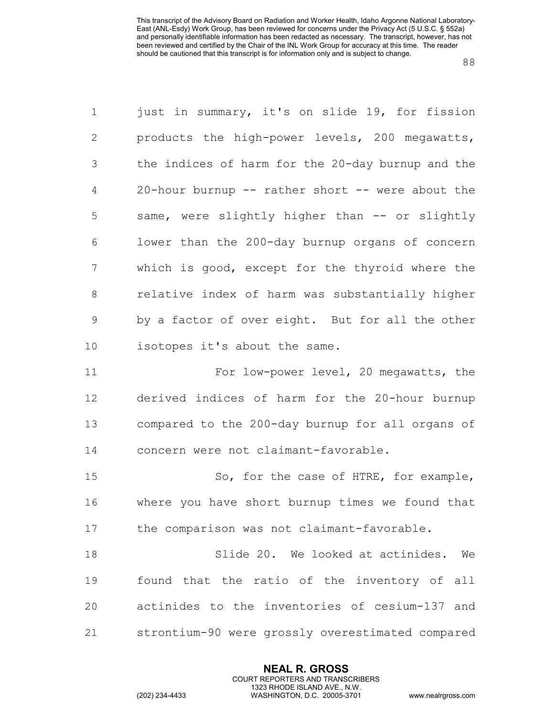| $\mathbf 1$    | just in summary, it's on slide 19, for fission    |
|----------------|---------------------------------------------------|
| $\mathbf{2}$   | products the high-power levels, 200 megawatts,    |
| 3              | the indices of harm for the 20-day burnup and the |
| $\overline{4}$ | 20-hour burnup -- rather short -- were about the  |
| 5              | same, were slightly higher than -- or slightly    |
| 6              | lower than the 200-day burnup organs of concern   |
| 7              | which is good, except for the thyroid where the   |
| 8              | relative index of harm was substantially higher   |
| $\mathcal{G}$  | by a factor of over eight. But for all the other  |
| 10             | isotopes it's about the same.                     |
| 11             | For low-power level, 20 megawatts, the            |
| 12             | derived indices of harm for the 20-hour burnup    |
| 13             | compared to the 200-day burnup for all organs of  |
| 14             | concern were not claimant-favorable.              |
| 15             | So, for the case of HTRE, for example,            |
| 16             | where you have short burnup times we found that   |
| 17             | the comparison was not claimant-favorable.        |
| 18             | Slide 20. We looked at actinides.<br>We           |
| 19             | found that the ratio of the inventory of all      |
| 20             | actinides to the inventories of cesium-137 and    |
| 21             | strontium-90 were grossly overestimated compared  |
|                |                                                   |

**NEAL R. GROSS** COURT REPORTERS AND TRANSCRIBERS 1323 RHODE ISLAND AVE., N.W.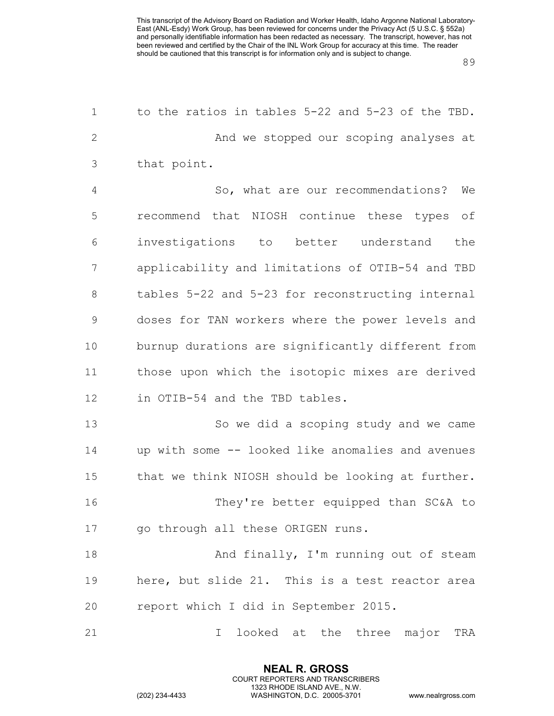| $\mathbf 1$    | to the ratios in tables 5-22 and 5-23 of the TBD. |
|----------------|---------------------------------------------------|
| 2              | And we stopped our scoping analyses at            |
| 3              | that point.                                       |
| $\overline{4}$ | So, what are our recommendations?<br>We           |
| 5              | recommend that NIOSH continue these types<br>of   |
| 6              | investigations to better understand<br>the        |
| 7              | applicability and limitations of OTIB-54 and TBD  |
| 8              | tables 5-22 and 5-23 for reconstructing internal  |
| 9              | doses for TAN workers where the power levels and  |
| 10             | burnup durations are significantly different from |
| 11             | those upon which the isotopic mixes are derived   |
| 12             | in OTIB-54 and the TBD tables.                    |
| 13             | So we did a scoping study and we came             |
| 14             | up with some -- looked like anomalies and avenues |
| 15             | that we think NIOSH should be looking at further. |
| 16             | They're better equipped than SC&A to              |
| 17             | go through all these ORIGEN runs.                 |
| 18             | And finally, I'm running out of steam             |
| 19             | here, but slide 21. This is a test reactor area   |
| 20             | report which I did in September 2015.             |
| 21             | looked at the three major<br>TRA<br>I             |

**NEAL R. GROSS** COURT REPORTERS AND TRANSCRIBERS 1323 RHODE ISLAND AVE., N.W.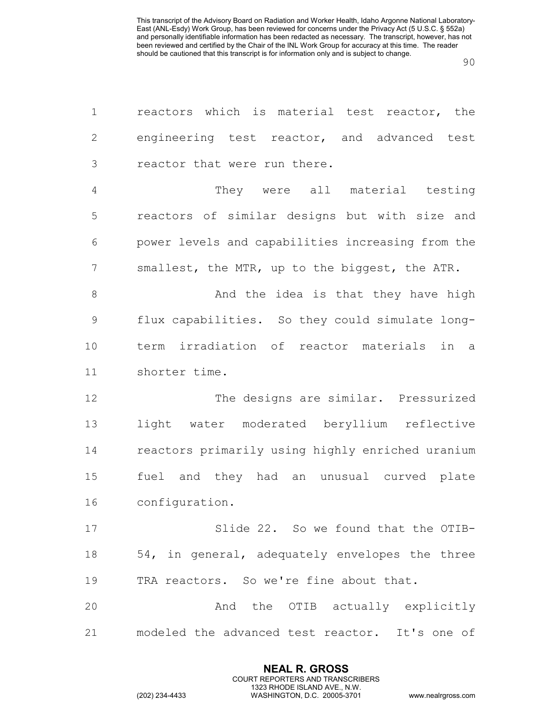| $\mathbf 1$    | reactors which is material test reactor, the      |
|----------------|---------------------------------------------------|
| $\mathbf{2}$   | engineering test reactor, and advanced test       |
| 3              | reactor that were run there.                      |
| $\overline{4}$ | They were all material testing                    |
| 5              | reactors of similar designs but with size and     |
| 6              | power levels and capabilities increasing from the |
| 7              | smallest, the MTR, up to the biggest, the ATR.    |
| 8              | And the idea is that they have high               |
| $\mathcal{G}$  | flux capabilities. So they could simulate long-   |
| 10             | term irradiation of reactor materials in<br>a a   |
| 11             | shorter time.                                     |
| 12             | The designs are similar. Pressurized              |
| 13             | water moderated beryllium reflective<br>light     |
| 14             | reactors primarily using highly enriched uranium  |
| 15             | fuel and they had an unusual curved plate         |
| 16             | configuration.                                    |
| 17             | Slide 22. So we found that the OTIB-              |
| 18             | 54, in general, adequately envelopes the three    |
| 19             | TRA reactors. So we're fine about that.           |
| 20             | And the OTIB actually explicitly                  |
| 21             | modeled the advanced test reactor. It's one of    |

**NEAL R. GROSS** COURT REPORTERS AND TRANSCRIBERS 1323 RHODE ISLAND AVE., N.W.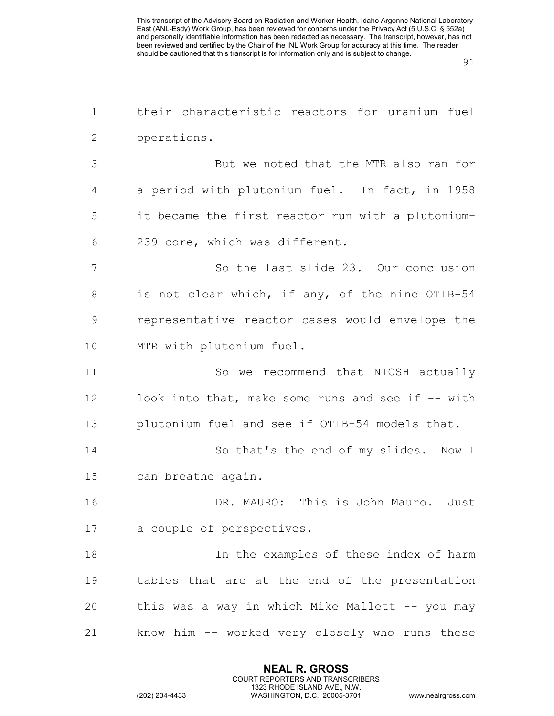| $\mathbf 1$   | their characteristic reactors for uranium fuel    |
|---------------|---------------------------------------------------|
| 2             | operations.                                       |
| 3             | But we noted that the MTR also ran for            |
| 4             | a period with plutonium fuel. In fact, in 1958    |
| 5             | it became the first reactor run with a plutonium- |
| 6             | 239 core, which was different.                    |
| 7             | So the last slide 23. Our conclusion              |
| $8\,$         | is not clear which, if any, of the nine OTIB-54   |
| $\mathcal{G}$ | representative reactor cases would envelope the   |
| 10            | MTR with plutonium fuel.                          |
| 11            | So we recommend that NIOSH actually               |
| 12            | look into that, make some runs and see if -- with |
| 13            | plutonium fuel and see if OTIB-54 models that.    |
| 14            | So that's the end of my slides. Now I             |
| 15            | can breathe again.                                |
| 16            | DR. MAURO: This is John Mauro. Just               |
| 17            | a couple of perspectives.                         |
| 18            | In the examples of these index of harm            |
| 19            | tables that are at the end of the presentation    |
| 20            | this was a way in which Mike Mallett -- you may   |
| 21            | know him -- worked very closely who runs these    |
|               |                                                   |

**NEAL R. GROSS** COURT REPORTERS AND TRANSCRIBERS 1323 RHODE ISLAND AVE., N.W.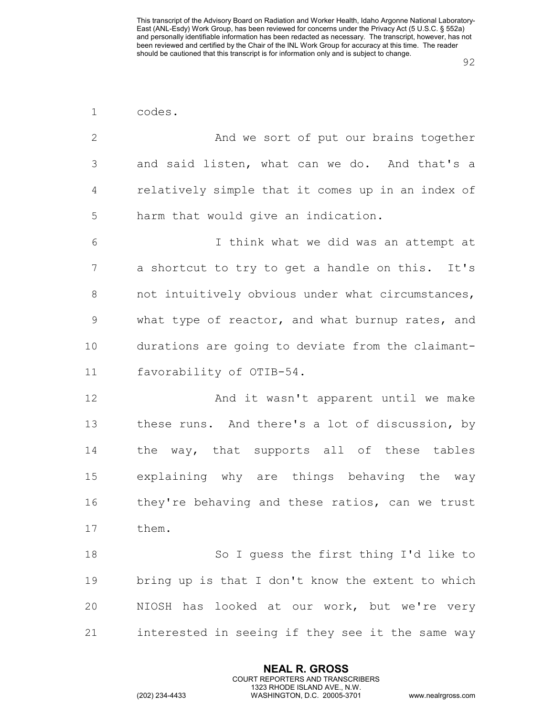| $\mathbf 1$ | codes.                                            |
|-------------|---------------------------------------------------|
| 2           | And we sort of put our brains together            |
| 3           | and said listen, what can we do. And that's a     |
| 4           | relatively simple that it comes up in an index of |
| 5           | harm that would give an indication.               |
| 6           | I think what we did was an attempt at             |
| 7           | a shortcut to try to get a handle on this. It's   |
| $8\,$       | not intuitively obvious under what circumstances, |
| 9           | what type of reactor, and what burnup rates, and  |
| 10          | durations are going to deviate from the claimant- |
| 11          | favorability of OTIB-54.                          |
| 12          | And it wasn't apparent until we make              |
| 13          | these runs. And there's a lot of discussion, by   |
| 14          | the way, that supports all of these tables        |
| 15          | explaining why are things behaving the<br>way     |
| 16          | they're behaving and these ratios, can we trust   |
| 17          | them.                                             |
| 18          | So I guess the first thing I'd like to            |
| 19          | bring up is that I don't know the extent to which |
| 20          | NIOSH has looked at our work, but we're very      |
| 21          | interested in seeing if they see it the same way  |
|             |                                                   |

**NEAL R. GROSS** COURT REPORTERS AND TRANSCRIBERS 1323 RHODE ISLAND AVE., N.W.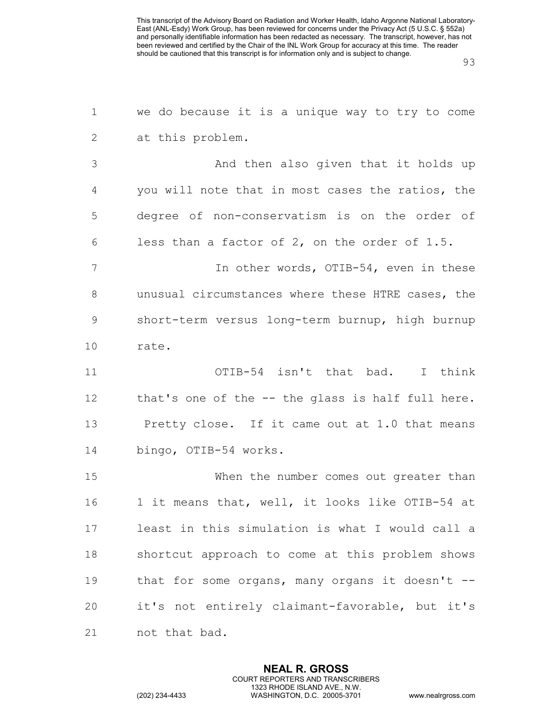we do because it is a unique way to try to come at this problem.

 And then also given that it holds up you will note that in most cases the ratios, the degree of non-conservatism is on the order of less than a factor of 2, on the order of 1.5.

7 In other words, OTIB-54, even in these unusual circumstances where these HTRE cases, the short-term versus long-term burnup, high burnup rate.

 OTIB-54 isn't that bad. I think that's one of the -- the glass is half full here. Pretty close. If it came out at 1.0 that means bingo, OTIB-54 works.

 When the number comes out greater than 1 it means that, well, it looks like OTIB-54 at least in this simulation is what I would call a shortcut approach to come at this problem shows 19 that for some organs, many organs it doesn't -- it's not entirely claimant-favorable, but it's not that bad.

> **NEAL R. GROSS** COURT REPORTERS AND TRANSCRIBERS 1323 RHODE ISLAND AVE., N.W.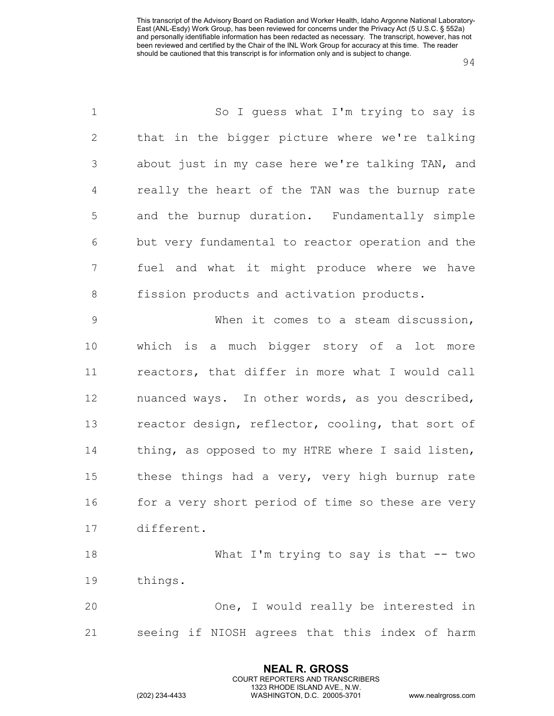| $\mathbf 1$  | So I quess what I'm trying to say is              |
|--------------|---------------------------------------------------|
| $\mathbf{2}$ | that in the bigger picture where we're talking    |
| 3            | about just in my case here we're talking TAN, and |
| 4            | really the heart of the TAN was the burnup rate   |
| 5            | and the burnup duration. Fundamentally simple     |
| 6            | but very fundamental to reactor operation and the |
| 7            | fuel and what it might produce where we have      |
| $8\,$        | fission products and activation products.         |
| $\mathsf 9$  | When it comes to a steam discussion,              |
| 10           | which is a much bigger story of a lot more        |
| 11           | reactors, that differ in more what I would call   |
| 12           | nuanced ways. In other words, as you described,   |
| 13           | reactor design, reflector, cooling, that sort of  |
| 14           | thing, as opposed to my HTRE where I said listen, |
| 15           | these things had a very, very high burnup rate    |
| 16           | for a very short period of time so these are very |
| 17           | different.                                        |
| 18           | What I'm trying to say is that $-$ - two          |
| 19           | things.                                           |
| 20           | One, I would really be interested in              |
| 21           | seeing if NIOSH agrees that this index of harm    |

**NEAL R. GROSS** COURT REPORTERS AND TRANSCRIBERS 1323 RHODE ISLAND AVE., N.W.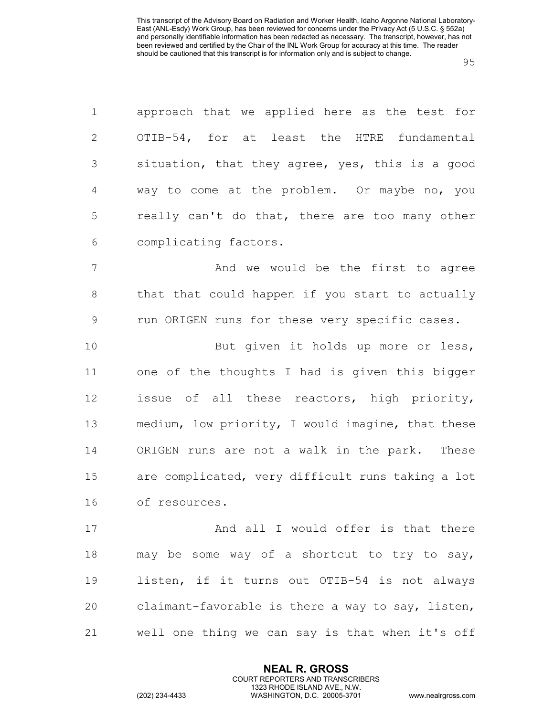| $\mathbf 1$    | approach that we applied here as the test for     |
|----------------|---------------------------------------------------|
| $\overline{2}$ | OTIB-54, for at least the HTRE fundamental        |
| 3              | situation, that they agree, yes, this is a good   |
| 4              | way to come at the problem. Or maybe no, you      |
| 5              | really can't do that, there are too many other    |
| 6              | complicating factors.                             |
| 7              | And we would be the first to agree                |
| 8              | that that could happen if you start to actually   |
| $\mathcal{G}$  | run ORIGEN runs for these very specific cases.    |
| 10             | But given it holds up more or less,               |
| 11             | one of the thoughts I had is given this bigger    |
| 12             | issue of all these reactors, high priority,       |
| 13             | medium, low priority, I would imagine, that these |
| 14             | ORIGEN runs are not a walk in the park. These     |
| 15             | are complicated, very difficult runs taking a lot |
| 16             | of resources.                                     |
| 17             | And all I would offer is that there               |
| 18             | may be some way of a shortcut to try to say,      |
| 19             | listen, if it turns out OTIB-54 is not always     |
| 20             | claimant-favorable is there a way to say, listen, |
| 21             | well one thing we can say is that when it's off   |

**NEAL R. GROSS** COURT REPORTERS AND TRANSCRIBERS 1323 RHODE ISLAND AVE., N.W.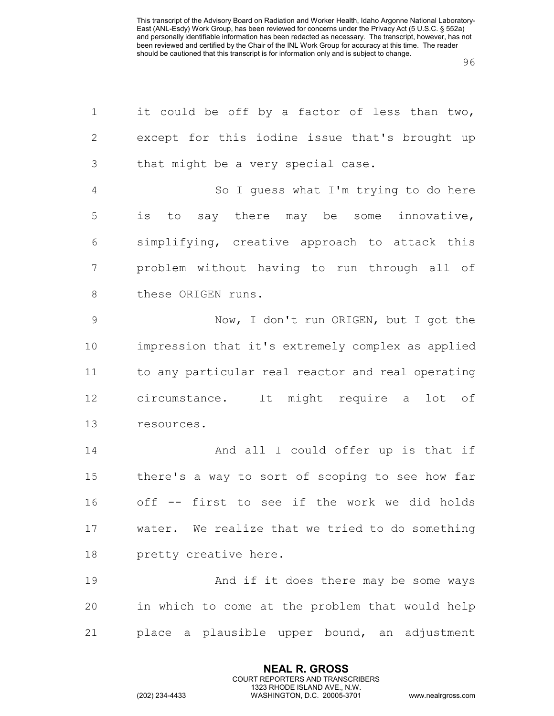| $\mathbf 1$    | it could be off by a factor of less than two,     |
|----------------|---------------------------------------------------|
| $\mathbf{2}$   | except for this iodine issue that's brought up    |
| 3              | that might be a very special case.                |
| $\overline{4}$ | So I guess what I'm trying to do here             |
| 5              | to say there may be some innovative,<br>is        |
| 6              | simplifying, creative approach to attack this     |
| $\overline{7}$ | problem without having to run through all of      |
| $\,8\,$        | these ORIGEN runs.                                |
| $\mathcal{G}$  | Now, I don't run ORIGEN, but I got the            |
| 10             | impression that it's extremely complex as applied |
| 11             | to any particular real reactor and real operating |
| 12             | circumstance. It might require a lot of           |
| 13             | resources.                                        |
| 14             | And all I could offer up is that if               |
| 15             | there's a way to sort of scoping to see how far   |
| 16             | off -- first to see if the work we did holds      |
| 17             | water. We realize that we tried to do something   |
| 18             | pretty creative here.                             |
| 19             | And if it does there may be some ways             |
| 20             | in which to come at the problem that would help   |
| 21             | place a plausible upper bound, an adjustment      |

**NEAL R. GROSS** COURT REPORTERS AND TRANSCRIBERS 1323 RHODE ISLAND AVE., N.W.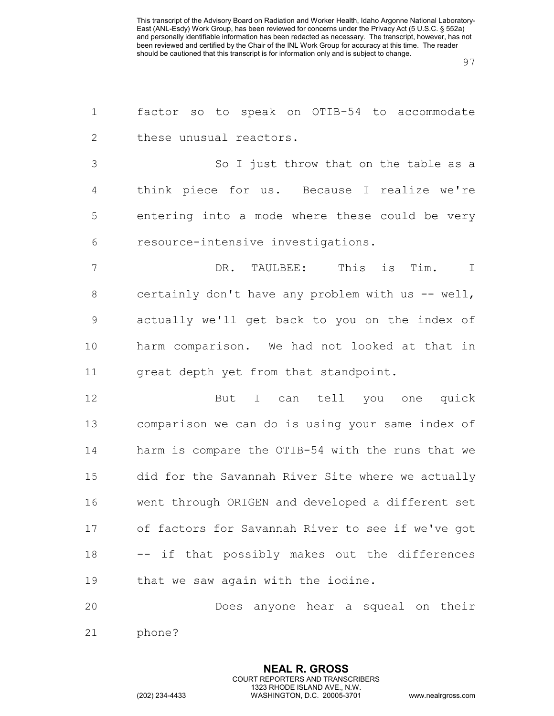| $\mathbf 1$    | factor so to speak on OTIB-54 to accommodate      |
|----------------|---------------------------------------------------|
| $\mathbf{2}$   | these unusual reactors.                           |
| $\mathfrak{Z}$ | So I just throw that on the table as a            |
| 4              | think piece for us. Because I realize we're       |
| 5              | entering into a mode where these could be very    |
| 6              | resource-intensive investigations.                |
| 7              | This is Tim.<br>DR. TAULBEE:<br>$\perp$           |
| 8              | certainly don't have any problem with us -- well, |
| 9              | actually we'll get back to you on the index of    |
| 10             | harm comparison. We had not looked at that in     |
| 11             | great depth yet from that standpoint.             |
| 12             | But I can tell you one quick                      |
| 13             | comparison we can do is using your same index of  |
| 14             | harm is compare the OTIB-54 with the runs that we |
| 15             | did for the Savannah River Site where we actually |
| 16             | went through ORIGEN and developed a different set |
| 17             | of factors for Savannah River to see if we've got |
| 18             | -- if that possibly makes out the differences     |
| 19             | that we saw again with the iodine.                |
| $\cap$ $\cap$  | hoar a counal on thoir                            |

 Does anyone hear a squeal on their phone?

> **NEAL R. GROSS** COURT REPORTERS AND TRANSCRIBERS 1323 RHODE ISLAND AVE., N.W.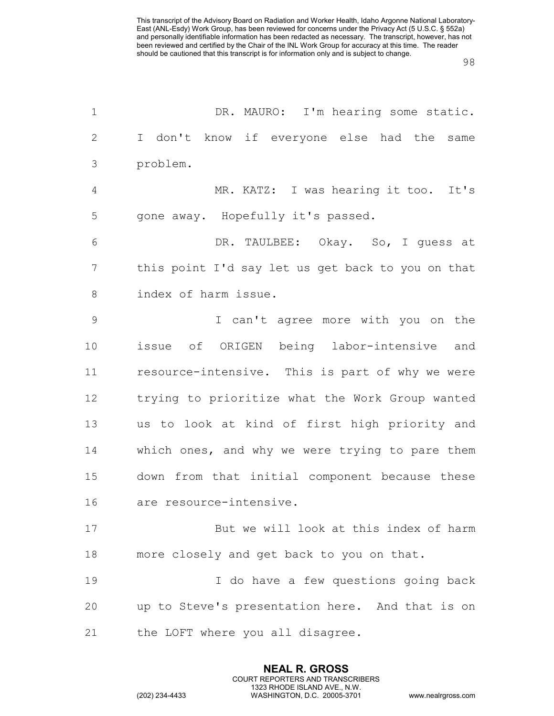| $\mathbf 1$   | DR. MAURO: I'm hearing some static.               |
|---------------|---------------------------------------------------|
| $\mathbf{2}$  | I don't know if everyone else had the same        |
| 3             | problem.                                          |
| 4             | MR. KATZ: I was hearing it too. It's              |
| 5             | gone away. Hopefully it's passed.                 |
| 6             | DR. TAULBEE: Okay. So, I guess at                 |
| 7             | this point I'd say let us get back to you on that |
| 8             | index of harm issue.                              |
| $\mathcal{G}$ | I can't agree more with you on the                |
| 10            | issue of ORIGEN being labor-intensive and         |
| 11            | resource-intensive. This is part of why we were   |
| 12            | trying to prioritize what the Work Group wanted   |
| 13            | us to look at kind of first high priority and     |
| 14            | which ones, and why we were trying to pare them   |
| 15            | down from that initial component because these    |
| 16            | are resource-intensive.                           |
| 17            | But we will look at this index of harm            |
| 18            | more closely and get back to you on that.         |
| 19            | I do have a few questions going back              |
| 20            | up to Steve's presentation here. And that is on   |
| 21            | the LOFT where you all disagree.                  |

**NEAL R. GROSS** COURT REPORTERS AND TRANSCRIBERS 1323 RHODE ISLAND AVE., N.W.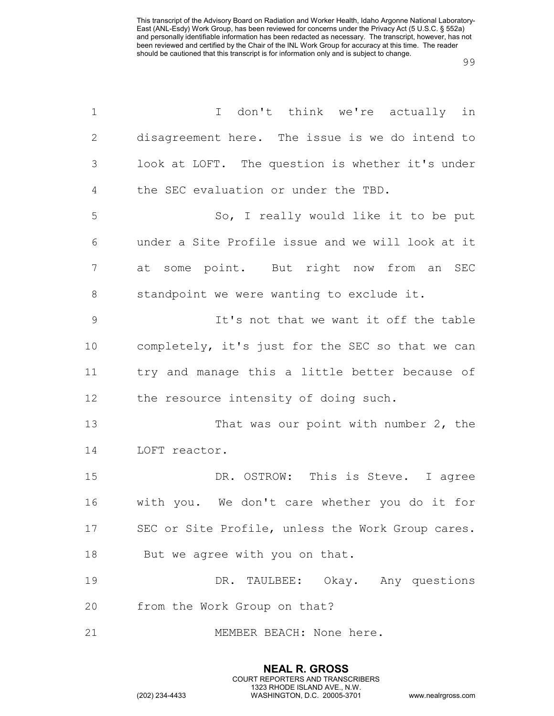| $\mathbf 1$   | I don't think we're actually in                   |
|---------------|---------------------------------------------------|
| $\mathbf{2}$  | disagreement here. The issue is we do intend to   |
| $\mathcal{S}$ | look at LOFT. The question is whether it's under  |
| 4             | the SEC evaluation or under the TBD.              |
| 5             | So, I really would like it to be put              |
| 6             | under a Site Profile issue and we will look at it |
| 7             | at some point. But right now from an SEC          |
| 8             | standpoint we were wanting to exclude it.         |
| $\mathcal{G}$ | It's not that we want it off the table            |
| 10            | completely, it's just for the SEC so that we can  |
| 11            | try and manage this a little better because of    |
| 12            | the resource intensity of doing such.             |
| 13            | That was our point with number 2, the             |
| 14            | LOFT reactor.                                     |
| 15            | DR. OSTROW: This is Steve. I agree                |
| 16            | with you. We don't care whether you do it for     |
| 17            | SEC or Site Profile, unless the Work Group cares. |
| 18            | But we agree with you on that.                    |
| 19            | DR. TAULBEE: Okay. Any questions                  |
| 20            | from the Work Group on that?                      |
| 21            | MEMBER BEACH: None here.                          |

**NEAL R. GROSS** COURT REPORTERS AND TRANSCRIBERS 1323 RHODE ISLAND AVE., N.W.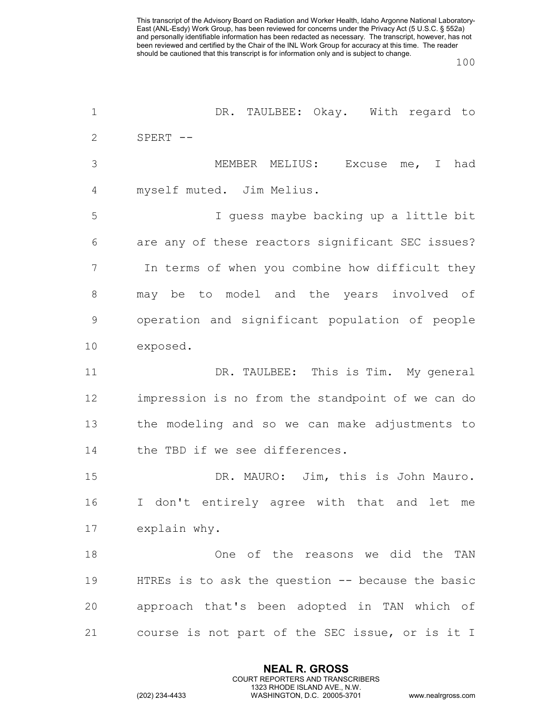| DR. TAULBEE: Okay. With regard to                    |
|------------------------------------------------------|
| $SPERT$ --                                           |
| MEMBER MELIUS:<br>Excuse me, I had                   |
| myself muted. Jim Melius.                            |
| I guess maybe backing up a little bit                |
| are any of these reactors significant SEC issues?    |
| In terms of when you combine how difficult they      |
| may be to model and the years involved of            |
| operation and significant population of people       |
| exposed.                                             |
| DR. TAULBEE: This is Tim. My general                 |
| impression is no from the standpoint of we can do    |
| the modeling and so we can make adjustments to       |
| the TBD if we see differences.                       |
| DR. MAURO: Jim, this is John Mauro.                  |
| I don't entirely agree with that and let<br>me       |
| explain why.                                         |
| One of the reasons we did the TAN                    |
| HTREs is to ask the question $-$ - because the basic |
| approach that's been adopted in TAN which of         |
| course is not part of the SEC issue, or is it I      |
|                                                      |

**NEAL R. GROSS** COURT REPORTERS AND TRANSCRIBERS 1323 RHODE ISLAND AVE., N.W.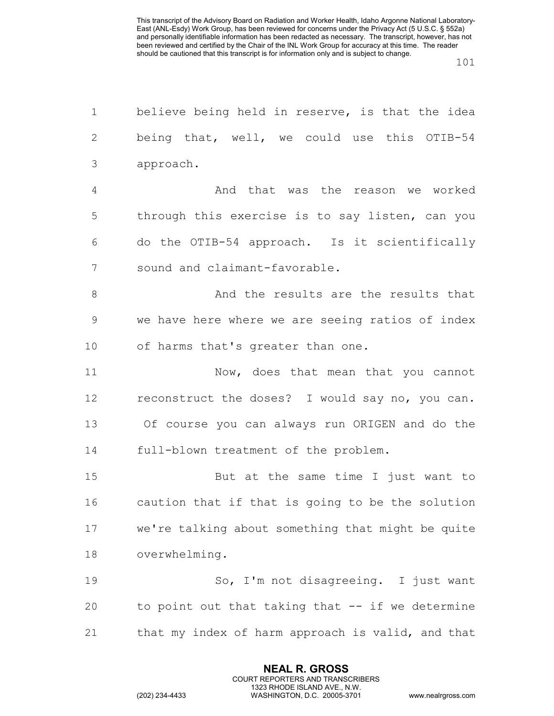| believe being held in reserve, is that the idea   |
|---------------------------------------------------|
| being that, well, we could use this OTIB-54       |
| approach.                                         |
| And that was the reason we worked                 |
| through this exercise is to say listen, can you   |
| do the OTIB-54 approach. Is it scientifically     |
| sound and claimant-favorable.                     |
| And the results are the results that              |
| we have here where we are seeing ratios of index  |
| of harms that's greater than one.                 |
| Now, does that mean that you cannot               |
| reconstruct the doses? I would say no, you can.   |
| Of course you can always run ORIGEN and do the    |
| full-blown treatment of the problem.              |
| But at the same time I just want to               |
| caution that if that is going to be the solution  |
| we're talking about something that might be quite |
| overwhelming.                                     |
| So, I'm not disagreeing. I just want              |
| to point out that taking that -- if we determine  |
| that my index of harm approach is valid, and that |
|                                                   |

**NEAL R. GROSS** COURT REPORTERS AND TRANSCRIBERS 1323 RHODE ISLAND AVE., N.W.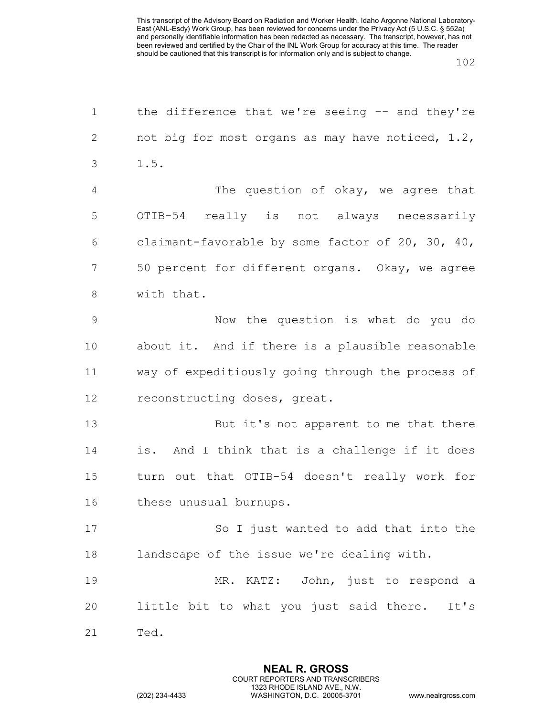| $\mathbf 1$    | the difference that we're seeing -- and they're   |
|----------------|---------------------------------------------------|
| $\mathbf{2}$   | not big for most organs as may have noticed, 1.2, |
| 3              | 1.5.                                              |
| $\overline{4}$ | The question of okay, we agree that               |
| 5              | OTIB-54 really is not always necessarily          |
| 6              | claimant-favorable by some factor of 20, 30, 40,  |
| 7              | 50 percent for different organs. Okay, we agree   |
| 8              | with that.                                        |
| 9              | Now the question is what do you do                |
| 10             | about it. And if there is a plausible reasonable  |
| 11             | way of expeditiously going through the process of |
| 12             | reconstructing doses, great.                      |
| 13             | But it's not apparent to me that there            |
| 14             | is. And I think that is a challenge if it does    |
| 15             | turn out that OTIB-54 doesn't really work for     |
| 16             | these unusual burnups.                            |
| 17             | So I just wanted to add that into the             |
| 18             | landscape of the issue we're dealing with.        |
| 19             | MR. KATZ: John, just to respond a                 |
| 20             | little bit to what you just said there. It's      |
| 21             | Ted.                                              |

**NEAL R. GROSS** COURT REPORTERS AND TRANSCRIBERS 1323 RHODE ISLAND AVE., N.W.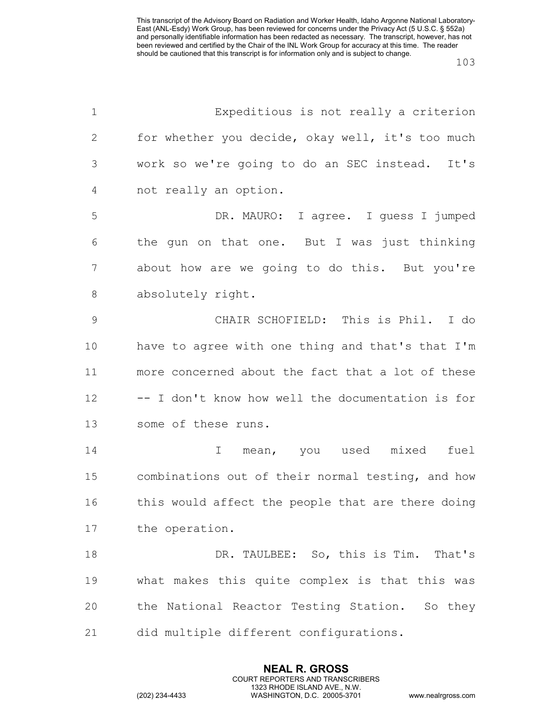| $\mathbf 1$    | Expeditious is not really a criterion             |
|----------------|---------------------------------------------------|
| 2              | for whether you decide, okay well, it's too much  |
| 3              | work so we're going to do an SEC instead. It's    |
| $\overline{4}$ | not really an option.                             |
| 5              | DR. MAURO: I agree. I guess I jumped              |
| 6              | the gun on that one. But I was just thinking      |
| 7              | about how are we going to do this. But you're     |
| $8\,$          | absolutely right.                                 |
| $\mathsf 9$    | CHAIR SCHOFIELD: This is Phil. I do               |
| 10             | have to agree with one thing and that's that I'm  |
| 11             | more concerned about the fact that a lot of these |
| 12             | -- I don't know how well the documentation is for |
| 13             | some of these runs.                               |
| 14             | fuel<br>mean, you used mixed<br>I                 |
| 15             | combinations out of their normal testing, and how |
| 16             | this would affect the people that are there doing |
| 17             | the operation.                                    |
| 18             | DR. TAULBEE: So, this is Tim. That's              |
| 19             | what makes this quite complex is that this was    |
| 20             | the National Reactor Testing Station. So they     |
| 21             | did multiple different configurations.            |

**NEAL R. GROSS** COURT REPORTERS AND TRANSCRIBERS 1323 RHODE ISLAND AVE., N.W.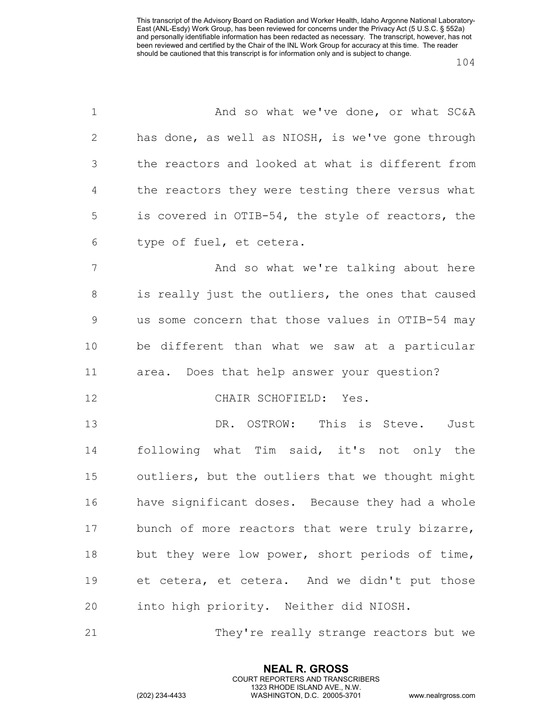| $\mathbf 1$    | And so what we've done, or what SC&A              |
|----------------|---------------------------------------------------|
| 2              | has done, as well as NIOSH, is we've gone through |
| 3              | the reactors and looked at what is different from |
| $\overline{4}$ | the reactors they were testing there versus what  |
| 5              | is covered in OTIB-54, the style of reactors, the |
| 6              | type of fuel, et cetera.                          |
| 7              | And so what we're talking about here              |
| 8              | is really just the outliers, the ones that caused |
| $\mathsf 9$    | us some concern that those values in OTIB-54 may  |
| 10             | be different than what we saw at a particular     |
| 11             | area. Does that help answer your question?        |
| 12             | CHAIR SCHOFIELD: Yes.                             |
| 13             | DR. OSTROW: This is Steve. Just                   |
| 14             | following what Tim said, it's not only the        |
| 15             | outliers, but the outliers that we thought might  |
| 16             | have significant doses. Because they had a whole  |
| 17             | bunch of more reactors that were truly bizarre,   |
| 18             | but they were low power, short periods of time,   |
| 19             | et cetera, et cetera. And we didn't put those     |
| 20             | into high priority. Neither did NIOSH.            |
| 21             | They're really strange reactors but we            |

**NEAL R. GROSS** COURT REPORTERS AND TRANSCRIBERS 1323 RHODE ISLAND AVE., N.W.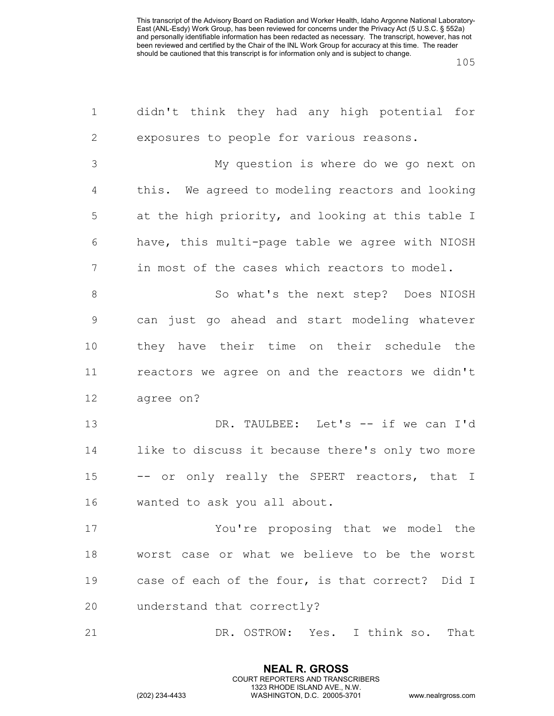| $\mathbf 1$    | didn't think they had any high potential for      |
|----------------|---------------------------------------------------|
| $\mathbf{2}$   | exposures to people for various reasons.          |
| $\mathfrak{Z}$ | My question is where do we go next on             |
| $\overline{4}$ | this. We agreed to modeling reactors and looking  |
| 5              | at the high priority, and looking at this table I |
| 6              | have, this multi-page table we agree with NIOSH   |
| 7              | in most of the cases which reactors to model.     |
| $\,8\,$        | So what's the next step? Does NIOSH               |
| $\mathsf 9$    | can just go ahead and start modeling whatever     |
| 10             | they have their time on their schedule the        |
| 11             | reactors we agree on and the reactors we didn't   |
| 12             | agree on?                                         |
| 13             | DR. TAULBEE: Let's -- if we can I'd               |
| 14             | like to discuss it because there's only two more  |
| 15             | -- or only really the SPERT reactors, that I      |
| 16             | wanted to ask you all about.                      |
| 17             | You're proposing that we model the                |
| 18             | worst case or what we believe to be the worst     |
| 19             | case of each of the four, is that correct? Did I  |
| 20             | understand that correctly?                        |
| 21             | DR. OSTROW: Yes. I think so. That                 |

**NEAL R. GROSS** COURT REPORTERS AND TRANSCRIBERS 1323 RHODE ISLAND AVE., N.W.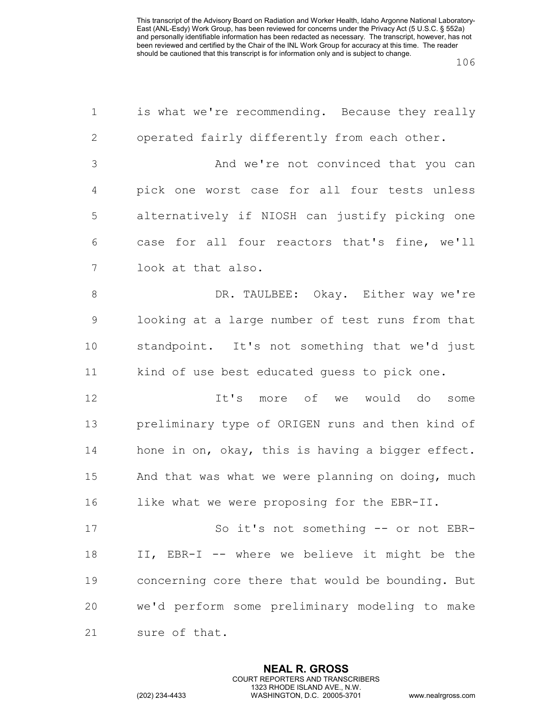| $\mathbf 1$  | is what we're recommending. Because they really   |
|--------------|---------------------------------------------------|
| $\mathbf{2}$ | operated fairly differently from each other.      |
| 3            | And we're not convinced that you can              |
| 4            | pick one worst case for all four tests unless     |
| 5            | alternatively if NIOSH can justify picking one    |
| 6            | case for all four reactors that's fine, we'll     |
| 7            | look at that also.                                |
| $8\,$        | DR. TAULBEE: Okay. Either way we're               |
| $\mathsf 9$  | looking at a large number of test runs from that  |
| 10           | standpoint. It's not something that we'd just     |
| 11           | kind of use best educated guess to pick one.      |
| 12           | It's more of we would<br>do some                  |
| 13           | preliminary type of ORIGEN runs and then kind of  |
| 14           | hone in on, okay, this is having a bigger effect. |
| 15           | And that was what we were planning on doing, much |
| 16           | like what we were proposing for the EBR-II.       |
| 17           | So it's not something -- or not EBR-              |
| 18           | II, EBR-I -- where we believe it might be the     |
| 19           | concerning core there that would be bounding. But |
| 20           | we'd perform some preliminary modeling to make    |
| 21           | sure of that.                                     |

**NEAL R. GROSS** COURT REPORTERS AND TRANSCRIBERS 1323 RHODE ISLAND AVE., N.W.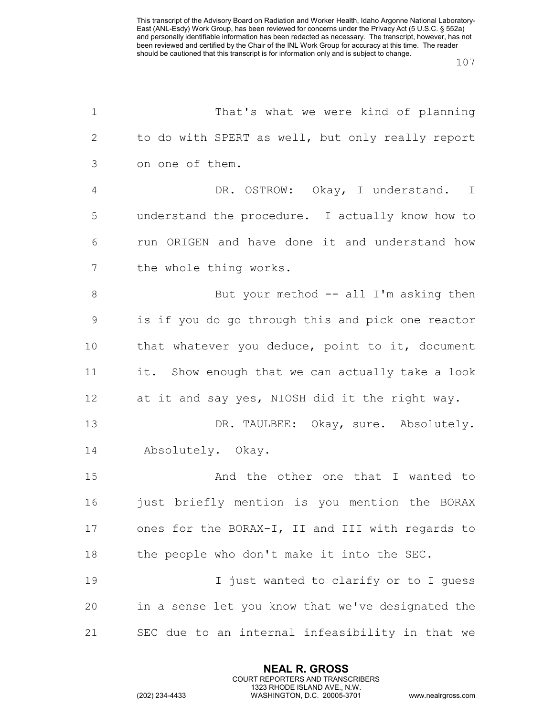| $\mathbf 1$    | That's what we were kind of planning              |
|----------------|---------------------------------------------------|
| $\mathbf{2}$   | to do with SPERT as well, but only really report  |
| 3              | on one of them.                                   |
| $\overline{4}$ | DR. OSTROW: Okay, I understand. I                 |
| 5              | understand the procedure. I actually know how to  |
| 6              | run ORIGEN and have done it and understand how    |
| 7              | the whole thing works.                            |
| $8\,$          | But your method -- all I'm asking then            |
| $\mathcal{G}$  | is if you do go through this and pick one reactor |
| 10             | that whatever you deduce, point to it, document   |
| 11             | it. Show enough that we can actually take a look  |
| 12             | at it and say yes, NIOSH did it the right way.    |
| 13             | DR. TAULBEE: Okay, sure. Absolutely.              |
| 14             | Absolutely. Okay.                                 |
| 15             | And the other one that I wanted to                |
| 16             | just briefly mention is you mention the BORAX     |
| 17             | ones for the BORAX-I, II and III with regards to  |
| $18\,$         | the people who don't make it into the SEC.        |
| 19             | I just wanted to clarify or to I quess            |
| 20             | in a sense let you know that we've designated the |
| 21             | SEC due to an internal infeasibility in that we   |

**NEAL R. GROSS** COURT REPORTERS AND TRANSCRIBERS 1323 RHODE ISLAND AVE., N.W.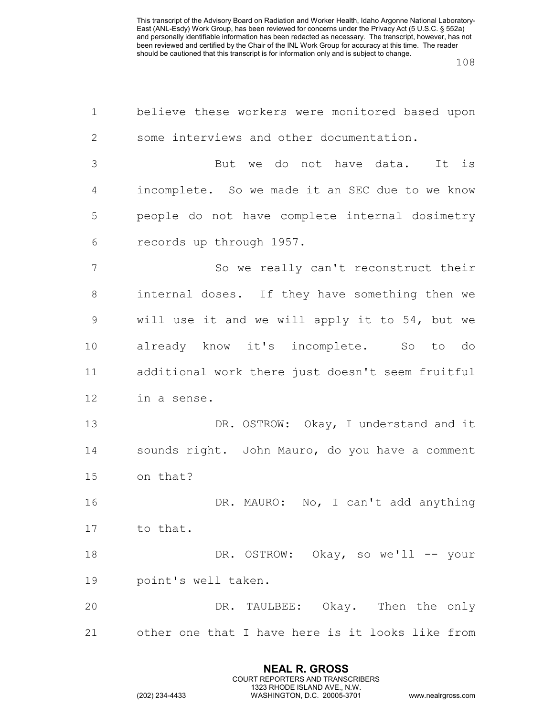| $\mathbf 1$     | believe these workers were monitored based upon  |
|-----------------|--------------------------------------------------|
| $\mathbf{2}$    | some interviews and other documentation.         |
| 3               | But we do not have data. It is                   |
| 4               | incomplete. So we made it an SEC due to we know  |
| 5               | people do not have complete internal dosimetry   |
| 6               | records up through 1957.                         |
| $7\phantom{.0}$ | So we really can't reconstruct their             |
| 8               | internal doses. If they have something then we   |
| $\mathsf 9$     | will use it and we will apply it to 54, but we   |
| 10              | already know it's incomplete. So to do           |
| 11              | additional work there just doesn't seem fruitful |
| 12              | in a sense.                                      |
| 13              | DR. OSTROW: Okay, I understand and it            |
| 14              | sounds right. John Mauro, do you have a comment  |
| 15              | on that?                                         |
| 16              | DR. MAURO: No, I can't add anything              |
| 17              | to that.                                         |
| 18              | DR. OSTROW: Okay, so we'll -- your               |
| 19              | point's well taken.                              |
| 20              | DR. TAULBEE: Okay. Then the only                 |
| 21              | other one that I have here is it looks like from |

**NEAL R. GROSS** COURT REPORTERS AND TRANSCRIBERS 1323 RHODE ISLAND AVE., N.W.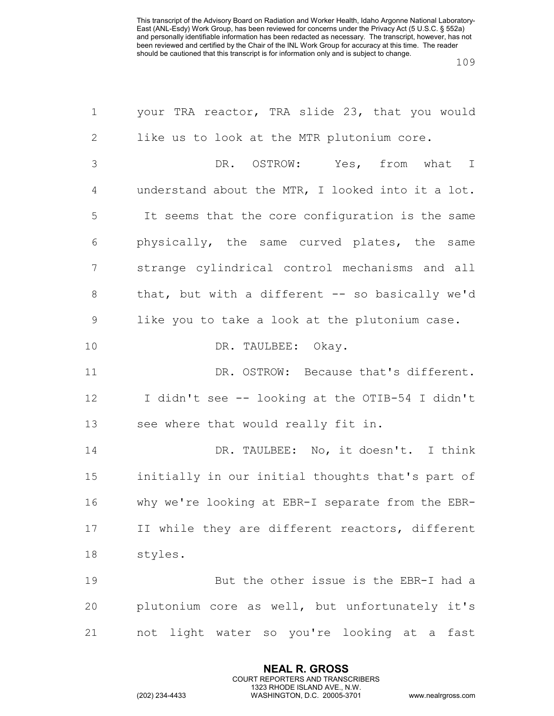| $\mathbf 1$    | your TRA reactor, TRA slide 23, that you would    |
|----------------|---------------------------------------------------|
| 2              | like us to look at the MTR plutonium core.        |
| 3              | DR. OSTROW: Yes, from what I                      |
| $\overline{4}$ | understand about the MTR, I looked into it a lot. |
| 5              | It seems that the core configuration is the same  |
| 6              | physically, the same curved plates, the same      |
| $\overline{7}$ | strange cylindrical control mechanisms and all    |
| $8\,$          | that, but with a different -- so basically we'd   |
| $\mathcal{G}$  | like you to take a look at the plutonium case.    |
| 10             | DR. TAULBEE: Okay.                                |
| 11             | DR. OSTROW: Because that's different.             |
| 12             | I didn't see -- looking at the OTIB-54 I didn't   |
| 13             | see where that would really fit in.               |
| 14             | DR. TAULBEE: No, it doesn't. I think              |
| 15             | initially in our initial thoughts that's part of  |
| 16             | why we're looking at EBR-I separate from the EBR- |
| 17             | II while they are different reactors, different   |
| $1\,8$         | styles.                                           |
| 19             | But the other issue is the EBR-I had a            |
| 20             | plutonium core as well, but unfortunately it's    |
| 21             | not light water so you're looking at a fast       |

**NEAL R. GROSS** COURT REPORTERS AND TRANSCRIBERS 1323 RHODE ISLAND AVE., N.W.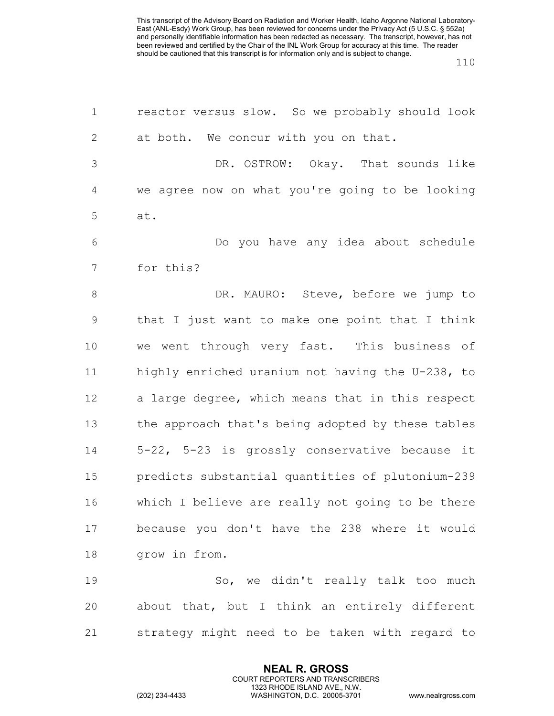| $\mathbf 1$    | reactor versus slow. So we probably should look   |
|----------------|---------------------------------------------------|
| $\mathbf{2}$   | at both. We concur with you on that.              |
| $\mathfrak{Z}$ | DR. OSTROW: Okay. That sounds like                |
| 4              | we agree now on what you're going to be looking   |
| 5              | at.                                               |
| 6              | Do you have any idea about schedule               |
| 7              | for this?                                         |
| $\,8\,$        | DR. MAURO: Steve, before we jump to               |
| $\mathsf 9$    | that I just want to make one point that I think   |
| 10             | we went through very fast. This business of       |
| 11             | highly enriched uranium not having the U-238, to  |
| 12             | a large degree, which means that in this respect  |
| 13             | the approach that's being adopted by these tables |
| 14             | 5-22, 5-23 is grossly conservative because it     |
| 15             | predicts substantial quantities of plutonium-239  |
| 16             | which I believe are really not going to be there  |
| 17             | because you don't have the 238 where it would     |
| 18             | grow in from.                                     |
| 19             | So, we didn't really talk too much                |
| 20             | about that, but I think an entirely different     |
| 21             | strategy might need to be taken with regard to    |

**NEAL R. GROSS** COURT REPORTERS AND TRANSCRIBERS 1323 RHODE ISLAND AVE., N.W.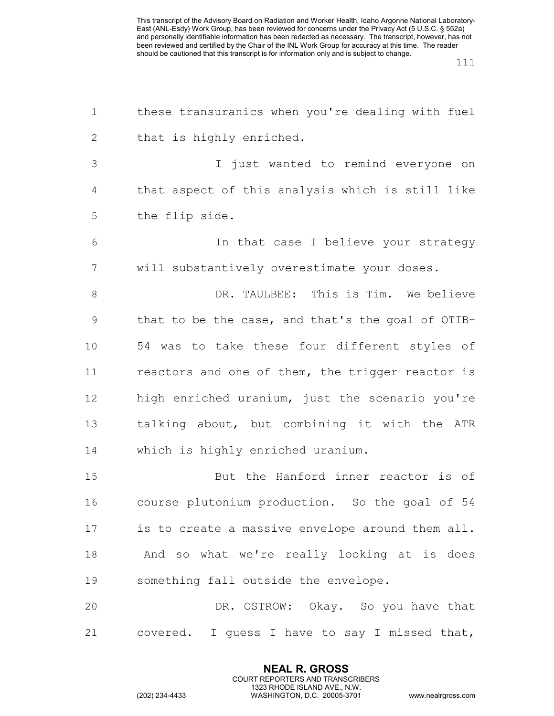| $\mathbf 1$    | these transuranics when you're dealing with fuel  |
|----------------|---------------------------------------------------|
| $\mathbf{2}$   | that is highly enriched.                          |
| 3              | I just wanted to remind everyone on               |
| $\overline{4}$ | that aspect of this analysis which is still like  |
| 5              | the flip side.                                    |
| 6              | In that case I believe your strategy              |
| 7              | will substantively overestimate your doses.       |
| 8              | DR. TAULBEE: This is Tim. We believe              |
| $\mathsf 9$    | that to be the case, and that's the goal of OTIB- |
| 10             | 54 was to take these four different styles of     |
| 11             | reactors and one of them, the trigger reactor is  |
| 12             | high enriched uranium, just the scenario you're   |
| 13             | talking about, but combining it with the ATR      |
| 14             | which is highly enriched uranium.                 |
| 15             | But the Hanford inner reactor is of               |
| 16             | course plutonium production. So the goal of 54    |
| 17             | is to create a massive envelope around them all.  |
| 18             | And so what we're really looking at is does       |
| 19             | something fall outside the envelope.              |
| 20             | DR. OSTROW: Okay. So you have that                |
| 21             | covered. I guess I have to say I missed that,     |

**NEAL R. GROSS** COURT REPORTERS AND TRANSCRIBERS 1323 RHODE ISLAND AVE., N.W.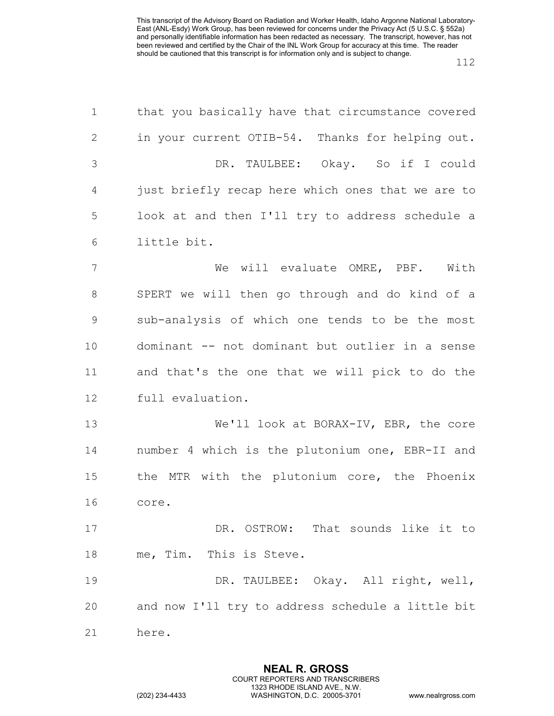| $\mathbf 1$    | that you basically have that circumstance covered |
|----------------|---------------------------------------------------|
| $\mathbf{2}$   | in your current OTIB-54. Thanks for helping out.  |
| $\mathfrak{Z}$ | DR. TAULBEE: Okay. So if I could                  |
| 4              | just briefly recap here which ones that we are to |
| 5              | look at and then I'll try to address schedule a   |
| 6              | little bit.                                       |
| 7              | We will evaluate OMRE, PBF.<br>With               |
| $8\,$          | SPERT we will then go through and do kind of a    |
| $\mathcal{G}$  | sub-analysis of which one tends to be the most    |
| 10             | dominant -- not dominant but outlier in a sense   |
| 11             | and that's the one that we will pick to do the    |
| 12             | full evaluation.                                  |
| 13             | We'll look at BORAX-IV, EBR, the core             |
| 14             | number 4 which is the plutonium one, EBR-II and   |
| 15             | the MTR with the plutonium core, the Phoenix      |
| 16             | core.                                             |
| 17             | DR. OSTROW: That sounds like it to                |
| 18             | me, Tim. This is Steve.                           |
| 19             | DR. TAULBEE: Okay. All right, well,               |
| 20             | and now I'll try to address schedule a little bit |
| 21             | here.                                             |

**NEAL R. GROSS** COURT REPORTERS AND TRANSCRIBERS 1323 RHODE ISLAND AVE., N.W.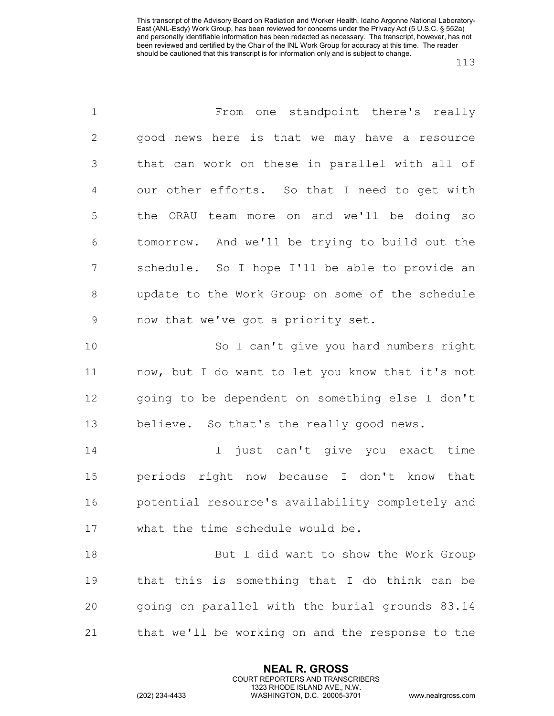| $\mathbf 1$    | From one standpoint there's really               |
|----------------|--------------------------------------------------|
| $\mathbf{2}$   | good news here is that we may have a resource    |
| 3              | that can work on these in parallel with all of   |
| $\overline{4}$ | our other efforts. So that I need to get with    |
| 5              | the ORAU team more on and we'll be doing so      |
| 6              | tomorrow. And we'll be trying to build out the   |
| 7              | schedule. So I hope I'll be able to provide an   |
| $8\,$          | update to the Work Group on some of the schedule |
| $\mathsf 9$    | now that we've got a priority set.               |
| 10             | So I can't give you hard numbers right           |
| 11             | now, but I do want to let you know that it's not |
| 12             | going to be dependent on something else I don't  |
| 13             | believe. So that's the really good news.         |
| 14             | I just can't give you exact time                 |
| 15             | periods right now because I don't know that      |
| 16             | potential resource's availability completely and |
| 17             | what the time schedule would be.                 |
| 18             | But I did want to show the Work Group            |
| 19             | that this is something that I do think can be    |
| 20             | going on parallel with the burial grounds 83.14  |
| 21             | that we'll be working on and the response to the |

**NEAL R. GROSS** COURT REPORTERS AND TRANSCRIBERS 1323 RHODE ISLAND AVE., N.W.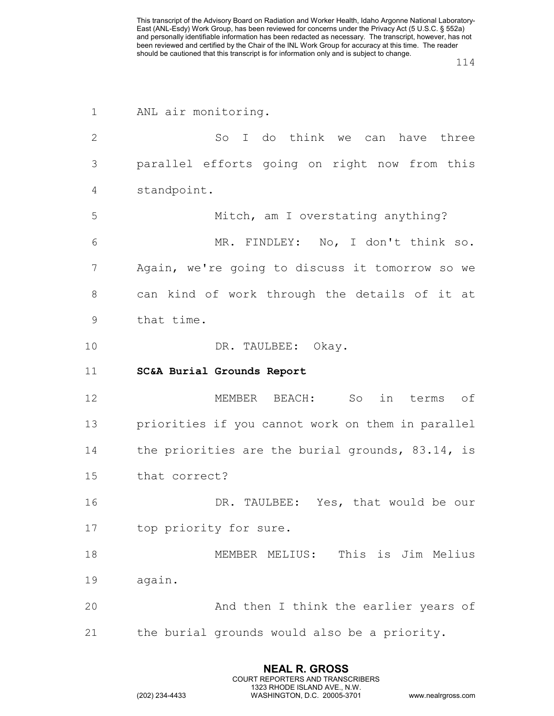| $\mathbf 1$ | ANL air monitoring.                               |
|-------------|---------------------------------------------------|
| 2           | I do think we can have three<br>SO <sub>c</sub>   |
| 3           | parallel efforts going on right now from this     |
| 4           | standpoint.                                       |
| 5           | Mitch, am I overstating anything?                 |
| 6           | MR. FINDLEY: No, I don't think so.                |
| 7           | Again, we're going to discuss it tomorrow so we   |
| 8           | can kind of work through the details of it at     |
| $\mathsf 9$ | that time.                                        |
| 10          | DR. TAULBEE: Okay.                                |
| 11          | <b>SC&amp;A Burial Grounds Report</b>             |
| 12          | MEMBER BEACH:<br>So<br>in<br>terms of             |
| 13          | priorities if you cannot work on them in parallel |
| 14          | the priorities are the burial grounds, 83.14, is  |
| 15          | that correct?                                     |
| 16          | TAULBEE: Yes, that would be our<br>DR.            |
| 17          | top priority for sure.                            |
| 18          | This is Jim Melius<br>MEMBER MELIUS:              |
| 19          | again.                                            |
| 20          | And then I think the earlier years of             |
| 21          | the burial grounds would also be a priority.      |

**NEAL R. GROSS** COURT REPORTERS AND TRANSCRIBERS 1323 RHODE ISLAND AVE., N.W.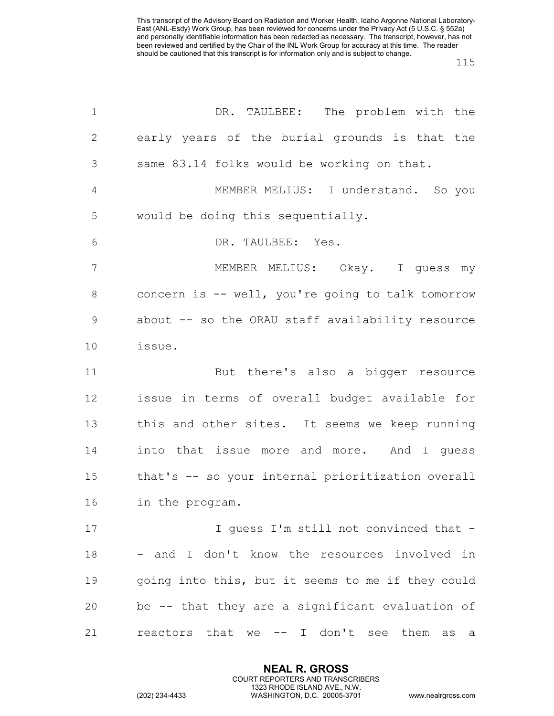| $\mathbf 1$    | DR. TAULBEE: The problem with the                 |
|----------------|---------------------------------------------------|
| 2              | early years of the burial grounds is that the     |
| 3              | same 83.14 folks would be working on that.        |
| $\overline{4}$ | MEMBER MELIUS: I understand. So you               |
| 5              | would be doing this sequentially.                 |
| 6              | DR. TAULBEE: Yes.                                 |
| 7              | MEMBER MELIUS: Okay. I guess my                   |
| 8              | concern is -- well, you're going to talk tomorrow |
| $\mathcal{G}$  | about -- so the ORAU staff availability resource  |
| 10             | issue.                                            |
| 11             | But there's also a bigger resource                |
| 12             | issue in terms of overall budget available for    |
| 13             | this and other sites. It seems we keep running    |
| 14             | into that issue more and more. And I guess        |
| 15             | that's -- so your internal prioritization overall |
| 16             | in the program.                                   |
| 17             | I guess I'm still not convinced that -            |
| 18             | - and I don't know the resources involved in      |
| 19             | going into this, but it seems to me if they could |
| 20             | be -- that they are a significant evaluation of   |
| 21             | reactors that we -- I don't see them as<br>a      |

**NEAL R. GROSS** COURT REPORTERS AND TRANSCRIBERS 1323 RHODE ISLAND AVE., N.W.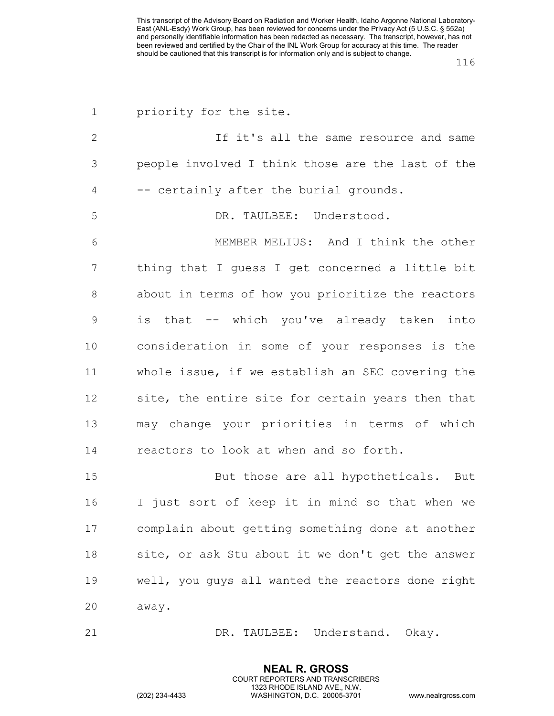| 1            | priority for the site.                            |
|--------------|---------------------------------------------------|
| $\mathbf{2}$ | If it's all the same resource and same            |
| 3            | people involved I think those are the last of the |
| 4            | -- certainly after the burial grounds.            |
| 5            | DR. TAULBEE: Understood.                          |
| 6            | MEMBER MELIUS: And I think the other              |
| 7            | thing that I guess I get concerned a little bit   |
| 8            | about in terms of how you prioritize the reactors |
| 9            | is that -- which you've already taken into        |
| 10           | consideration in some of your responses is the    |
| 11           | whole issue, if we establish an SEC covering the  |
| 12           | site, the entire site for certain years then that |
| 13           | may change your priorities in terms of which      |
| 14           | reactors to look at when and so forth.            |
| 15           | But those are all hypotheticals. But              |
| 16           | I just sort of keep it in mind so that when we    |
| 17           | complain about getting something done at another  |
| 18           | site, or ask Stu about it we don't get the answer |
| 19           | well, you guys all wanted the reactors done right |
| 20           | away.                                             |
| 21           | DR. TAULBEE: Understand. Okay.                    |

**NEAL R. GROSS** COURT REPORTERS AND TRANSCRIBERS 1323 RHODE ISLAND AVE., N.W.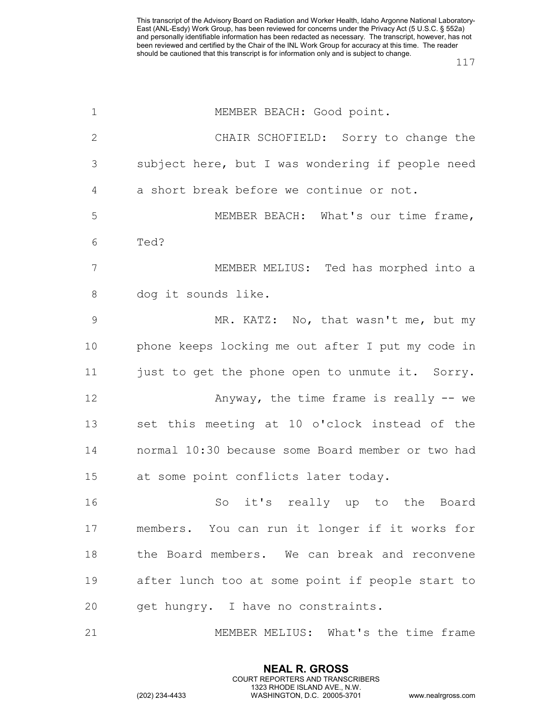| $\mathbf{1}$   | MEMBER BEACH: Good point.                         |
|----------------|---------------------------------------------------|
| 2              | CHAIR SCHOFIELD: Sorry to change the              |
| 3              | subject here, but I was wondering if people need  |
| 4              | a short break before we continue or not.          |
| 5              | MEMBER BEACH: What's our time frame,              |
| 6              | Ted?                                              |
| $\overline{7}$ | MEMBER MELIUS: Ted has morphed into a             |
| 8              | dog it sounds like.                               |
| 9              | MR. KATZ: No, that wasn't me, but my              |
| 10             | phone keeps locking me out after I put my code in |
| 11             | just to get the phone open to unmute it. Sorry.   |
| 12             | Anyway, the time frame is really -- we            |
| 13             | set this meeting at 10 o'clock instead of the     |
| 14             | normal 10:30 because some Board member or two had |
| 15             | at some point conflicts later today.              |
| 16             | So<br>it's really up to<br>the Board              |
| 17             | members. You can run it longer if it works for    |
| 18             | the Board members. We can break and reconvene     |
| 19             | after lunch too at some point if people start to  |
| 20             | get hungry. I have no constraints.                |
| 21             | MEMBER MELIUS: What's the time frame              |

**NEAL R. GROSS** COURT REPORTERS AND TRANSCRIBERS 1323 RHODE ISLAND AVE., N.W.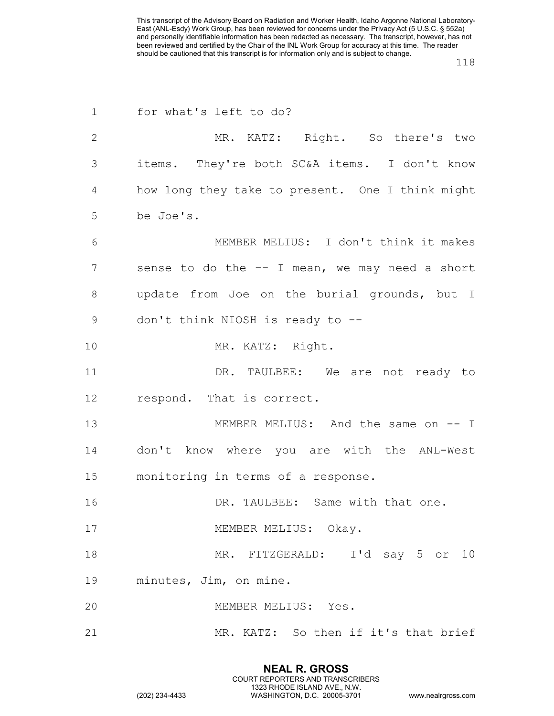| $\mathbf 1$    | for what's left to do?                           |
|----------------|--------------------------------------------------|
| $\overline{2}$ | MR. KATZ: Right. So there's two                  |
| 3              | items. They're both SC&A items. I don't know     |
| 4              | how long they take to present. One I think might |
| 5              | be Joe's.                                        |
| 6              | MEMBER MELIUS: I don't think it makes            |
| 7              | sense to do the -- I mean, we may need a short   |
| 8              | update from Joe on the burial grounds, but I     |
| 9              | don't think NIOSH is ready to --                 |
| 10             | MR. KATZ: Right.                                 |
| 11             | DR. TAULBEE: We are not ready to                 |
| 12             | respond. That is correct.                        |
| 13             | MEMBER MELIUS: And the same on -- I              |
| 14             | don't know where you are with the ANL-West       |
| 15             | monitoring in terms of a response.               |
| 16             | DR. TAULBEE: Same with that one.                 |
| 17             | MEMBER MELIUS: Okay.                             |
| 18             | MR. FITZGERALD: I'd say 5 or 10                  |
| 19             | minutes, Jim, on mine.                           |
| 20             | MEMBER MELIUS: Yes.                              |
| 21             | MR. KATZ: So then if it's that brief             |

**NEAL R. GROSS** COURT REPORTERS AND TRANSCRIBERS 1323 RHODE ISLAND AVE., N.W.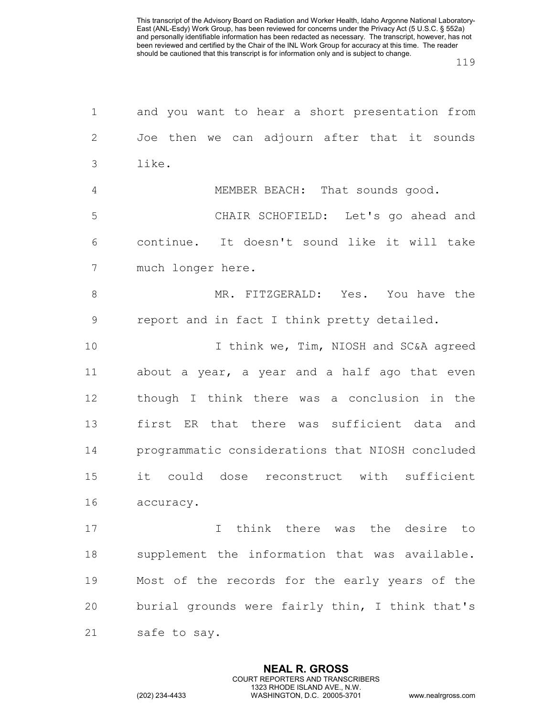| $\mathbf 1$   | and you want to hear a short presentation from   |
|---------------|--------------------------------------------------|
| $\mathbf{2}$  | Joe then we can adjourn after that it sounds     |
| 3             | like.                                            |
| 4             | MEMBER BEACH: That sounds good.                  |
| 5             | CHAIR SCHOFIELD: Let's go ahead and              |
| 6             | continue. It doesn't sound like it will take     |
| 7             | much longer here.                                |
| $8\,$         | MR. FITZGERALD: Yes. You have the                |
| $\mathcal{G}$ | report and in fact I think pretty detailed.      |
| 10            | I think we, Tim, NIOSH and SC&A agreed           |
| 11            | about a year, a year and a half ago that even    |
| 12            | though I think there was a conclusion in the     |
| 13            | first ER that there was sufficient data and      |
| 14            | programmatic considerations that NIOSH concluded |
| 15            | it could dose reconstruct with sufficient        |
| 16            | accuracy.                                        |
| 17            | I think there was the desire to                  |
| 18            | supplement the information that was available.   |
| 19            | Most of the records for the early years of the   |
| 20            | burial grounds were fairly thin, I think that's  |
| 21            | safe to say.                                     |

**NEAL R. GROSS** COURT REPORTERS AND TRANSCRIBERS 1323 RHODE ISLAND AVE., N.W.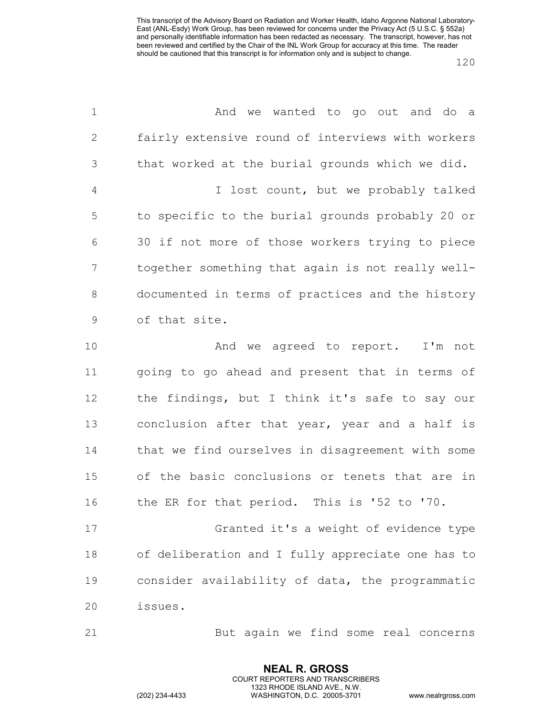| $\mathbf 1$    | And we wanted to go out and do a                  |
|----------------|---------------------------------------------------|
| 2              | fairly extensive round of interviews with workers |
| 3              | that worked at the burial grounds which we did.   |
| $\overline{4}$ | I lost count, but we probably talked              |
| 5              | to specific to the burial grounds probably 20 or  |
| 6              | 30 if not more of those workers trying to piece   |
| 7              | together something that again is not really well- |
| 8              | documented in terms of practices and the history  |
| $\mathcal{G}$  | of that site.                                     |
| 10             | And we agreed to report. I'm not                  |
| 11             | going to go ahead and present that in terms of    |
| 12             | the findings, but I think it's safe to say our    |
| 13             | conclusion after that year, year and a half is    |
| 14             | that we find ourselves in disagreement with some  |
| 15             | of the basic conclusions or tenets that are in    |
| 16             | the ER for that period. This is '52 to '70.       |
| 17             | Granted it's a weight of evidence type            |
| 18             | of deliberation and I fully appreciate one has to |
| 19             | consider availability of data, the programmatic   |
| 20             | issues.                                           |
| 21             | But again we find some real concerns              |

**NEAL R. GROSS** COURT REPORTERS AND TRANSCRIBERS 1323 RHODE ISLAND AVE., N.W.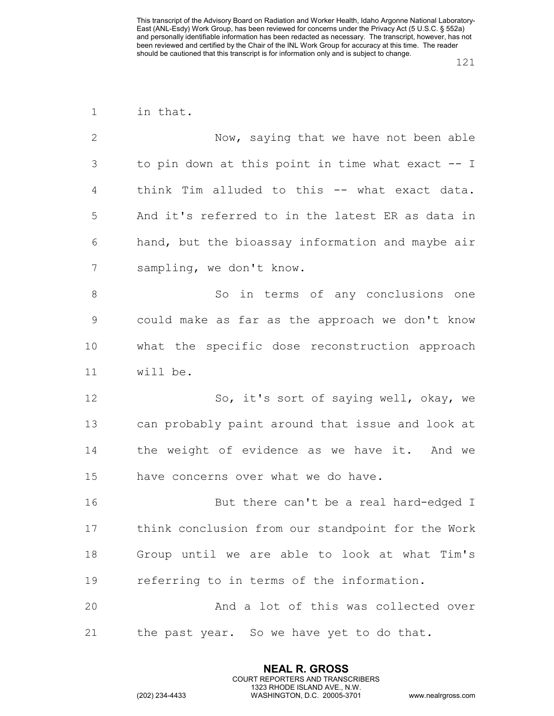| $\mathbf 1$  | in that.                                          |  |  |  |  |  |  |  |  |
|--------------|---------------------------------------------------|--|--|--|--|--|--|--|--|
| $\mathbf{2}$ | Now, saying that we have not been able            |  |  |  |  |  |  |  |  |
| 3            | to pin down at this point in time what exact -- I |  |  |  |  |  |  |  |  |
| 4            | think Tim alluded to this -- what exact data.     |  |  |  |  |  |  |  |  |
| 5            | And it's referred to in the latest ER as data in  |  |  |  |  |  |  |  |  |
| 6            | hand, but the bioassay information and maybe air  |  |  |  |  |  |  |  |  |
| 7            | sampling, we don't know.                          |  |  |  |  |  |  |  |  |
| 8            | So in terms of any conclusions one                |  |  |  |  |  |  |  |  |
| 9            | could make as far as the approach we don't know   |  |  |  |  |  |  |  |  |
| 10           | what the specific dose reconstruction approach    |  |  |  |  |  |  |  |  |
| 11           | will be.                                          |  |  |  |  |  |  |  |  |
| 12           | So, it's sort of saying well, okay, we            |  |  |  |  |  |  |  |  |
| 13           | can probably paint around that issue and look at  |  |  |  |  |  |  |  |  |
| 14           | the weight of evidence as we have it. And we      |  |  |  |  |  |  |  |  |
| 15           | have concerns over what we do have.               |  |  |  |  |  |  |  |  |
| 16           | But there can't be a real hard-edged I            |  |  |  |  |  |  |  |  |
| 17           | think conclusion from our standpoint for the Work |  |  |  |  |  |  |  |  |
| 18           | Group until we are able to look at what Tim's     |  |  |  |  |  |  |  |  |
| 19           | referring to in terms of the information.         |  |  |  |  |  |  |  |  |
| 20           | And a lot of this was collected over              |  |  |  |  |  |  |  |  |
| 21           | the past year. So we have yet to do that.         |  |  |  |  |  |  |  |  |
|              |                                                   |  |  |  |  |  |  |  |  |

**NEAL R. GROSS** COURT REPORTERS AND TRANSCRIBERS 1323 RHODE ISLAND AVE., N.W.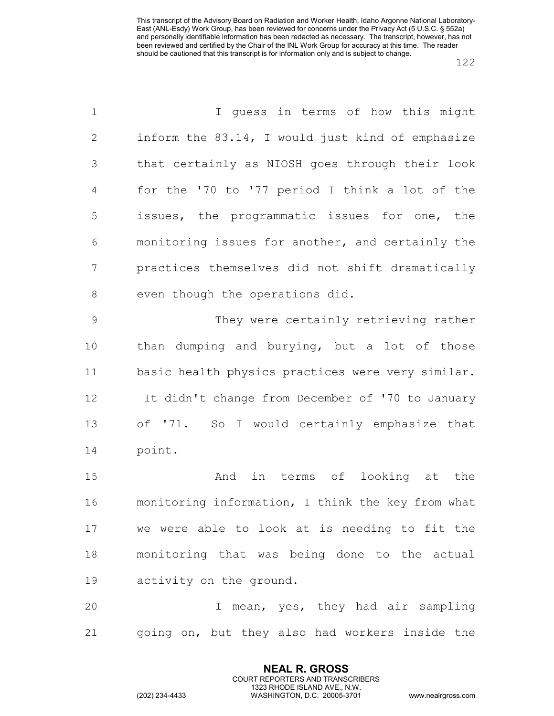| $\mathbf 1$    | I guess in terms of how this might                |
|----------------|---------------------------------------------------|
| $\mathbf{2}$   | inform the 83.14, I would just kind of emphasize  |
| 3              | that certainly as NIOSH goes through their look   |
| $\overline{4}$ | for the '70 to '77 period I think a lot of the    |
| 5              | issues, the programmatic issues for one, the      |
| 6              | monitoring issues for another, and certainly the  |
| 7              | practices themselves did not shift dramatically   |
| 8              | even though the operations did.                   |
| $\mathsf 9$    | They were certainly retrieving rather             |
| 10             | than dumping and burying, but a lot of those      |
| 11             | basic health physics practices were very similar. |
| 12             | It didn't change from December of '70 to January  |
| 13             | of '71. So I would certainly emphasize that       |
| 14             | point.                                            |
| 15             | And in terms of looking at the                    |
| 16             | monitoring information, I think the key from what |
| 17             | we were able to look at is needing to fit the     |
| 18             | monitoring that was being done to the actual      |
| 19             | activity on the ground.                           |
| 20             | mean, yes, they had air sampling<br>I.            |
| 21             | going on, but they also had workers inside the    |

**NEAL R. GROSS** COURT REPORTERS AND TRANSCRIBERS 1323 RHODE ISLAND AVE., N.W.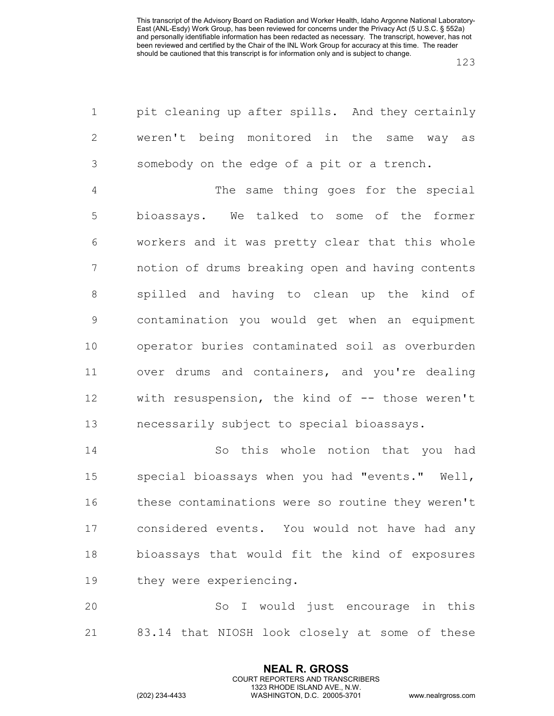| $\mathbf 1$    | pit cleaning up after spills. And they certainly  |
|----------------|---------------------------------------------------|
| $\mathbf{2}$   | weren't being monitored in the same way as        |
| $\mathfrak{Z}$ | somebody on the edge of a pit or a trench.        |
| 4              | The same thing goes for the special               |
| 5              | bioassays. We talked to some of the former        |
| 6              | workers and it was pretty clear that this whole   |
| $\overline{7}$ | notion of drums breaking open and having contents |
| $\,8\,$        | spilled and having to clean up the kind of        |
| $\mathsf 9$    | contamination you would get when an equipment     |
| 10             | operator buries contaminated soil as overburden   |
| 11             | over drums and containers, and you're dealing     |
| 12             | with resuspension, the kind of -- those weren't   |
| 13             | necessarily subject to special bioassays.         |
| 14             | this whole notion that you<br>So<br>had           |
| 15             | special bioassays when you had "events." Well,    |
| 16             | these contaminations were so routine they weren't |
| 17             | considered events. You would not have had any     |
| 18             | bioassays that would fit the kind of exposures    |
| 19             | they were experiencing.                           |
| 20             | So I would just encourage in this                 |
| 21             | 83.14 that NIOSH look closely at some of these    |

**NEAL R. GROSS** COURT REPORTERS AND TRANSCRIBERS 1323 RHODE ISLAND AVE., N.W.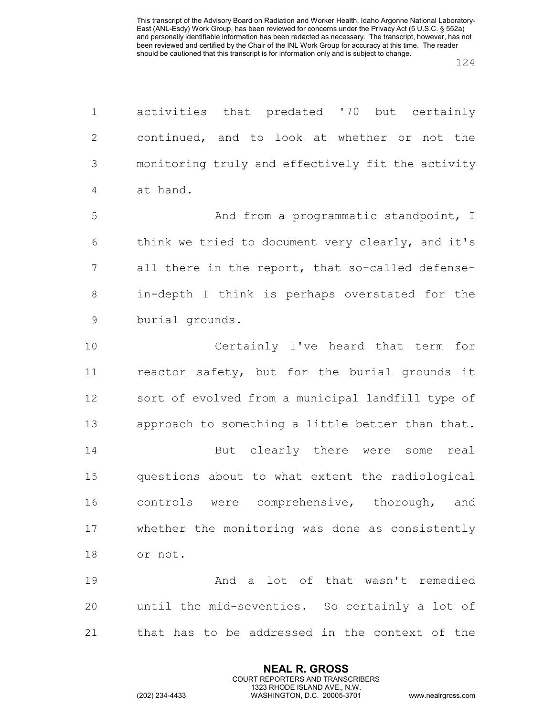| $\mathbf 1$    | activities that predated '70 but certainly        |  |  |  |  |  |  |  |  |  |
|----------------|---------------------------------------------------|--|--|--|--|--|--|--|--|--|
| $\overline{2}$ | continued, and to look at whether or not the      |  |  |  |  |  |  |  |  |  |
| 3              | monitoring truly and effectively fit the activity |  |  |  |  |  |  |  |  |  |
| $\overline{4}$ | at hand.                                          |  |  |  |  |  |  |  |  |  |
| 5              | And from a programmatic standpoint, I             |  |  |  |  |  |  |  |  |  |
| 6              | think we tried to document very clearly, and it's |  |  |  |  |  |  |  |  |  |
| 7              | all there in the report, that so-called defense-  |  |  |  |  |  |  |  |  |  |
| 8              | in-depth I think is perhaps overstated for the    |  |  |  |  |  |  |  |  |  |
| $\mathsf 9$    | burial grounds.                                   |  |  |  |  |  |  |  |  |  |
| 10             | Certainly I've heard that term for                |  |  |  |  |  |  |  |  |  |
| 11             | reactor safety, but for the burial grounds it     |  |  |  |  |  |  |  |  |  |
| 12             | sort of evolved from a municipal landfill type of |  |  |  |  |  |  |  |  |  |
| 13             | approach to something a little better than that.  |  |  |  |  |  |  |  |  |  |
| 14             | But clearly there were some real                  |  |  |  |  |  |  |  |  |  |
| 15             | questions about to what extent the radiological   |  |  |  |  |  |  |  |  |  |
| 16             | controls were comprehensive, thorough,<br>and     |  |  |  |  |  |  |  |  |  |
| 17             | whether the monitoring was done as consistently   |  |  |  |  |  |  |  |  |  |
| 18             | or not.                                           |  |  |  |  |  |  |  |  |  |
| 19             | And a lot of that wasn't remedied                 |  |  |  |  |  |  |  |  |  |
| 20             | until the mid-seventies. So certainly a lot of    |  |  |  |  |  |  |  |  |  |
| 21             | that has to be addressed in the context of the    |  |  |  |  |  |  |  |  |  |

**NEAL R. GROSS** COURT REPORTERS AND TRANSCRIBERS 1323 RHODE ISLAND AVE., N.W.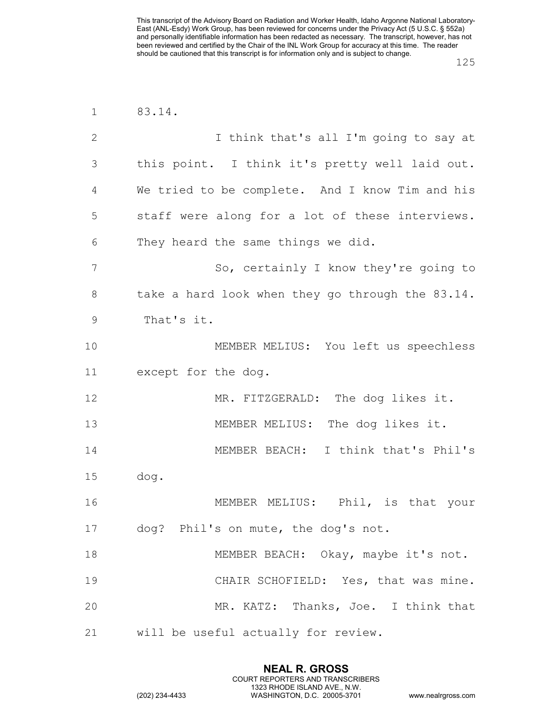| $\mathbf 1$   | 83.14.                                           |  |  |  |  |  |  |  |  |
|---------------|--------------------------------------------------|--|--|--|--|--|--|--|--|
| $\mathbf{2}$  | I think that's all I'm going to say at           |  |  |  |  |  |  |  |  |
| 3             | this point. I think it's pretty well laid out.   |  |  |  |  |  |  |  |  |
| 4             | We tried to be complete. And I know Tim and his  |  |  |  |  |  |  |  |  |
| 5             | staff were along for a lot of these interviews.  |  |  |  |  |  |  |  |  |
| 6             | They heard the same things we did.               |  |  |  |  |  |  |  |  |
| 7             | So, certainly I know they're going to            |  |  |  |  |  |  |  |  |
| 8             | take a hard look when they go through the 83.14. |  |  |  |  |  |  |  |  |
| $\mathcal{G}$ | That's it.                                       |  |  |  |  |  |  |  |  |
| 10            | MEMBER MELIUS: You left us speechless            |  |  |  |  |  |  |  |  |
| 11            | except for the dog.                              |  |  |  |  |  |  |  |  |
| 12            | MR. FITZGERALD: The dog likes it.                |  |  |  |  |  |  |  |  |
| 13            | MEMBER MELIUS: The dog likes it.                 |  |  |  |  |  |  |  |  |
| 14            | MEMBER BEACH: I think that's Phil's              |  |  |  |  |  |  |  |  |
| 15            | dog.                                             |  |  |  |  |  |  |  |  |
| 16            | MEMBER MELIUS: Phil, is that your                |  |  |  |  |  |  |  |  |
| 17            | dog? Phil's on mute, the dog's not.              |  |  |  |  |  |  |  |  |
| 18            | MEMBER BEACH: Okay, maybe it's not.              |  |  |  |  |  |  |  |  |
| 19            | CHAIR SCHOFIELD: Yes, that was mine.             |  |  |  |  |  |  |  |  |
| 20            | MR. KATZ: Thanks, Joe. I think that              |  |  |  |  |  |  |  |  |
| 21            | will be useful actually for review.              |  |  |  |  |  |  |  |  |

**NEAL R. GROSS** COURT REPORTERS AND TRANSCRIBERS 1323 RHODE ISLAND AVE., N.W.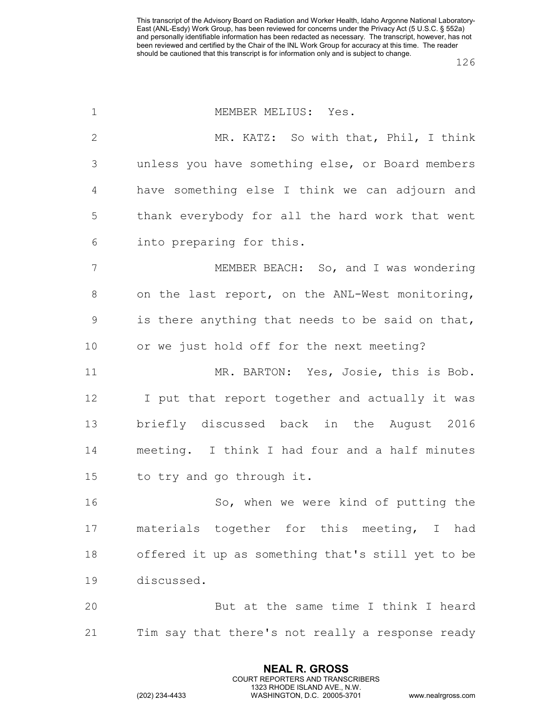| $\mathbf 1$  | MEMBER MELIUS: Yes.                               |  |  |  |  |  |  |  |  |
|--------------|---------------------------------------------------|--|--|--|--|--|--|--|--|
| $\mathbf{2}$ | MR. KATZ: So with that, Phil, I think             |  |  |  |  |  |  |  |  |
| 3            | unless you have something else, or Board members  |  |  |  |  |  |  |  |  |
| 4            | have something else I think we can adjourn and    |  |  |  |  |  |  |  |  |
| 5            | thank everybody for all the hard work that went   |  |  |  |  |  |  |  |  |
| 6            | into preparing for this.                          |  |  |  |  |  |  |  |  |
| 7            | MEMBER BEACH: So, and I was wondering             |  |  |  |  |  |  |  |  |
| 8            | on the last report, on the ANL-West monitoring,   |  |  |  |  |  |  |  |  |
| $\mathsf 9$  | is there anything that needs to be said on that,  |  |  |  |  |  |  |  |  |
| 10           | or we just hold off for the next meeting?         |  |  |  |  |  |  |  |  |
| 11           | MR. BARTON: Yes, Josie, this is Bob.              |  |  |  |  |  |  |  |  |
| 12           | I put that report together and actually it was    |  |  |  |  |  |  |  |  |
| 13           | briefly discussed back in the August 2016         |  |  |  |  |  |  |  |  |
| 14           | meeting. I think I had four and a half minutes    |  |  |  |  |  |  |  |  |
| 15           | to try and go through it.                         |  |  |  |  |  |  |  |  |
| 16           | So, when we were kind of putting the              |  |  |  |  |  |  |  |  |
| 17           | materials together for this meeting, I had        |  |  |  |  |  |  |  |  |
| 18           | offered it up as something that's still yet to be |  |  |  |  |  |  |  |  |
| 19           | discussed.                                        |  |  |  |  |  |  |  |  |
| 20           | But at the same time I think I heard              |  |  |  |  |  |  |  |  |
| 21           | Tim say that there's not really a response ready  |  |  |  |  |  |  |  |  |

**NEAL R. GROSS** COURT REPORTERS AND TRANSCRIBERS 1323 RHODE ISLAND AVE., N.W.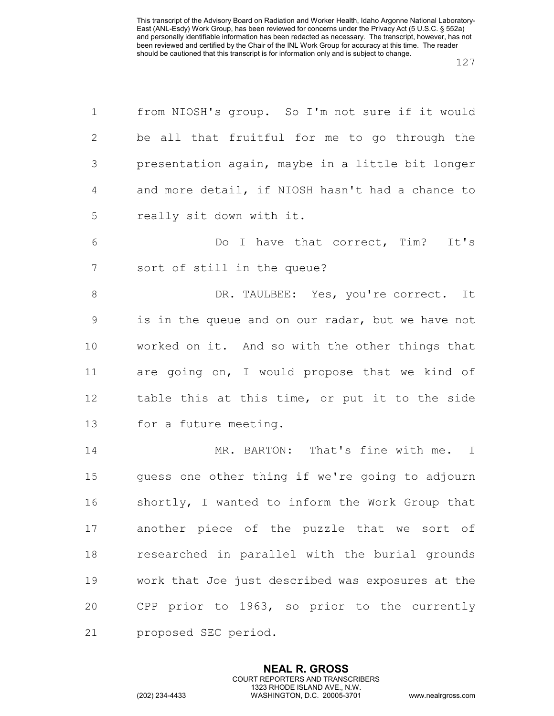| $\mathbf 1$    | from NIOSH's group. So I'm not sure if it would   |  |  |  |  |  |  |  |  |  |
|----------------|---------------------------------------------------|--|--|--|--|--|--|--|--|--|
| $\mathbf{2}$   | be all that fruitful for me to go through the     |  |  |  |  |  |  |  |  |  |
| $\mathcal{S}$  | presentation again, maybe in a little bit longer  |  |  |  |  |  |  |  |  |  |
| 4              | and more detail, if NIOSH hasn't had a chance to  |  |  |  |  |  |  |  |  |  |
| 5              | really sit down with it.                          |  |  |  |  |  |  |  |  |  |
| 6              | Do I have that correct, Tim? It's                 |  |  |  |  |  |  |  |  |  |
| $\overline{7}$ | sort of still in the queue?                       |  |  |  |  |  |  |  |  |  |
| $\,8\,$        | DR. TAULBEE: Yes, you're correct. It              |  |  |  |  |  |  |  |  |  |
| 9              | is in the queue and on our radar, but we have not |  |  |  |  |  |  |  |  |  |
| 10             | worked on it. And so with the other things that   |  |  |  |  |  |  |  |  |  |
| 11             | are going on, I would propose that we kind of     |  |  |  |  |  |  |  |  |  |
| 12             | table this at this time, or put it to the side    |  |  |  |  |  |  |  |  |  |
| 13             | for a future meeting.                             |  |  |  |  |  |  |  |  |  |
| 14             | MR. BARTON: That's fine with me. I                |  |  |  |  |  |  |  |  |  |
| 15             | guess one other thing if we're going to adjourn   |  |  |  |  |  |  |  |  |  |
| 16             | shortly, I wanted to inform the Work Group that   |  |  |  |  |  |  |  |  |  |
| 17             | another piece of the puzzle that we sort of       |  |  |  |  |  |  |  |  |  |
| 18             | researched in parallel with the burial grounds    |  |  |  |  |  |  |  |  |  |
| 19             | work that Joe just described was exposures at the |  |  |  |  |  |  |  |  |  |
| 20             | CPP prior to 1963, so prior to the currently      |  |  |  |  |  |  |  |  |  |
| 21             | proposed SEC period.                              |  |  |  |  |  |  |  |  |  |

**NEAL R. GROSS** COURT REPORTERS AND TRANSCRIBERS 1323 RHODE ISLAND AVE., N.W.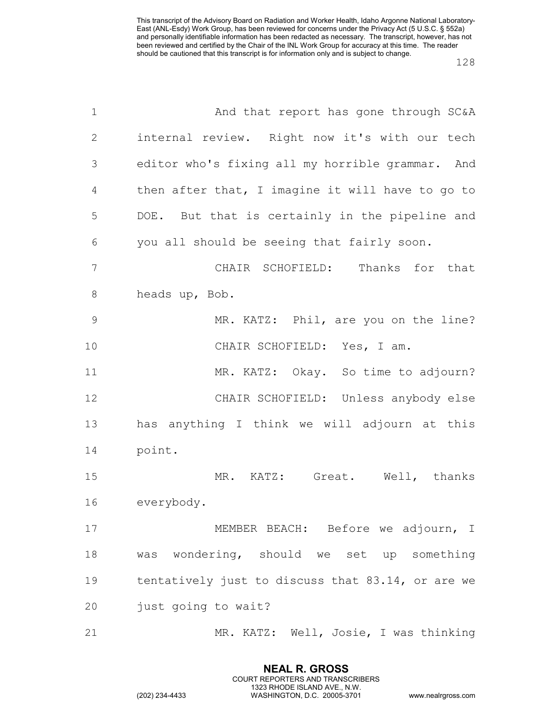| $\mathbf 1$     | And that report has gone through SC&A             |  |  |  |  |  |  |  |  |
|-----------------|---------------------------------------------------|--|--|--|--|--|--|--|--|
| $\mathbf{2}$    | internal review. Right now it's with our tech     |  |  |  |  |  |  |  |  |
| 3               | editor who's fixing all my horrible grammar. And  |  |  |  |  |  |  |  |  |
| 4               | then after that, I imagine it will have to go to  |  |  |  |  |  |  |  |  |
| 5               | DOE. But that is certainly in the pipeline and    |  |  |  |  |  |  |  |  |
| 6               | you all should be seeing that fairly soon.        |  |  |  |  |  |  |  |  |
| $7\phantom{.0}$ | CHAIR SCHOFIELD: Thanks for that                  |  |  |  |  |  |  |  |  |
| $8\,$           | heads up, Bob.                                    |  |  |  |  |  |  |  |  |
| 9               | MR. KATZ: Phil, are you on the line?              |  |  |  |  |  |  |  |  |
| 10              | CHAIR SCHOFIELD: Yes, I am.                       |  |  |  |  |  |  |  |  |
| 11              | MR. KATZ: Okay. So time to adjourn?               |  |  |  |  |  |  |  |  |
| 12              | CHAIR SCHOFIELD: Unless anybody else              |  |  |  |  |  |  |  |  |
| 13              | has anything I think we will adjourn at this      |  |  |  |  |  |  |  |  |
| 14              | point.                                            |  |  |  |  |  |  |  |  |
| 15              | MR. KATZ: Great. Well, thanks                     |  |  |  |  |  |  |  |  |
| 16              | everybody.                                        |  |  |  |  |  |  |  |  |
| 17              | MEMBER BEACH: Before we adjourn, I                |  |  |  |  |  |  |  |  |
| 18              | was wondering, should we set up something         |  |  |  |  |  |  |  |  |
| 19              | tentatively just to discuss that 83.14, or are we |  |  |  |  |  |  |  |  |
| 20              | just going to wait?                               |  |  |  |  |  |  |  |  |
| 21              | MR. KATZ: Well, Josie, I was thinking             |  |  |  |  |  |  |  |  |

**NEAL R. GROSS** COURT REPORTERS AND TRANSCRIBERS 1323 RHODE ISLAND AVE., N.W.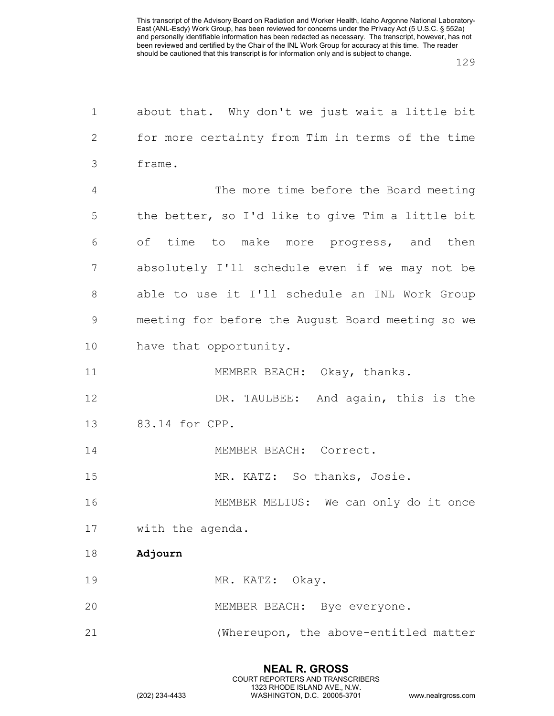| $\mathbf 1$   | about that. Why don't we just wait a little bit   |  |  |  |  |  |  |  |  |
|---------------|---------------------------------------------------|--|--|--|--|--|--|--|--|
| 2             | for more certainty from Tim in terms of the time  |  |  |  |  |  |  |  |  |
| 3             | frame.                                            |  |  |  |  |  |  |  |  |
| 4             | The more time before the Board meeting            |  |  |  |  |  |  |  |  |
| 5             | the better, so I'd like to give Tim a little bit  |  |  |  |  |  |  |  |  |
| 6             | of time to make more progress, and then           |  |  |  |  |  |  |  |  |
| 7             | absolutely I'll schedule even if we may not be    |  |  |  |  |  |  |  |  |
| 8             | able to use it I'll schedule an INL Work Group    |  |  |  |  |  |  |  |  |
| $\mathcal{G}$ | meeting for before the August Board meeting so we |  |  |  |  |  |  |  |  |
| 10            | have that opportunity.                            |  |  |  |  |  |  |  |  |
| 11            | MEMBER BEACH: Okay, thanks.                       |  |  |  |  |  |  |  |  |
| 12            | DR. TAULBEE: And again, this is the               |  |  |  |  |  |  |  |  |
| 13            | 83.14 for CPP.                                    |  |  |  |  |  |  |  |  |
| 14            | MEMBER BEACH: Correct.                            |  |  |  |  |  |  |  |  |
| 15            | MR. KATZ: So thanks, Josie.                       |  |  |  |  |  |  |  |  |
| 16            | MEMBER MELIUS: We can only do it once             |  |  |  |  |  |  |  |  |
| 17            | with the agenda.                                  |  |  |  |  |  |  |  |  |
| 18            | Adjourn                                           |  |  |  |  |  |  |  |  |
| 19            | MR. KATZ: Okay.                                   |  |  |  |  |  |  |  |  |
| 20            | MEMBER BEACH: Bye everyone.                       |  |  |  |  |  |  |  |  |
| 21            | (Whereupon, the above-entitled matter             |  |  |  |  |  |  |  |  |
|               |                                                   |  |  |  |  |  |  |  |  |

**NEAL R. GROSS**